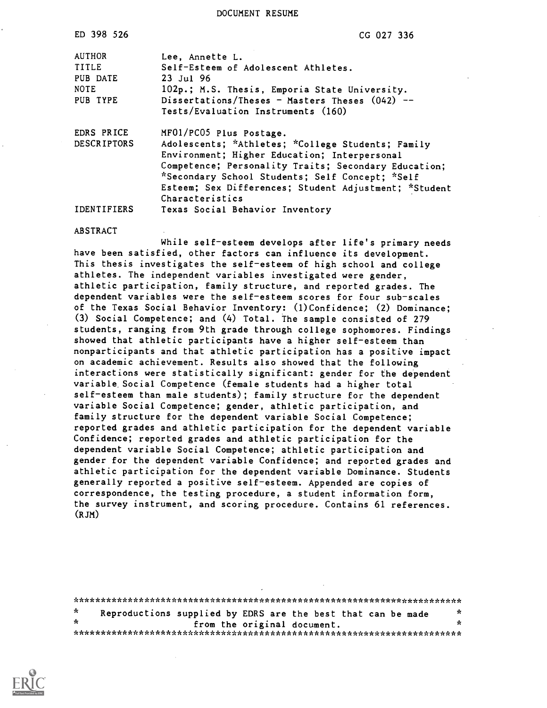DOCUMENT RESUME

| ED 398 526                                                           | CG 027 336                                                                                                                                                                                                                                                                                                                                             |
|----------------------------------------------------------------------|--------------------------------------------------------------------------------------------------------------------------------------------------------------------------------------------------------------------------------------------------------------------------------------------------------------------------------------------------------|
| <b>AUTHOR</b><br><b>TITLE</b><br>PUB DATE<br><b>NOTE</b><br>PUB TYPE | Lee, Annette L.<br>Self-Esteem of Adolescent Athletes.<br>$23$ Jul 96<br>102p.; M.S. Thesis, Emporia State University.<br>Dissertations/Theses - Masters Theses $(042)$ --<br>Tests/Evaluation Instruments (160)                                                                                                                                       |
| EDRS PRICE<br><b>DESCRIPTORS</b><br>IDENTIFIERS                      | MF01/PC05 Plus Postage.<br>Adolescents; *Athletes; *College Students; Family<br>Environment; Higher Education; Interpersonal<br>Competence; Personality Traits; Secondary Education;<br>*Secondary School Students; Self Concept; *Self<br>Esteem; Sex Differences; Student Adjustment; *Student<br>Characteristics<br>Texas Social Behavior Inventory |

ABSTRACT

While self-esteem develops after life's primary needs have been satisfied, other factors can influence its development. This thesis investigates the self-esteem of high school and college athletes. The independent variables investigated were gender, athletic participation, family structure, and reported grades. The dependent variables were the self-esteem scores for four sub-scales of the Texas Social Behavior Inventory: (1)Confidence; (2) Dominance; (3) Social Competence; and (4) Total. The sample consisted of 279 students, ranging from 9th grade through college sophomores. Findings showed that athletic participants have a higher self-esteem than nonparticipants and that athletic participation has a positive impact on academic achievement. Results also showed that the following interactions were statistically significant: gender for the dependent variable. Social Competence (female students had a higher total self-esteem than male students); family structure for the dependent variable Social Competence; gender, athletic participation, and family structure for the dependent variable Social Competence; reported grades and athletic participation for the dependent variable Confidence; reported grades and athletic participation for the dependent variable Social Competence; athletic participation and gender for the dependent variable Confidence; and reported grades and athletic participation for the dependent variable Dominance. Students generally reported a positive self-esteem. Appended are copies of correspondence, the testing procedure, a student information form, the survey instrument, and scoring procedure. Contains 61 references. (RJM)

|         | Reproductions supplied by EDRS are the best that can be made |  |  |                             | $\mathbf x$ |
|---------|--------------------------------------------------------------|--|--|-----------------------------|-------------|
| $\star$ |                                                              |  |  | from the original document. | -x.         |
|         |                                                              |  |  |                             |             |

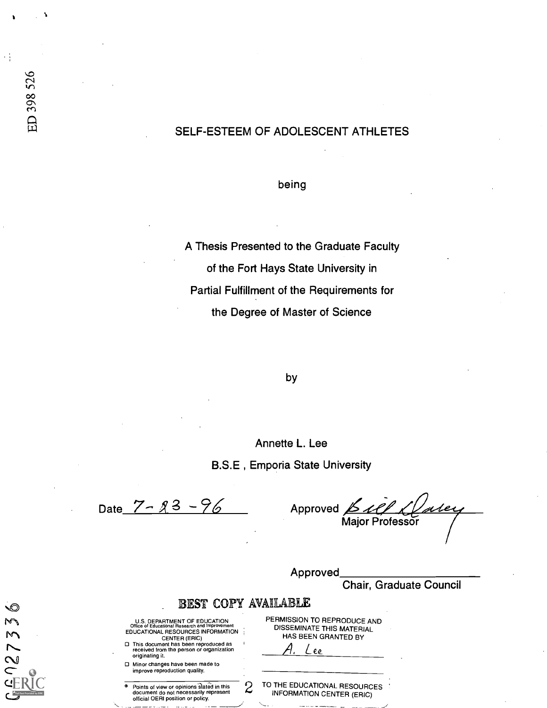#### SELF-ESTEEM OF ADOLESCENT ATHLETES

being

A Thesis Presented to the Graduate Faculty of the Fort Hays State University in Partial Fulfillment of the Requirements for the Degree of Master of Science

by

Annette L. Lee

B.S.E , Emporia State University

Date  $7 - 23 - 96$ 

Approved <u>Bell Klater</u>

Approved

|   |                                                                                                                                                                                                                                             | <b>Chair, Graduate Council</b>                                                        |
|---|---------------------------------------------------------------------------------------------------------------------------------------------------------------------------------------------------------------------------------------------|---------------------------------------------------------------------------------------|
|   | BEST COPY AVAILABLE                                                                                                                                                                                                                         |                                                                                       |
| o | U.S. DEPARTMENT OF EDUCATION<br>Office of Educational Research and Improvement<br>EDUCATIONAL RESOURCES INFORMATION<br>CENTER (ERIC)<br>This document has been reproduced as<br>received from the person or organization<br>originating it. | PERMISSION TO REPRODUCE AND<br>DISSEMINATE THIS MATERIAL<br>HAS BEEN GRANTED BY<br>ee |
| n | Minor changes have been made to<br>improve reproduction quality.                                                                                                                                                                            |                                                                                       |
|   | Points of view or opinions stated in this<br>document do not necessarily represent<br>official OERI position or policy.                                                                                                                     | TO THE EDUCATIONAL RESOURCES<br>4)<br>⊷<br><b>INFORMATION CENTER (ERIC)</b>           |

村村

 $672733$ 

 $\mathbf{C}^{\mathbf{A}_{\text{full}}}$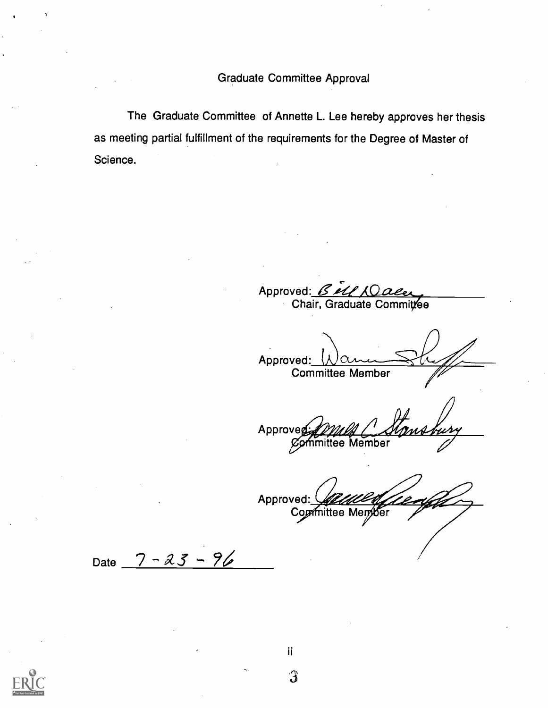Graduate Committee Approval

The Graduate Committee of Annette L. Lee hereby approves her thesis as meeting partial fulfillment of the requirements for the Degree of Master of Science.

Approved: Bell XQ Chair, Graduate Commit**⁄**ee

Approved:  $\Omega$ Committee Member

Approveg mittee Member

Approved: Committee Member /

Date  $7 - 23 - 96$ 



ii. 3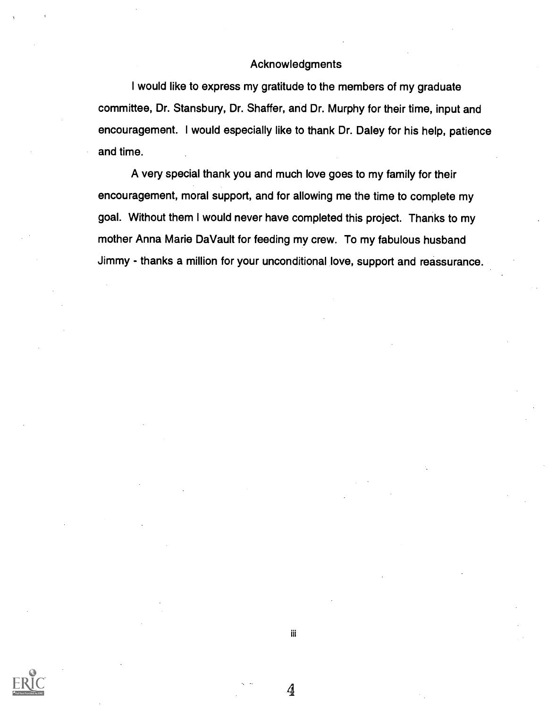#### Acknowledgments

I would like to express my gratitude to the members of my graduate committee, Dr. Stansbury, Dr. Shaffer, and Dr. Murphy for their time, input and encouragement. I would especially like to thank Dr. Daley for his help, patience and time.

A very special thank you and much love goes to my family for their encouragement, moral support, and for allowing me the time to complete my goal. Without them I would never have completed this project. Thanks to my mother Anna Marie DaVault for feeding my crew. To my fabulous husband Jimmy - thanks a million for your unconditional love, support and reassurance.



iii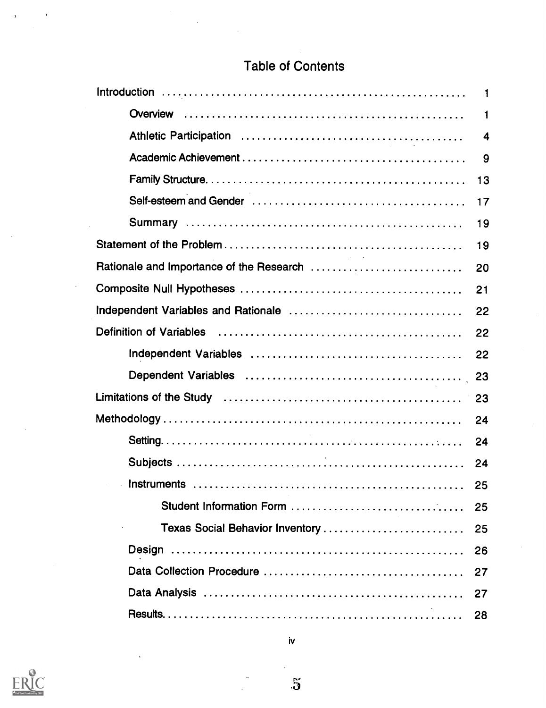### Table of Contents

|                                          | $\mathbf{1}$ |
|------------------------------------------|--------------|
|                                          | 1            |
|                                          | 4            |
|                                          | 9            |
|                                          | 13           |
|                                          | 17           |
|                                          | 19           |
|                                          | 19           |
| Rationale and Importance of the Research | 20           |
|                                          | 21           |
|                                          | 22           |
|                                          | 22           |
|                                          | 22           |
|                                          |              |
|                                          |              |
|                                          |              |
|                                          |              |
|                                          |              |
|                                          |              |
| Student Information Form                 | 25           |
| Texas Social Behavior Inventory          | 25           |
|                                          | 26           |
|                                          | 27           |
|                                          | 27           |
|                                          | 28           |

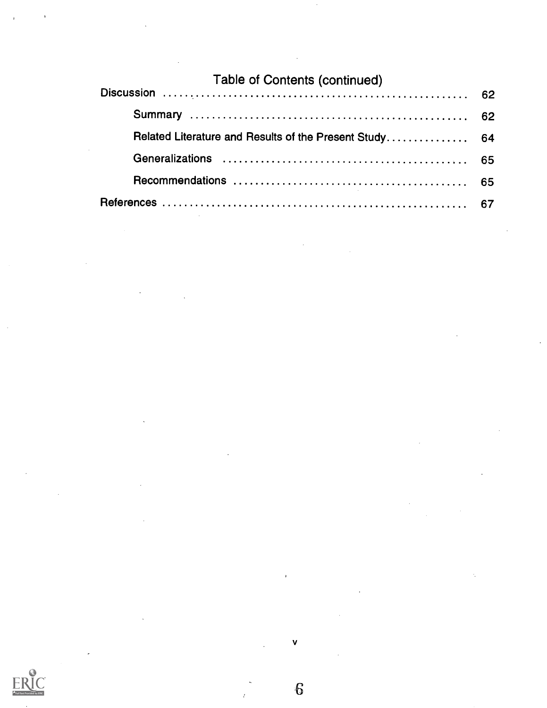| <b>Table of Contents (continued)</b> |  |
|--------------------------------------|--|
|                                      |  |
|                                      |  |
|                                      |  |
|                                      |  |
|                                      |  |
|                                      |  |

 $\sim$ 

 $\frac{1}{2}$ 

 $\hat{\mathcal{A}}$ 

 $\ddot{\phantom{a}}$ 

v

 $\cdot$ 

6

 $\hat{t}$ 



 $\mathcal{L}$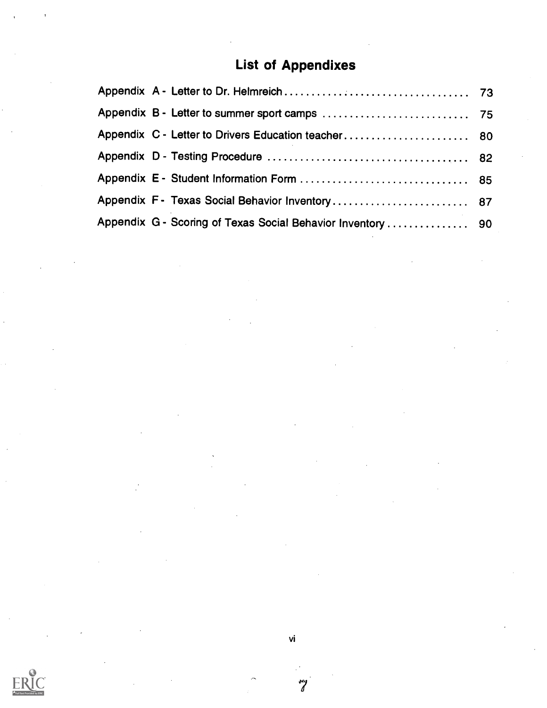# List of Appendixes

| Appendix C - Letter to Drivers Education teacher 80         |  |
|-------------------------------------------------------------|--|
|                                                             |  |
|                                                             |  |
| Appendix F - Texas Social Behavior Inventory 87             |  |
| Appendix G - Scoring of Texas Social Behavior Inventory  90 |  |

vi

 $\boldsymbol{z}$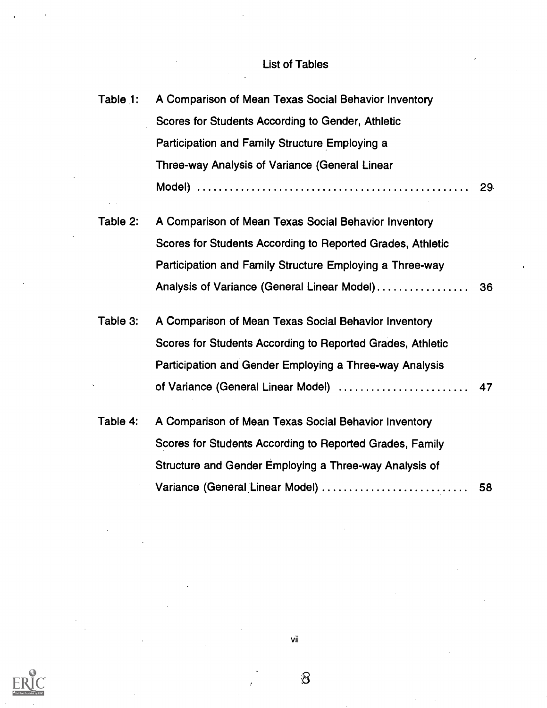### List of Tables

| Table 1: | A Comparison of Mean Texas Social Behavior Inventory       |    |
|----------|------------------------------------------------------------|----|
|          | Scores for Students According to Gender, Athletic          |    |
|          | Participation and Family Structure Employing a             |    |
|          | Three-way Analysis of Variance (General Linear             |    |
|          |                                                            | 29 |
| Table 2: | A Comparison of Mean Texas Social Behavior Inventory       |    |
|          | Scores for Students According to Reported Grades, Athletic |    |
|          | Participation and Family Structure Employing a Three-way   |    |
|          | Analysis of Variance (General Linear Model)                | 36 |
| Table 3: | A Comparison of Mean Texas Social Behavior Inventory       |    |
|          | Scores for Students According to Reported Grades, Athletic |    |
|          | Participation and Gender Employing a Three-way Analysis    |    |
|          |                                                            |    |
| Table 4: | A Comparison of Mean Texas Social Behavior Inventory       |    |
|          | Scores for Students According to Reported Grades, Family   |    |
|          | Structure and Gender Employing a Three-way Analysis of     |    |
|          | Variance (General Linear Model)                            | 58 |
|          |                                                            |    |



vii

 $\mathcal{S}% _{M_{1},M_{2}}^{\alpha,\beta}(\mathcal{M}_{M_{1},M_{2}}^{\alpha,\beta}(\mathcal{M}_{M_{1},M_{2}}^{\alpha,\beta}(\mathcal{M}_{M_{1},M_{2}}^{\alpha,\beta}(\mathcal{M}_{M_{1},M_{2}}^{\alpha,\beta}(\mathcal{M}_{M_{1},M_{2}}^{\alpha,\beta}(\mathcal{M}_{M_{1},M_{2}}^{\alpha,\beta}(\mathcal{M}_{M_{1},M_{2}}^{\alpha,\beta}(\mathcal{M}_{M_{1},M_{2}}^{\alpha,\beta}(\mathcal{M}_{M_{1},M_{2}}^{\alpha,\beta}(\mathcal{M}_{M_{1},M_{2}}^{\alpha,\$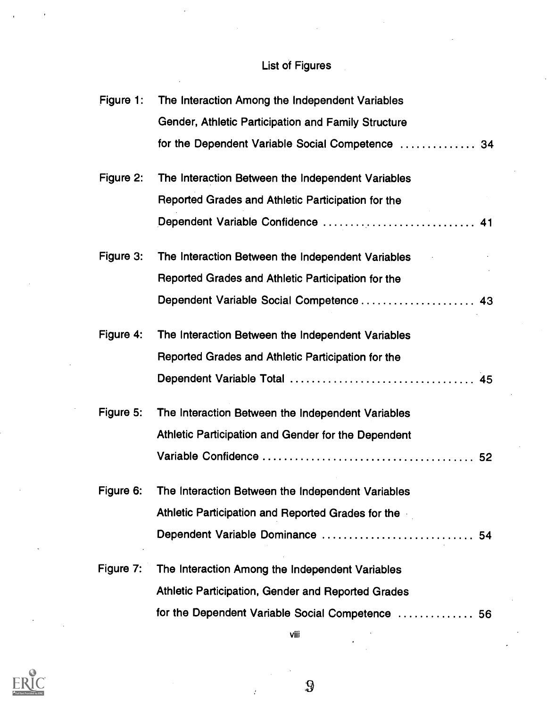## List of Figures

| Figure 1: | The Interaction Among the Independent Variables     |  |
|-----------|-----------------------------------------------------|--|
|           | Gender, Athletic Participation and Family Structure |  |
|           | for the Dependent Variable Social Competence  34    |  |
| Figure 2: | The Interaction Between the Independent Variables   |  |
|           | Reported Grades and Athletic Participation for the  |  |
|           | Dependent Variable Confidence  41                   |  |
| Figure 3: | The Interaction Between the Independent Variables   |  |
|           | Reported Grades and Athletic Participation for the  |  |
|           | Dependent Variable Social Competence  43            |  |
| Figure 4: | The Interaction Between the Independent Variables   |  |
|           | Reported Grades and Athletic Participation for the  |  |
|           |                                                     |  |
| Figure 5: | The Interaction Between the Independent Variables   |  |
|           | Athletic Participation and Gender for the Dependent |  |
|           |                                                     |  |
| Figure 6: | The Interaction Between the Independent Variables   |  |
|           | Athletic Participation and Reported Grades for the  |  |
|           | Dependent Variable Dominance  54                    |  |
| Figure 7: | The Interaction Among the Independent Variables     |  |
|           | Athletic Participation, Gender and Reported Grades  |  |
|           | for the Dependent Variable Social Competence  56    |  |



9

viii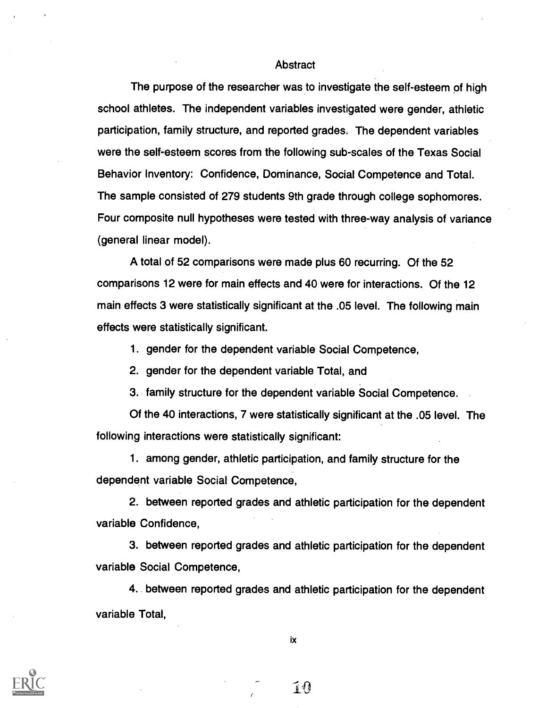#### **Abstract**

The purpose of the researcher was to investigate the self-esteem of high school athletes. The independent variables investigated were gender, athletic participation, family structure, and reported grades. The dependent variables were the self-esteem scores from the following sub-scales of the Texas Social Behavior Inventory: Confidence, Dominance, Social Competence and Total. The sample consisted of 279 students 9th grade through college sophomores. Four composite null hypotheses were tested with three-way analysis of variance (general linear model).

A total of 52 comparisons were made plus 60 recurring. Of the 52 comparisons 12 were for main effects and 40 were for interactions. Of the 12 main effects 3 were statistically significant at the .05 level. The following main effects were statistically significant.

1. gender for the dependent variable Social Competence,

2. gender for the dependent variable Total, and

3. family structure for the dependent variable Social Competence.

Of the 40 interactions, 7 were statistically significant at the .05 level. The following interactions were statistically significant:

1. among gender, athletic participation, and family structure for the dependent variable Social Competence,

2. between reported grades and athletic participation for the dependent variable Confidence,

3. between reported grades and athletic participation for the dependent variable Social Competence,

4. between reported grades and athletic participation for the dependent variable Total,



ix

 $\widehat{A}$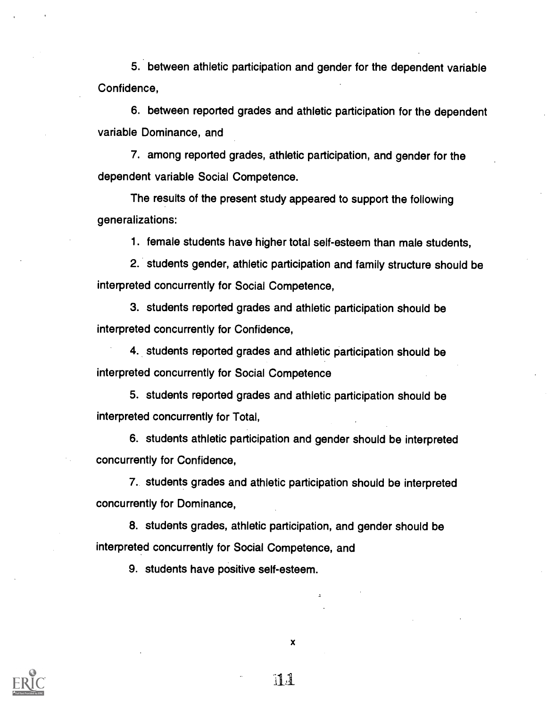5. between athletic participation and gender for the dependent variable Confidence,

6. between reported grades and athletic participation for the dependent variable Dominance, and

7. among reported grades, athletic participation, and gender for the dependent variable Social Competence.

The results of the present study appeared to support the following generalizations:

1. female students have higher total self-esteem than male students,

2. students gender, athletic participation and family structure should be interpreted concurrently for Social Competence,

3. students reported grades and athletic participation should be interpreted concurrently for Confidence,

4. students reported grades and athletic participation should be interpreted concurrently for Social Competence

5. students reported grades and athletic participation should be interpreted concurrently for Total,

6. students athletic participation and gender should be interpreted concurrently for Confidence,

7. students grades and athletic participation should be interpreted concurrently for Dominance,

8. students grades, athletic participation, and gender should be interpreted concurrently for Social Competence, and

9. students have positive self-esteem.



x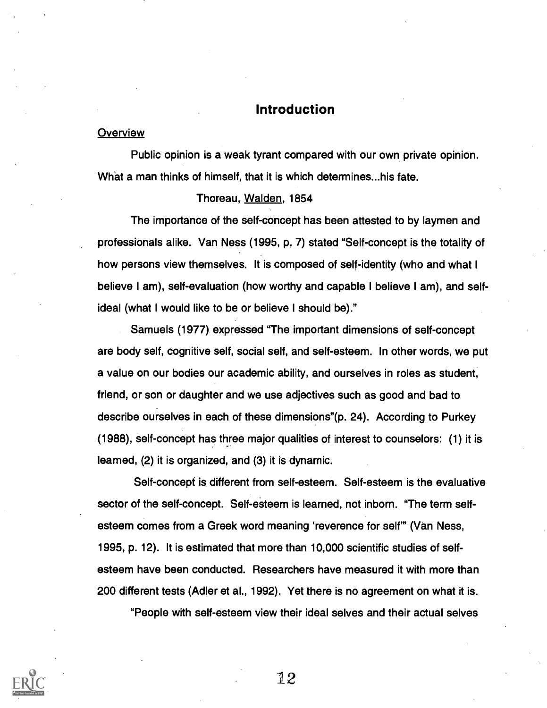#### Introduction

#### **Overview**

Public opinion is a weak tyrant compared with our own private opinion. What a man thinks of himself, that it is which determines...his fate.

#### Thoreau, Walden, 1854

The importance of the self-concept has been attested to by laymen and professionals alike. Van Ness (1995, p. 7) stated "Self-concept is the totality of how persons view themselves. It is composed of self-identity (who and what I believe I am), self-evaluation (how worthy and capable I believe I am), and selfideal (what I would like to be or believe I should be)."

Samuels (1977) expressed "The important dimensions of self-concept are body self, cognitive self, social self, and self-esteem. In other words, we put a value on our bodies our academic ability, and ourselves in roles as student, friend, or son or daughter and we use adjectives such as good and bad to describe ourselves in each of these dimensions"(p. 24). According to Purkey (1988), self-concept has three major qualities of interest to counselors: (1) it is leamed,  $(2)$  it is organized, and  $(3)$  it is dynamic.

Self-concept is different from self-esteem. Self-esteem is the evaluative sector of the self-concept. Self-esteem is learned, not inborn. "The term selfesteem comes from a Greek word meaning 'reverence for self" (Van Ness, 1995, p. 12). It is estimated that more than 10,000 scientific studies of selfesteem have been conducted. Researchers have measured it with more than 200 different tests (Adler et al., 1992). Yet there is no agreement on what it is.

"People with self-esteem view their ideal selves and their actual selves

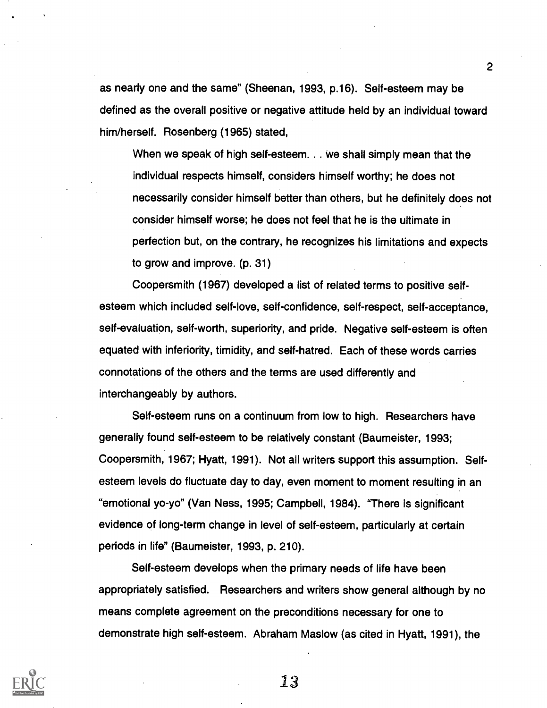as nearly one and the same" (Sheenan, 1993, p.16). Self-esteem may be defined as the overall positive or negative attitude held by an individual toward him/herself. Rosenberg (1965) stated,

When we speak of high self-esteem. . . we shall simply mean that the individual respects himself, considers himself worthy; he does not necessarily consider himself better than others, but he definitely does not consider himself worse; he does not feel that he is the ultimate in perfection but, on the contrary, he recognizes his limitations and expects to grow and improve. (p. 31)

Coopersmith (1967) developed a list of related terms to positive selfesteem which included self-love, self-confidence, self-respect, self-acceptance, self-evaluation, self-worth, superiority, and pride. Negative self-esteem is often equated with inferiority, timidity, and self-hatred. Each of these words carries connotations of the others and the terms are used differently and interchangeably by authors.

Self-esteem runs on a continuum from low to high. Researchers have generally found self-esteem to be relatively constant (Baumeister, 1993; Coopersmith, 1967; Hyatt, 1991). Not all writers support this assumption. Selfesteem levels do fluctuate day to day, even moment to moment resulting in an "emotional yo-yo" (Van Ness, 1995; Campbell, 1984). "There is significant evidence of long-term change in level of self-esteem, particularly at certain periods in life" (Baumeister, 1993, p. 210).

Self-esteem develops when the primary needs of life have been appropriately satisfied. Researchers and writers show general although by no means complete agreement on the preconditions necessary for one to demonstrate high self-esteem. Abraham Maslow (as cited in Hyatt, 1991), the



13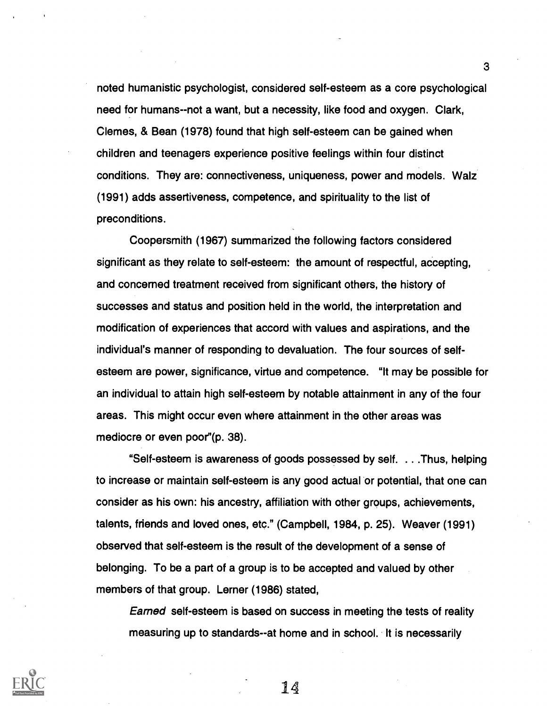noted humanistic psychologist, considered self-esteem as a core psychological need for humans - -not a want, but a necessity, like food and oxygen. Clark, Clemes, & Bean (1978) found that high self-esteem can be gained when children and teenagers experience positive feelings within four distinct conditions. They are: connectiveness, uniqueness, power and models. Walz (1991) adds assertiveness, competence, and spirituality to the list of preconditions.

Coopersmith (1967) summarized the following factors considered significant as they relate to self-esteem: the amount of respectful, accepting, and concerned treatment received from significant others, the history of successes and status and position held in the world, the interpretation and modification of experiences that accord with values and aspirations, and the individual's manner of responding to devaluation. The four sources of selfesteem are power, significance, virtue and competence. "It may be possible for an individual to attain high self-esteem by notable attainment in any of the four areas. This might occur even where attainment in the other areas was mediocre or even poor"(p. 38).

"Self-esteem is awareness of goods possessed by self. . . .Thus, helping to increase or maintain self-esteem is any good actual or potential, that one can consider as his own: his ancestry, affiliation with other groups, achievements, talents, friends and loved ones, etc." (Campbell, 1984, p. 25). Weaver (1991) observed that self-esteem is the result of the development of a sense of belonging. To be a part of a group is to be accepted and valued by other members of that group. Lerner (1986) stated,

Earned self-esteem is based on success in meeting the tests of reality measuring up to standards--at home and in school. It is necessarily



14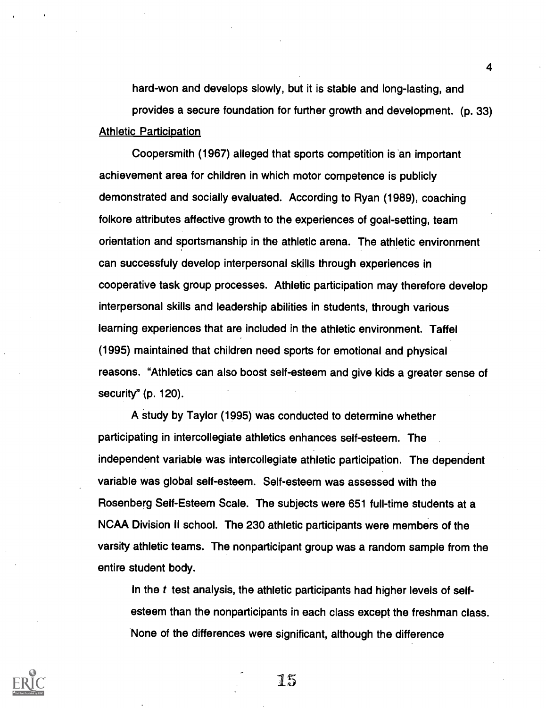hard-won and develops slowly, but it is stable and long-lasting, and provides a secure foundation for further growth and development. (p. 33) Athletic Participation

Coopersmith (1967) alleged that sports competition is an important achievement area for children in which motor competence is publicly demonstrated and socially evaluated. According to Ryan (1989), coaching folkore attributes affective growth to the experiences of goal-setting, team orientation and sportsmanship in the athletic arena. The athletic environment can successfuly develop interpersonal skills through experiences in cooperative task group processes. Athletic participation may therefore develop interpersonal skills and leadership abilities in students, through various learning experiences that are included in the athletic environment. Taffel (1995) maintained that children need sports for emotional and physical reasons. "Athletics can also boost self-esteem and give kids a greater sense of security" (p. 120).

A study by Taylor (1995) was conducted to determine whether participating in intercollegiate athletics enhances self-esteem. The independent variable was intercollegiate athletic participation. The dependent variable was global self-esteem. Self-esteem was assessed with the Rosenberg Self-Esteem Scale. The subjects were 651 full-time students at a NCAA Division II school. The 230 athletic participants were members of the varsity athletic teams. The nonparticipant group was a random sample from the entire student body.

In the  $t$  test analysis, the athletic participants had higher levels of selfesteem than the nonparticipants in each class except the freshman class. None of the differences were significant, although the difference



15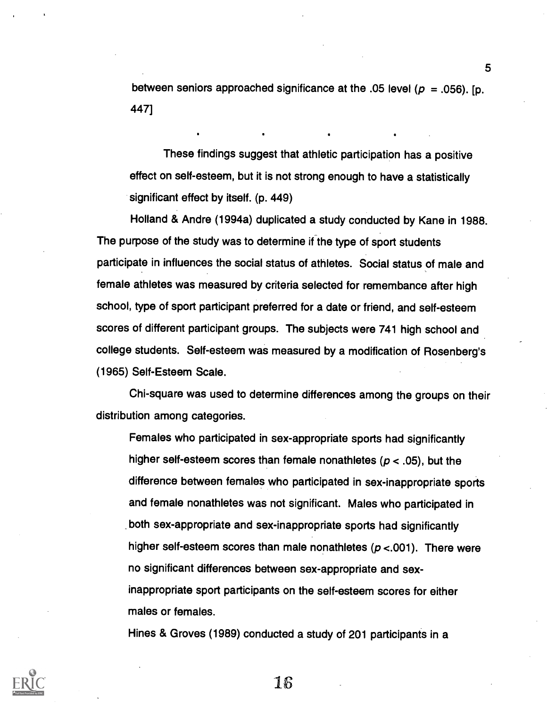between seniors approached significance at the .05 level ( $p = .056$ ). [p. 447]

These findings suggest that athletic participation has a positive effect on self-esteem, but it is not strong enough to have a statistically significant effect by itself. (p. 449)

Holland & Andre (1994a) duplicated a study conducted by Kane in 1988. The purpose of the study was to determine if the type of sport students participate in influences the social status of athletes. Social status of male and female athletes was measured by criteria selected for remembance after high school, type of sport participant preferred for a date or friend, and self-esteem scores of different participant groups. The subjects were 741 high school and college students. Self-esteem was measured by a modification of Rosenberg's (1965) Self-Esteem Scale.

Chi-square was used to determine differences among the groups on their distribution among categories.

Females who participated in sex-appropriate sports had significantly higher self-esteem scores than female nonathletes ( $p < .05$ ), but the difference between females who participated in sex-inappropriate sports and female nonathletes was not significant. Males who participated in both sex-appropriate and sex-inappropriate sports had significantly higher self-esteem scores than male nonathletes ( $p < 001$ ). There were no significant differences between sex-appropriate and sexinappropriate sport participants on the self-esteem scores for either males or females.

Hines & Groves (1989) conducted a study of 201 participants in a



Is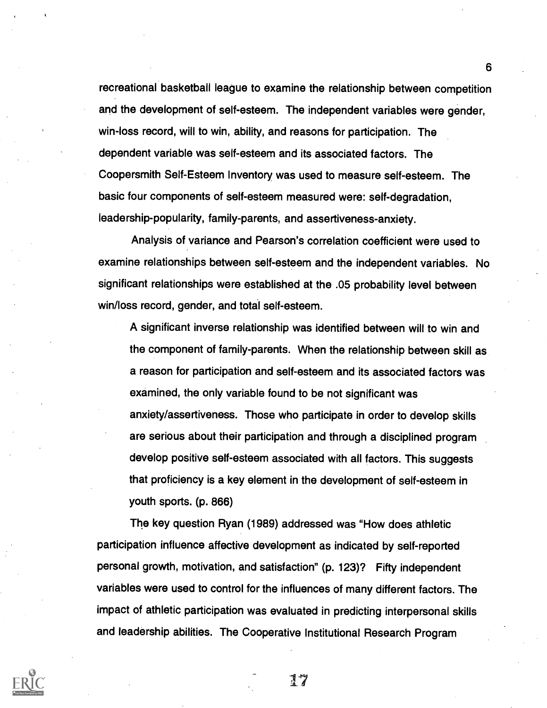recreational basketball league to examine the relationship between competition and the development of self-esteem. The independent variables were gender, win-loss record, will to win, ability, and reasons for participation. The dependent variable was self-esteem and its associated factors. The Coopersmith Self-Esteem Inventory was used to measure self-esteem. The basic four components of self-esteem measured were: self-degradation, leadership-popularity, family-parents, and assertiveness-anxiety.

Analysis of variance and Pearson's correlation coefficient were used to examine relationships between self-esteem and the independent variables. No significant relationships were established at the .05 probability level between win/loss record, gender, and total self-esteem.

A significant inverse relationship was identified between will to win and the component of family-parents. When the relationship between skill as a reason for participation and self-esteem and its associated factors was examined, the only variable found to be not significant was anxiety/assertiveness. Those who participate in order to develop skills are serious about their participation and through a disciplined program develop positive self-esteem associated with all factors. This suggests that proficiency is a key element in the development of self-esteem in youth sports. (p. 866)

The key question Ryan (1989) addressed was "How does athletic participation influence affective development as indicated by self-reported personal growth, motivation, and satisfaction" (p. 123)? Fifty independent variables were used to control for the influences of many different factors. The impact of athletic participation was evaluated in predicting interpersonal skills and leadership abilities. The Cooperative Institutional Research Program



17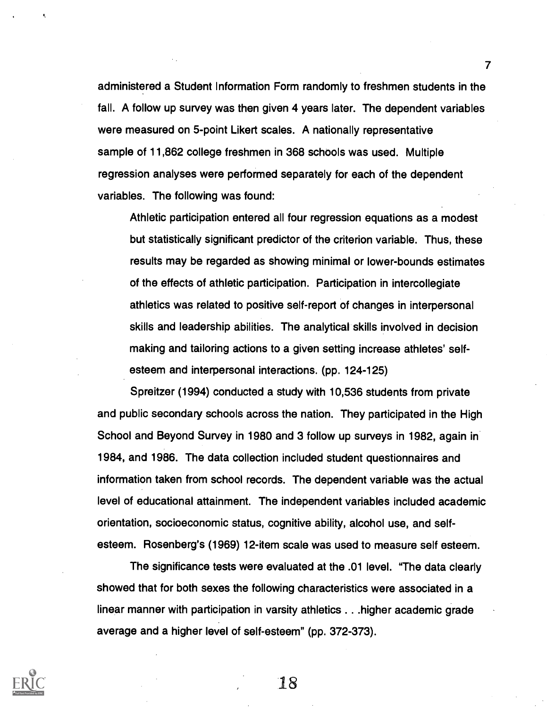administered a Student Information Form randomly to freshmen students in the fall. A follow up survey was then given 4 years later. The dependent variables were measured on 5-point Likert scales. A nationally representative sample of 11,862 college freshmen in 368 schools was used. Multiple regression analyses were performed separately for each of the dependent variables. The following was found:

7

Athletic participation entered all four regression equations as a modest but statistically significant predictor of the criterion variable. Thus, these results may be regarded as showing minimal or lower-bounds estimates of the effects of athletic participation. Participation in intercollegiate athletics was related to positive self-report of changes in interpersonal skills and leadership abilities. The analytical skills involved in decision making and tailoring actions to a given setting increase athletes' selfesteem and interpersonal interactions. (pp. 124-125)

Spreitzer (1994) conducted a study with 10,536 students from private and public secondary schools across the nation. They participated in the High School and Beyond Survey in 1980 and 3 follow up surveys in 1982, again in 1984, and 1986. The data collection included student questionnaires and information taken from school records. The dependent variable was the actual level of educational attainment. The independent variables included academic orientation, socioeconomic status, cognitive ability, alcohol use, and selfesteem. Rosenberg's (1969) 12-item scale was used to measure self esteem.

The significance tests were evaluated at the .01 level. "The data clearly showed that for both sexes the following characteristics were associated in a linear manner with participation in varsity athletics . . .higher academic grade average and a higher level of self-esteem" (pp. 372-373).

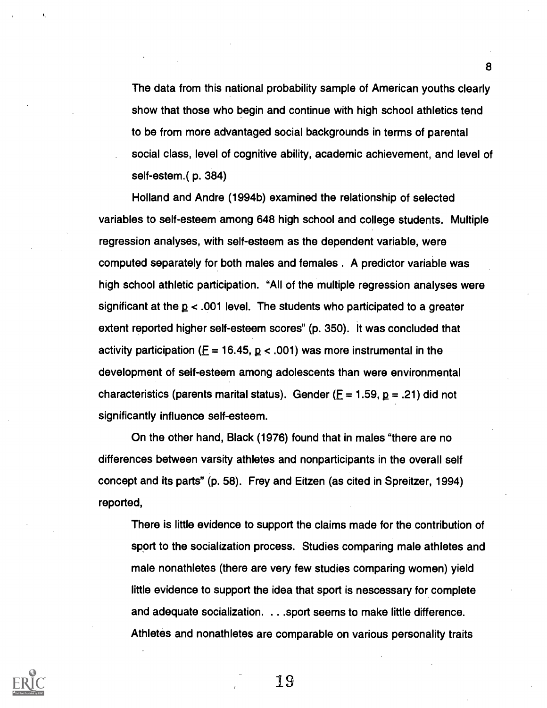The data from this national probability sample of American youths clearly show that those who begin and continue with high school athletics tend to be from more advantaged social backgrounds in terms of parental social class, level of cognitive ability, academic achievement, and level of self-estem.( p. 384)

Holland and Andre (1994b) examined the relationship of selected variables to self-esteem among 648 high school and college students. Multiple regression analyses, with self-esteem as the dependent variable, were computed separately for both males and females . A predictor variable was high school athletic participation. "All of the multiple regression analyses were significant at the  $p < .001$  level. The students who participated to a greater extent reported higher self-esteem scores" (p. 350). It was concluded that activity participation ( $E = 16.45$ ,  $p < .001$ ) was more instrumental in the development of self-esteem among adolescents than were environmental characteristics (parents marital status). Gender ( $F = 1.59$ ,  $p = .21$ ) did not significantly influence self-esteem.

On the other hand, Black (1976) found that in males "there are no differences between varsity athletes and nonparticipants in the overall self concept and its parts" (p. 58). Frey and Eitzen (as cited in Spreitzer, 1994) reported,

There is little evidence to support the claims made for the contribution of sport to the socialization process. Studies comparing male athletes and male nonathletes (there are very few studies comparing women) yield little evidence to support the idea that sport is nescessary for complete and adequate socialization. . . . sport seems to make little difference. Athletes and nonathletes are comparable on various personality traits



19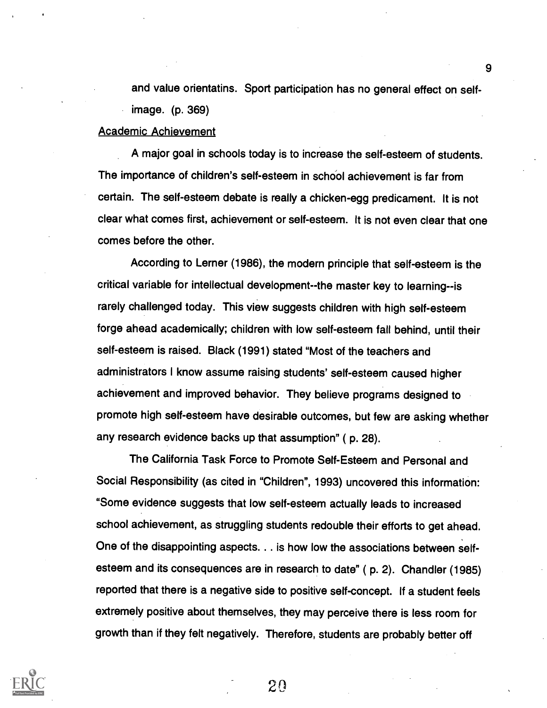and value orientatins. Sport participation has no general effect on selfimage. (p. 369)

#### Academic Achievement

A major goal in schools today is to increase the self-esteem of students. The importance of children's self-esteem in school achievement is far from certain. The self-esteem debate is really a chicken-egg predicament. It is not clear what comes first, achievement or self-esteem. It is not even clear that one comes before the other.

According to Lerner (1986), the modern principle that self-esteem is the critical variable for intellectual development--the master key to learning--is rarely challenged today. This view suggests children with high self-esteem forge ahead academically; children with low self-esteem fall behind, until their self-esteem is raised. Black (1991) stated "Most of the teachers and administrators I know assume raising students' self-esteem caused higher achievement and improved behavior. They believe programs designed to promote high self-esteem have desirable outcomes, but few are asking whether any research evidence backs up that assumption" ( p. 28).

The California Task Force to Promote Self-Esteem and Personal and Social Responsibility (as cited in "Children", 1993) uncovered this information: "Some evidence suggests that low self-esteem actually leads to increased school achievement, as struggling students redouble their efforts to get ahead. One of the disappointing aspects. . . is how low the associations between selfesteem and its consequences are in research to date" ( p. 2). Chandler (1985) reported that there is a negative side to positive self-concept. If a student feels extremely positive about themselves, they may perceive there is less room for growth than if they felt negatively. Therefore, students are probably better off

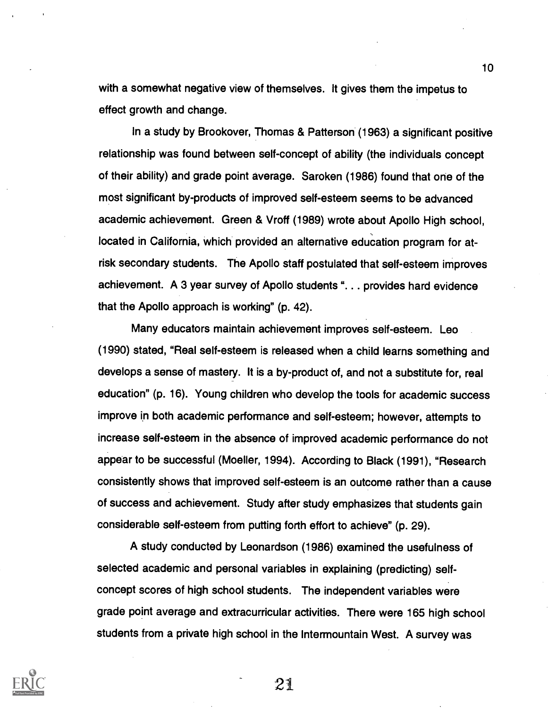with a somewhat negative view of themselves. It gives them the impetus to effect growth and change.

In a study by Brookover, Thomas & Patterson (1963) a significant positive relationship was found between self-concept of ability (the individuals concept of their ability) and grade point average. Saroken (1986) found that one of the most significant by-products of improved self-esteem seems to be advanced academic achievement. Green & Vroff (1989) wrote about Apollo High school, located in California, which provided an alternative education program for atrisk secondary students. The Apollo staff postulated that self-esteem improves achievement. A 3 year survey of Apollo students ". . . provides hard evidence that the Apollo approach is working" (p. 42).

Many educators maintain achievement improves self-esteem. Leo (1990) stated, "Real self-esteem is released when a child learns something and develops a sense of mastery. It is a by-product of, and not a substitute for, real education" (p. 16). Young children who develop the tools for academic success improve in both academic performance and self-esteem; however, attempts to increase self-esteem in the absence of improved academic performance do not appear to be successful (Moeller, 1994). According to Black (1991), "Research consistently shows that improved self-esteem is an outcome rather than a cause of success and achievement. Study after study emphasizes that students gain considerable self-esteem from putting forth effort to achieve" (p. 29).

A study conducted by Leonardson (1986) examined the usefulness of selected academic and personal variables in explaining (predicting) selfconcept scores of high school students. The independent variables were grade point average and extracurricular activities. There were 165 high school students from a private high school in the Intermountain West. A survey was



21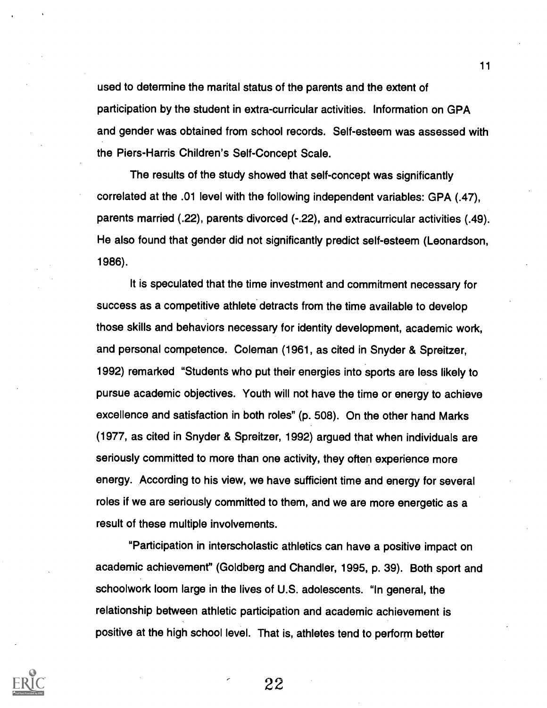used to determine the marital status of the parents and the extent of participation by the student in extra-curricular activities. Information on GPA and gender was obtained from school records. Self-esteem was assessed with the Piers-Harris Children's Self-Concept Scale.

The results of the study showed that self-concept was significantly correlated at the .01 level with the following independent variables: GPA (.47), parents married (.22), parents divorced (-.22), and extracurricular activities (.49). He also found that gender did not significantly predict self-esteem (Leonardson, 1986).

It is speculated that the time investment and commitment necessary for success as a competitive athlete detracts from the time available to develop those skills and behaviors necessary for identity development, academic work, and personal competence. Coleman (1961, as cited in Snyder & Spreitzer, 1992) remarked "Students who put their energies into sports are less likely to pursue academic objectives. Youth will not have the time or energy to achieve excellence and satisfaction in both roles" (p. 508). On the other hand Marks (1977, as cited in Snyder & Spreitzer, 1992) argued that when individuals are seriously committed to more than one activity, they often experience more energy. According to his view, we have sufficient time and energy for several roles if we are seriously committed to them, and we are more energetic as a result of these multiple involvements.

"Participation in interscholastic athletics can have a positive impact on academic achievement" (Goldberg and Chandler, 1995, p. 39). Both sport and schoolwork loom large in the lives of U.S. adolescents. "In general, the relationship between athletic participation and academic achievement is positive at the high school level. That is, athletes tend to perform better



11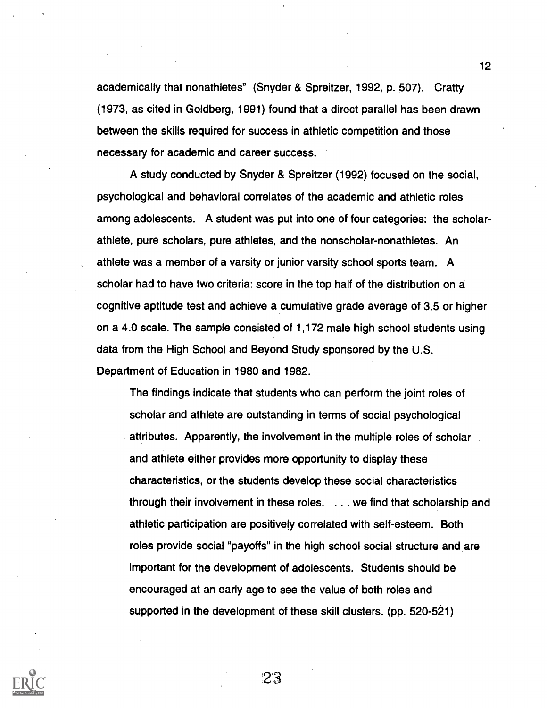academically that nonathletes" (Snyder & Spreitzer, 1992, p. 507). Crafty (1973, as cited in Goldberg, 1991) found that a direct parallel has been drawn between the skills required for success in athletic competition and those necessary for academic and career success.

A study conducted by Snyder & Spreitzer (1992) focused on the social, psychological and behavioral correlates of the academic and athletic roles among adolescents. A student was put into one of four categories: the scholarathlete, pure scholars, pure athletes, and the nonscholar-nonathletes. An athlete was a member of a varsity or junior varsity school sports team. A scholar had to have two criteria: score in the top half of the distribution on a cognitive aptitude test and achieve a cumulative grade average of 3.5 or higher on a 4.0 scale. The sample consisted of 1,172 male high school students using data from the High School and Beyond Study sponsored by the U.S. Department of Education in 1980 and 1982.

The findings indicate that students who can perform the joint roles of scholar and athlete are outstanding in terms of social psychological attributes. Apparently, the involvement in the multiple roles of scholar and athlete either provides more opportunity to display these characteristics, or the students develop these social characteristics through their involvement in these roles. . . . we find that scholarship and athletic participation are positively correlated with self-esteem. Both roles provide social "payoffs" in the high school social structure and are important for the development of adolescents. Students should be encouraged at an early age to see the value of both roles and supported in the development of these skill clusters. (pp. 520-521)



23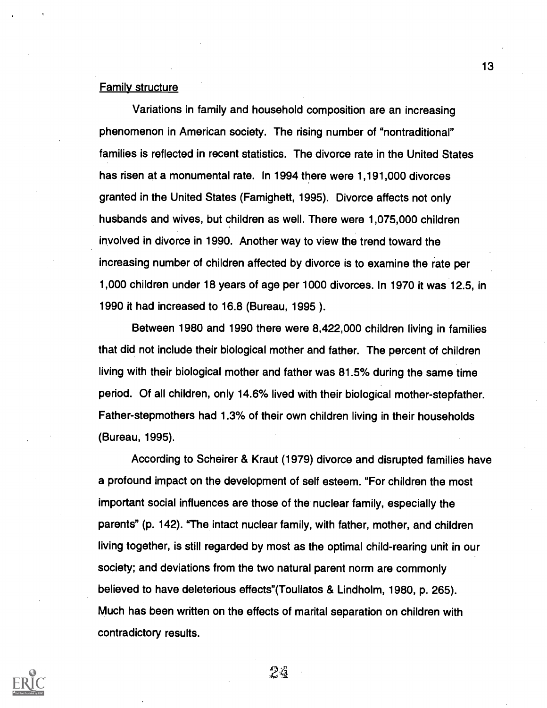#### **Family structure**

Variations in family and household composition are an increasing phenomenon in American society. The rising number of "nontraditional" families is reflected in recent statistics. The divorce rate in the United States has risen at a monumental rate. In 1994 there were 1,191,000 divorces granted in the United States (Famighett, 1995). Divorce affects not only husbands and wives, but children as well. There were 1,075,000 children involved in divorce in 1990. Another way to view the trend toward the increasing number of children affected by divorce is to examine the rate per 1,000 children under 18 years of age per 1000 divorces. In 1970 it was 12.5, in 1990 it had increased to 16.8 (Bureau, 1995 ).

Between 1980 and 1990 there were 8,422,000 children living in families that did not include their biological mother and father. The percent of children living with their biological mother and father was 81.5% during the same time period. Of all children, only 14.6% lived with their biological mother-stepfather. Father-stepmothers had 1.3% of their own children living in their households (Bureau, 1995).

According to Scheirer & Kraut (1979) divorce and disrupted families have a profound impact on the development of self esteem. "For children the most important social influences are those of the nuclear family, especially the parents" (p. 142). "The intact nuclear family, with father, mother, and children living together, is still regarded by most as the optimal child-rearing unit in our society; and deviations from the two natural parent norm are commonly believed to have deleterious effects"(Touliatos & Lindholm, 1980, p. 265). Much has been written on the effects of marital separation on children with contradictory results.



24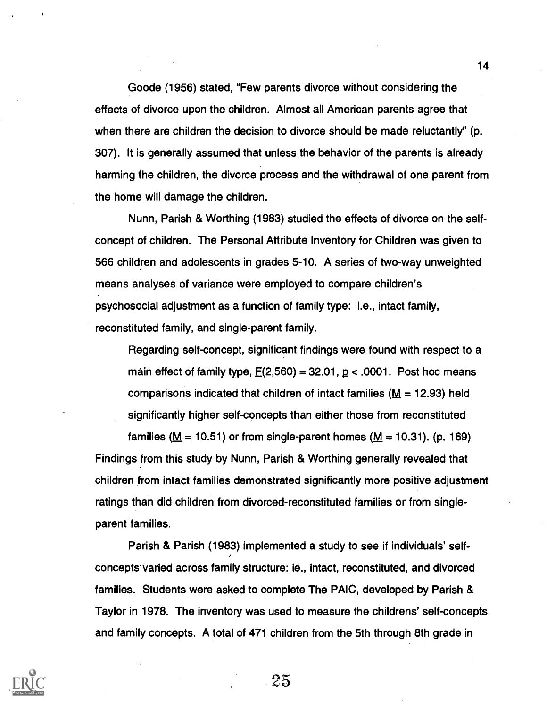Goode (1956) stated, "Few parents divorce without considering the effects of divorce upon the children. Almost all American parents agree that when there are children the decision to divorce should be made reluctantly" (p. 307). It is generally assumed that unless the behavior of the parents is already harming the children, the divorce process and the withdrawal of one parent from the home will damage the children.

Nunn, Parish & Worthing (1983) studied the effects of divorce on the selfconcept of children. The Personal Attribute Inventory for Children was given to 566 children and adolescents in grades 5-10. A series of two-way unweighted means analyses of variance were employed to compare children's psychosocial adjustment as a function of family type: i.e., intact family, reconstituted family, and single-parent family.

Regarding self-concept, significant findings were found with respect to a main effect of family type,  $E(2,560) = 32.01$ ,  $p < .0001$ . Post hoc means comparisons indicated that children of intact families ( $M = 12.93$ ) held significantly higher self-concepts than either those from reconstituted

families ( $M = 10.51$ ) or from single-parent homes ( $M = 10.31$ ). (p. 169) Findings from this study by Nunn, Parish & Worthing generally revealed that children from intact families demonstrated significantly more positive adjustment ratings than did children from divorced-reconstituted families or from singleparent families.

Parish & Parish (1983) implemented a study to see if individuals' selfconcepts varied across family structure: ie., intact, reconstituted, and divorced families. Students were asked to complete The PAIC, developed by Parish & Taylor in 1978. The inventory was used to measure the childrens' self-concepts and family concepts. A total of 471 children from the 5th through 8th grade in

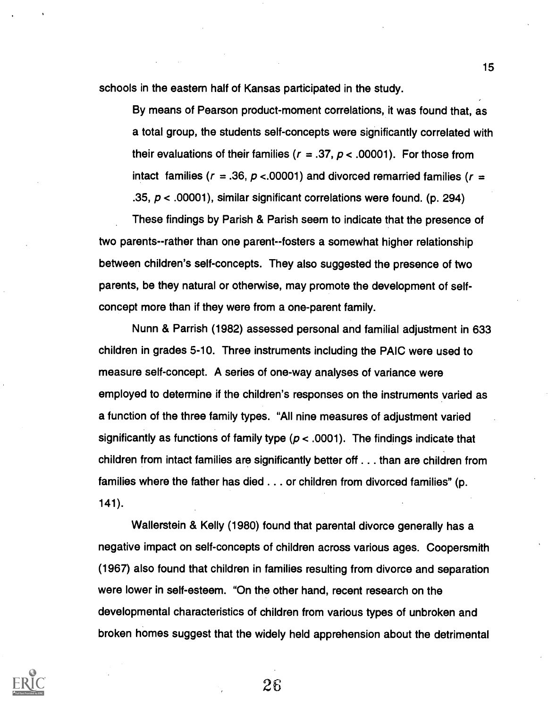schools in the eastern half of Kansas participated in the study.

By means of Pearson product-moment correlations, it was found that, as a total group, the students self-concepts were significantly correlated with their evaluations of their families ( $r = .37$ ,  $p < .00001$ ). For those from intact families ( $r = .36$ ,  $p < .00001$ ) and divorced remarried families ( $r =$ .35,  $p < .00001$ ), similar significant correlations were found. (p. 294)

These findings by Parish & Parish seem to indicate that the presence of two parents--rather than one parent--fosters a somewhat higher relationship between children's self-concepts. They also suggested the presence of two parents, be they natural or otherwise, may promote the development of selfconcept more than if they were from a one-parent family.

Nunn & Parrish (1982) assessed personal and familial adjustment in 633 children in grades 5-10. Three instruments including the PAIC were used to measure self-concept. A series of one-way analyses of variance were employed to determine if the children's responses on the instruments varied as a function of the three family types. "All nine measures of adjustment varied significantly as functions of family type ( $p < .0001$ ). The findings indicate that children from intact families are significantly better off . . . than are children from families where the father has died . . . or children from divorced families" (p. 141).

Wallerstein & Kelly (1980) found that parental divorce generally has a negative impact on self-concepts of children across various ages. Coopersmith (1967) also found that children in families resulting from divorce and separation were lower in self-esteem. "On the other hand, recent research on the developmental characteristics of children from various types of unbroken and broken homes suggest that the widely held apprehension about the detrimental



15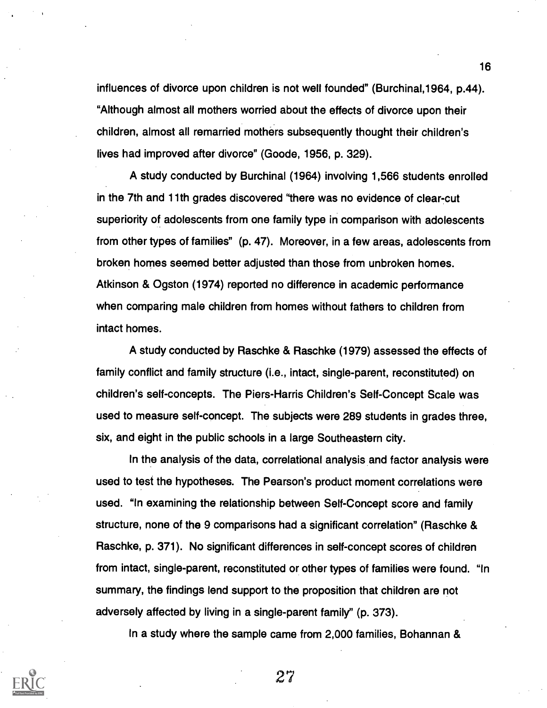influences of divorce upon children is not well founded" (Burchinal,1964, p.44). "Although almost all mothers worried about the effects of divorce upon their children, almost all remarried mothers subsequently thought their children's lives had improved after divorce" (Goode, 1956, p. 329).

A study conducted by Burchinal (1964) involving 1,566 students enrolled in the 7th and 11th grades discovered "there was no evidence of clear-cut superiority of adolescents from one family type in comparison with adolescents from other types of families" (p. 47). Moreover, in a few areas, adolescents from broken homes seemed better adjusted than those from unbroken homes. Atkinson & Ogston (1974) reported no difference in academic performance when comparing male children from homes without fathers to children from intact homes.

A study conducted by Raschke & Raschke (1979) assessed the effects of family conflict and family structure (i.e., intact, single-parent, reconstituted) on children's self-concepts. The Piers-Harris Children's Self-Concept Scale was used to measure self-concept. The subjects were 289 students in grades three, six, and eight in the public schools in a large Southeastern city.

In the analysis of the data, correlational analysis and factor analysis were used to test the hypotheses. The Pearson's product moment correlations were used. "In examining the relationship between Self-Concept score and family structure, none of the 9 comparisons had a significant correlation" (Raschke & Raschke, p. 371). No significant differences in self-concept scores of children from intact, single-parent, reconstituted or other types of families were found. "In summary, the findings lend support to the proposition that children are not adversely affected by living in a single-parent family" (p. 373).

In a study where the sample came from 2,000 families, Bohannan &



27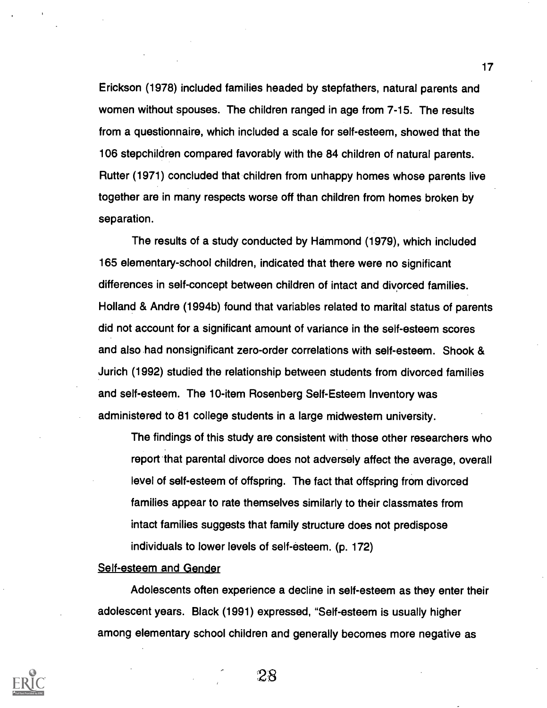Erickson (1978) included families headed by stepfathers, natural parents and women without spouses. The children ranged in age from 7-15. The results from a questionnaire, which included a scale for self-esteem, showed that the 106 stepchildren compared favorably with the 84 children of natural parents. Rutter (1971) concluded that children from unhappy homes whose parents live together are in many respects worse off than children from homes broken by separation.

The results of a study conducted by Hammond (1979), which included 165 elementary-school children, indicated that there were no significant differences in self-concept between children of intact and divorced families. Holland & Andre (1994b) found that variables related to marital status of parents did not account for a significant amount of variance in the self-esteem scores and also had nonsignificant zero-order correlations with self-esteem. Shook & Jurich (1992) studied the relationship between students from divorced families and self-esteem. The 10-item Rosenberg Self-Esteem Inventory was administered to 81 college students in a large midwestem university.

The findings of this study are consistent with those other researchers who report 'that parental divorce does not adversely affect the average, overall level of self-esteem of offspring. The fact that offspring from divorced families appear to rate themselves similarly to their classmates from intact families suggests that family structure does not predispose individuals to lower levels of self-esteem. (p. 172)

#### Self-esteem and Gender

Adolescents often experience a decline in self-esteem as they enter their adolescent years. Black (1991) expressed, "Self-esteem is usually higher among elementary school children and generally becomes more negative as



28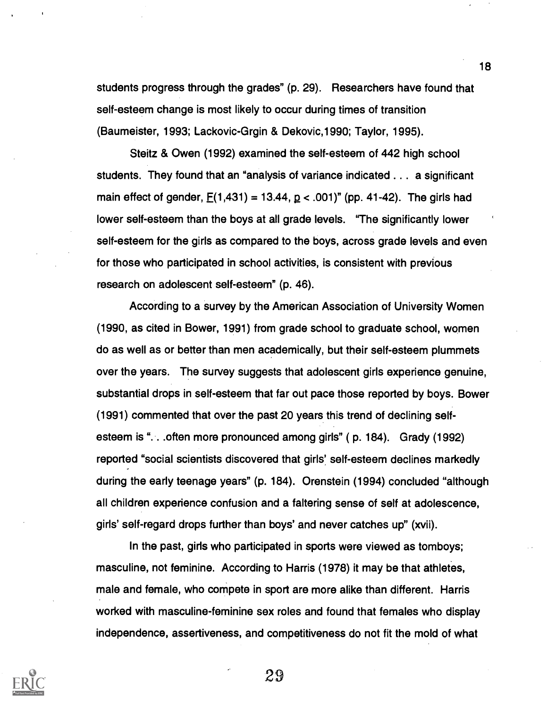students progress through the grades" (p. 29). Researchers have found that self-esteem change is most likely to occur during times of transition (Baumeister, 1993; Lackovic-Grgin & Dekovic,1990; Taylor, 1995).

Steitz & Owen (1992) examined the self-esteem of 442 high school students. They found that an "analysis of variance indicated . . . a significant main effect of gender,  $E(1,431) = 13.44$ ,  $p < .001$ " (pp. 41-42). The girls had lower self-esteem than the boys at all grade levels. "The significantly lower self-esteem for the girls as compared to the boys, across grade levels and even for those who participated in school activities, is consistent with previous research on adolescent self-esteem" (p. 46).

According to a survey by the American Association of University Women (1990, as cited in Bower, 1991) from grade school to graduate school, women do as well as or better than men academically, but their self-esteem plummets over the years. The survey suggests that adolescent girls experience genuine, substantial drops in self-esteem that far out pace those reported by boys. Bower (1991) commented that over the past 20 years this trend of declining selfesteem is "... often more pronounced among girls" (p. 184). Grady (1992) reported "social scientists discovered that girls' self-esteem declines markedly during the early teenage years" (p. 184). Orenstein (1994) concluded "although all children experience confusion and a faltering sense of self at adolescence, girls' self-regard drops further than boys' and never catches up" (xvii).

In the past, girls who participated in sports were viewed as tomboys; masculine, not feminine. According to Harris (1978) it may be that athletes, male and female, who compete in sport are more alike than different. Harris worked with masculine-feminine sex roles and found that females who display independence, assertiveness, and competitiveness do not fit the mold of what



29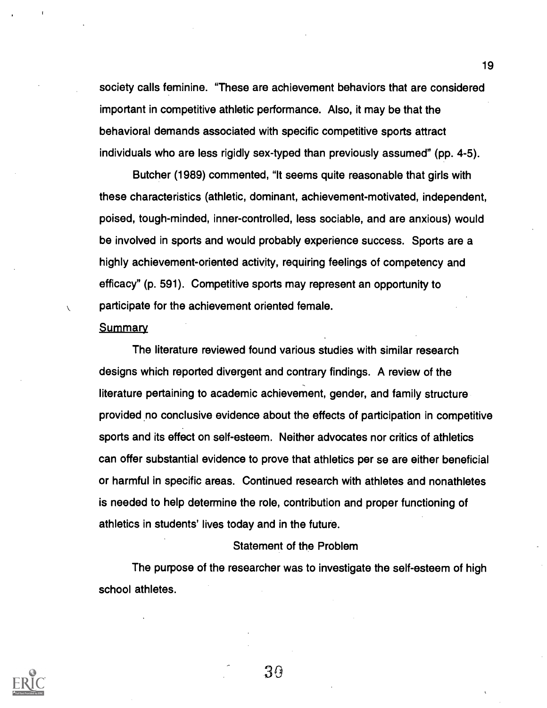society calls feminine. "These are achievement behaviors that are considered important in competitive athletic performance. Also, it may be that the behavioral demands associated with specific competitive sports attract individuals who are less rigidly sex-typed than previously assumed" (pp. 4-5).

Butcher (1989) commented, "It seems quite reasonable that girls with these characteristics (athletic, dominant, achievement-motivated, independent, poised, tough-minded, inner-controlled, less sociable, and are anxious) would be involved in sports and would probably experience success. Sports are a highly achievement-oriented activity, requiring feelings of competency and efficacy" (p. 591). Competitive sports may represent an opportunity to participate for the achievement oriented female.

#### **Summary**

The literature reviewed found various studies with similar research designs which reported divergent and contrary findings. A review of the literature pertaining to academic achievement, gender, and family structure provided no conclusive evidence about the effects of participation in competitive sports and its effect on self-esteem. Neither advocates nor critics of athletics can offer substantial evidence to prove that athletics per se are either beneficial or harmful in specific areas. Continued research with athletes and nonathletes is needed to help determine the role, contribution and proper functioning of athletics in students' lives today and in the future.

#### Statement of the Problem

The purpose of the researcher was to investigate the self-esteem of high school athletes.



30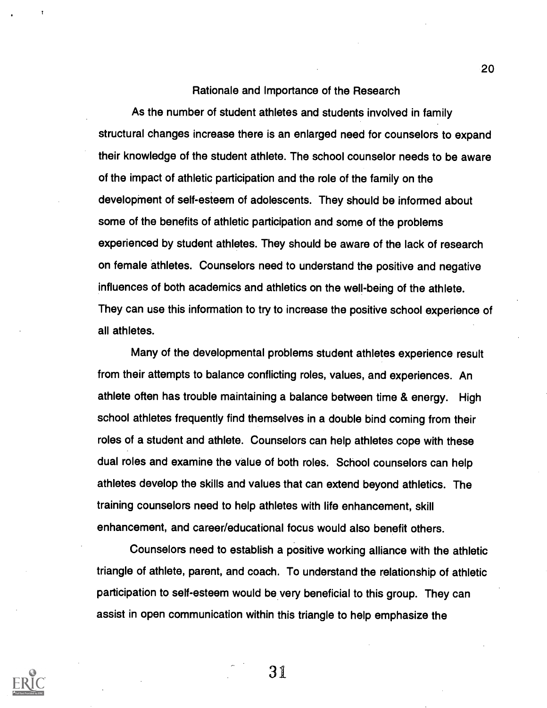#### Rationale and Importance of the Research

As the number of student athletes and students involved in family structural changes increase there is an enlarged need for counselors to expand their knowledge of the student athlete. The school counselor needs to be aware of the impact of athletic participation and the role of the family on the development of self-esteem of adolescents. They should be informed about some of the benefits of athletic participation and some of the problems experienced by student athletes. They should be aware of the lack of research on female athletes. Counselors need to understand the positive and negative influences of both academics and athletics on the well-being of the athlete. They can use this information to try to increase the positive school experience of all athletes.

Many of the developmental problems student athletes experience result from their attempts to balance conflicting roles, values, and experiences. An athlete often has trouble maintaining a balance between time & energy. High school athletes frequently find themselves in a double bind coming from their roles of a student and athlete. Counselors can help athletes cope with these dual roles and examine the value of both roles. School counselors can help athletes develop the skills and values that can extend beyond athletics. The training counselors need to help athletes with life enhancement, skill enhancement, and career/educational focus would also benefit others.

Counselors need to establish a positive working alliance with the athletic triangle of athlete, parent, and coach. To understand the relationship of athletic participation to self-esteem would be very beneficial to this group. They can assist in open communication within this triangle to help emphasize the



31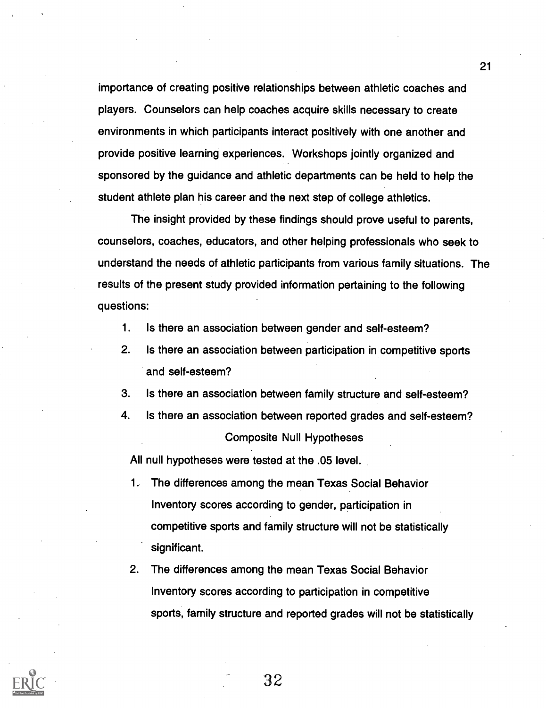importance of creating positive relationships between athletic coaches and players. Counselors can help coaches acquire skills necessary to create environments in which participants interact positively with one another and provide positive learning experiences. Workshops jointly organized and sponsored by the guidance and athletic departments can be held to help the student athlete plan his career and the next step of college athletics.

The insight provided by these findings should prove useful to parents, counselors, coaches, educators, and other helping professionals who seek to understand the needs of athletic participants from various family situations. The results of the present study provided information pertaining to the following questions:

- 1. Is there an association between gender and self-esteem?
- 2. Is there an association between participation in competitive sports and self-esteem?
- 3. Is there an association between family structure and self-esteem?
- 4. Is there an association between reported grades and self-esteem? Composite Null Hypotheses

All null hypotheses were tested at the .05 level.

- 1. The differences among the mean Texas Social Behavior Inventory scores according to gender, participation in competitive sports and family structure will not be statistically significant.
- 2. The differences among the mean Texas Social Behavior Inventory scores according to participation in competitive sports, family structure and reported grades will not be statistically



32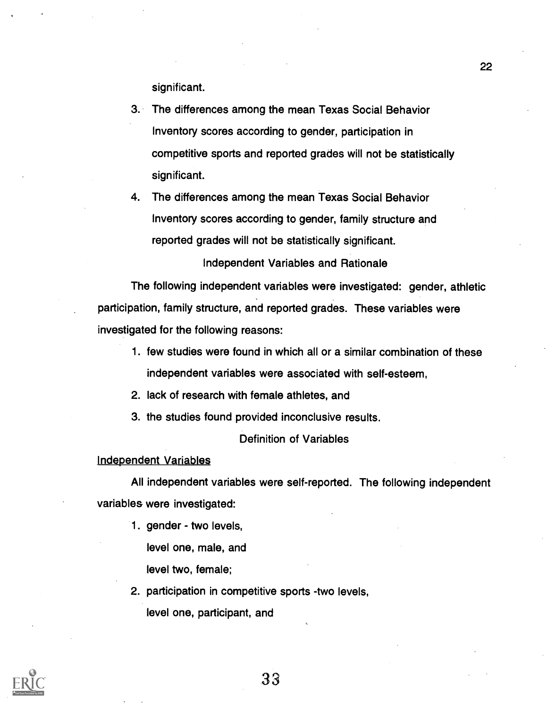significant.

- 3. The differences among the mean Texas Social Behavior Inventory scores according to gender, participation in competitive sports and reported grades will not be statistically significant.
- 4. The differences among the mean Texas Social Behavior Inventory scores according to gender, family structure and reported grades will not be statistically significant.

Independent Variables and Rationale

The following independent variables were investigated: gender, athletic participation, family structure, and reported grades. These variables were investigated for the following reasons:

- 1. few studies were found in which all or a similar combination of these independent variables were associated with self-esteem,
- 2. lack of research with female athletes, and
- 3. the studies found provided inconclusive results.

#### Definition of Variables

#### Independent Variables

All independent variables were self-reported. The following independent variables were investigated:

- 1. gender two levels, level one, male, and level two, female;
- 2. participation in competitive sports -two levels, level one, participant, and

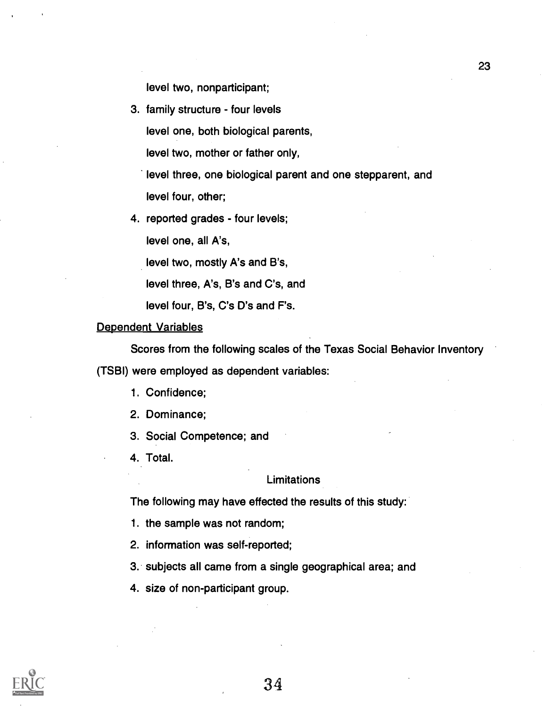level two, nonparticipant;

3. family structure - four levels

level one, both biological parents,

level two, mother or father only,

level three, one biological parent and one stepparent, and level four, other;

4. reported grades - four levels;

level one, all A's,

level two, mostly A's and B's,

level three, A's, B's and C's, and

level four, B's, C's D's and F's.

#### Dependent Variables

Scores from the following scales of the Texas Social Behavior Inventory

(TSBI) were employed as dependent variables:

- 1. Confidence;
- 2. Dominance;
- 3. Social Competence; and
- 4. Total.

#### **Limitations**

The following may have effected the results of this study:

- 1. the sample was not random;
- 2. information was self-reported;
- 3. subjects all came from a single geographical area; and
- 4. size of non-participant group.

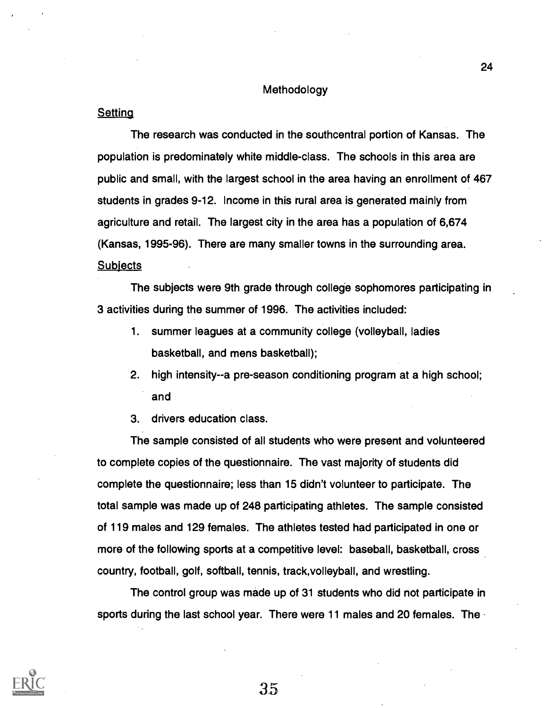#### Methodology

#### **Setting**

The research was conducted in the southcentral portion of Kansas. The population is predominately white middle-class. The schools in this area are public and small, with the largest school in the area having an enrollment of 467 students in grades 9-12. Income in this rural area is generated mainly from agriculture and retail. The largest city in the area has a population of 6,674 (Kansas, 1995-96). There are many smaller towns in the surrounding area. **Subjects** 

The subjects were 9th grade through college sophomores participating in 3 activities during the summer of 1996. The activities included:

- 1. summer leagues at a community college (volleyball, ladies basketball, and mens basketball);
- 2. high intensity--a pre-season conditioning program at a high school; and
- 3. drivers education class.

The sample consisted of all students who were present and volunteered to complete copies of the questionnaire. The vast majority of students did complete the questionnaire; less than 15 didn't volunteer to participate. The total sample was made up of 248 participating athletes. The sample consisted of 119 males and 129 females. The athletes tested had participated in one or more of the following sports at a competitive level: baseball, basketball, cross country, football, golf, softball, tennis, track,volleyball, and wrestling.

The control group was made up of 31 students who did not participate in sports during the last school year. There were 11 males and 20 females. The



 $35\,$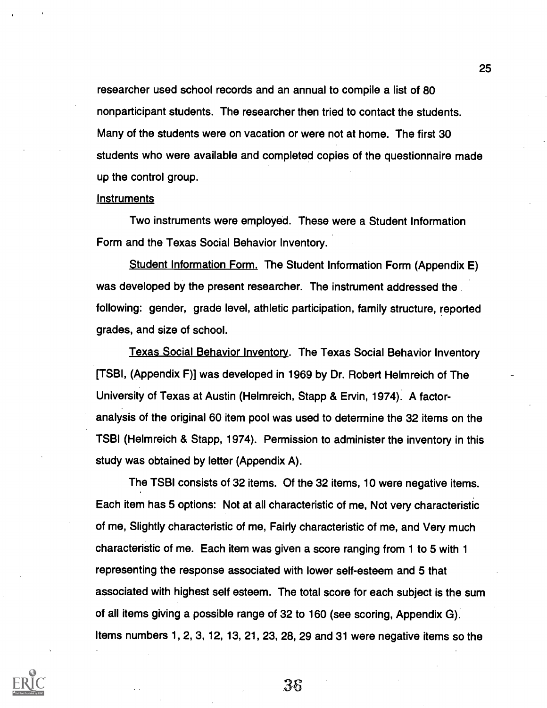researcher used school records and an annual to compile a list of 80 nonparticipant students. The researcher then tried to contact the students. Many of the students were on vacation or were not at home. The first 30 students who were available and completed copies of the questionnaire made up the control group.

25

#### **Instruments**

Two instruments were employed. These were a Student Information Form and the Texas Social Behavior Inventory.

Student Information Form. The Student Information Form (Appendix E) was developed by the present researcher. The instrument addressed the following: gender, grade level, athletic participation, family structure, reported grades, and size of school.

Texas Social Behavior Inventory. The Texas Social Behavior Inventory [TSBI, (Appendix F)] was developed in 1969 by Dr. Robert Helmreich of The University of Texas at Austin (Helmreich, Stapp & Ervin, 1974). A factoranalysis of the original 60 item pool was used to determine the 32 items on the TSBI (Helmreich & Stapp, 1974). Permission to administer the inventory in this study was obtained by letter (Appendix A).

The TSBI consists of 32 items. Of the 32 items, 10 were negative items. Each item has 5 options: Not at all characteristic of me, Not very characteristic of me, Slightly characteristic of me, Fairly characteristic of me, and Very much characteristic of me. Each item was given a score ranging from 1 to 5 with 1 representing the response associated with lower self-esteem and 5 that associated with highest self esteem. The total score for each subject is the sum of all items giving a possible range of 32 to 160 (see scoring, Appendix G). Items numbers 1, 2, 3, 12, 13, 21, 23, 28, 29 and 31 were negative items so the

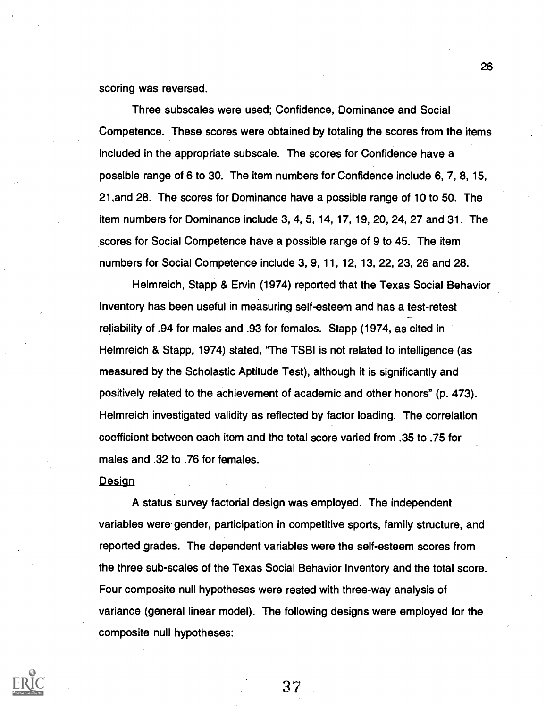scoring was reversed.

Three subscales were used; Confidence, Dominance and Social Competence. These scores were obtained by totaling the scores from the items included in the appropriate subscale. The scores for Confidence have a possible range of 6 to 30. The item numbers for Confidence include 6, 7, 8, 15, 21,and 28. The scores for Dominance have a possible range of 10 to 50. The item numbers for Dominance include 3, 4, 5, 14, 17, 19, 20, 24, 27 and 31. The scores for Social Competence have a possible range of 9 to 45. The item numbers for Social Competence include 3, 9, 11, 12, 13, 22, 23, 26 and 28.

Helmreich, Stapp & Ervin (1974) reported that the Texas Social Behavior Inventory has been useful in measuring self-esteem and has a test-retest reliability of .94 for males and .93 for females. Stapp (1974, as cited in Helmreich & Stapp, 1974) stated, "The TSBI is not related to intelligence (as measured by the Scholastic Aptitude Test), although it is significantly and positively related to the achievement of academic and other honors" (p. 473). Helmreich investigated validity as reflected by factor loading. The correlation coefficient between each item and the total score varied from .35 to .75 for males and .32 to .76 for females.

Design

A status survey factorial design was employed. The independent variables were gender, participation in competitive sports, family structure, and reported grades. The dependent variables were the self-esteem scores from the three sub-scales of the Texas Social Behavior Inventory and the total score. Four composite null hypotheses were rested with three-way analysis of variance (general linear model). The following designs were employed for the composite null hypotheses:



37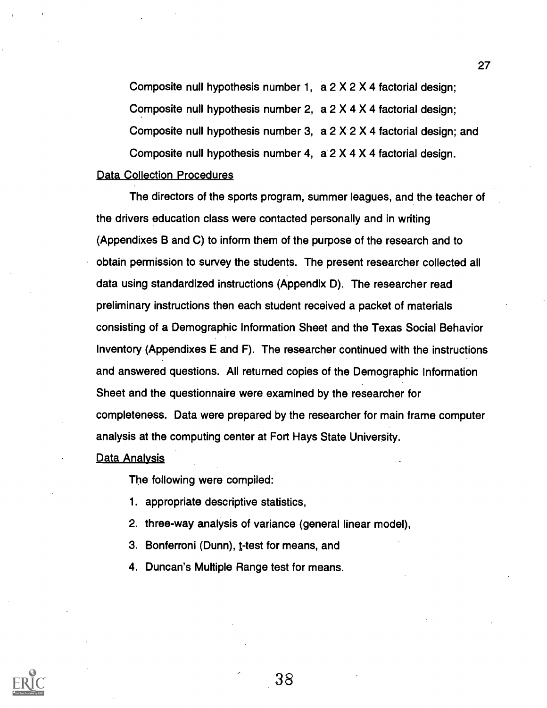Composite null hypothesis number 1, a 2 X 2 X 4 factorial design; Composite null hypothesis number 2, a 2 X 4 X 4 factorial design; Composite null hypothesis number 3,  $a 2 X 2 X 4$  factorial design; and Composite null hypothesis number 4, a 2 X 4 X 4 factorial design.

## Data Collection Procedures

The directors of the sports program, summer leagues, and the teacher of the drivers education class were contacted personally and in writing (Appendixes B and C) to inform them of the purpose of the research and to obtain permission to survey the students. The present researcher collected all data using standardized instructions (Appendix D). The researcher read preliminary instructions then each student received a packet of materials consisting of a Demographic Information Sheet and the Texas Social Behavior Inventory (Appendixes E and F). The researcher continued with the instructions and answered questions. All returned copies of the Demographic Information Sheet and the questionnaire were examined by the researcher for completeness. Data were prepared by the researcher for main frame computer analysis at the computing center at Fort Hays State University.

Data Analysis

The following were compiled:

- 1. appropriate descriptive statistics,
- 2. three-way analysis of variance (general linear model),
- 3. Bonferroni (Dunn), t-test for means, and
- 4. Duncan's Multiple Range test for means.



38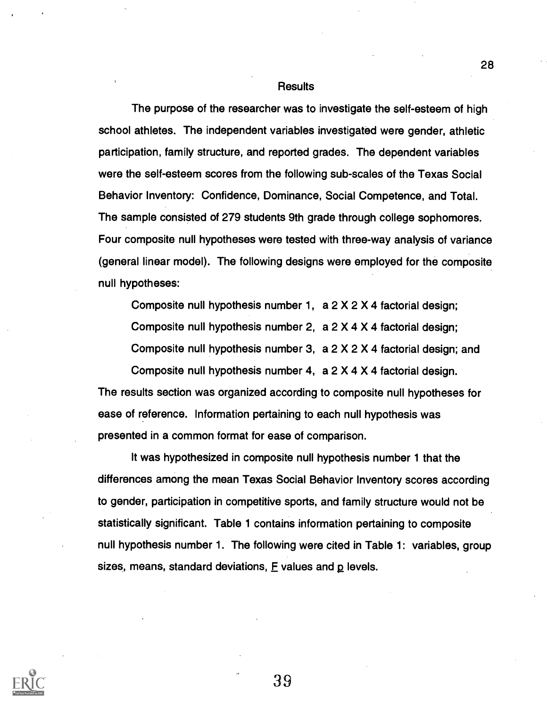#### **Results**

The purpose of the researcher was to investigate the self-esteem of high school athletes. The independent variables investigated were gender, athletic participation, family structure, and reported grades. The dependent variables were the self-esteem scores from the following sub-scales of the Texas Social Behavior Inventory: Confidence, Dominance, Social Competence, and Total. The sample consisted of 279 students 9th grade through college sophomores. Four composite null hypotheses were tested with three-way analysis of variance (general linear model). The following designs were employed for the composite null hypotheses:

Composite null hypothesis number 1, a 2 X 2 X 4 factorial design; Composite null hypothesis number 2, a 2 X 4 X 4 factorial design; Composite null hypothesis number 3, a 2 X 2 X 4 factorial design; and

Composite null hypothesis number 4, a 2 X 4 X 4 factorial design. The results section was organized according to composite null hypotheses for ease of reference. Information pertaining to each null hypothesis was presented in a common format for ease of comparison.

It was hypothesized in composite null hypothesis number 1 that the differences among the mean Texas Social Behavior Inventory scores according to gender, participation in competitive sports, and family structure would not be statistically significant. Table 1 contains information pertaining to composite null hypothesis number 1. The following were cited in Table 1: variables, group sizes, means, standard deviations,  $E$  values and  $p$  levels.



39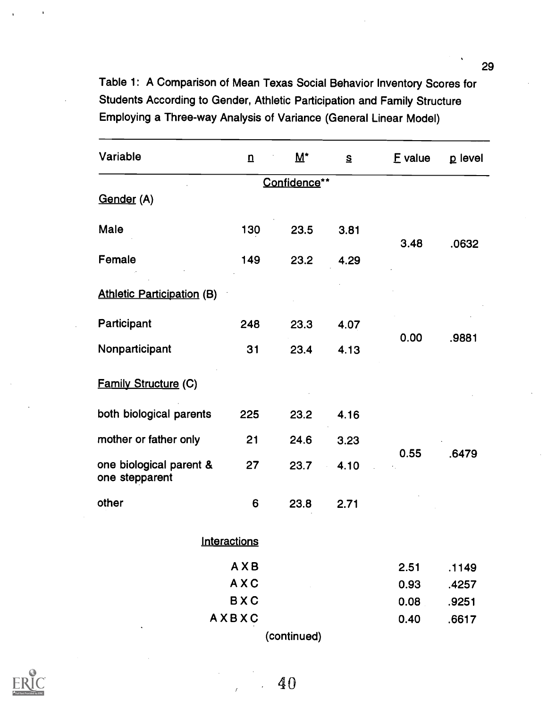Table 1: A Comparison of Mean Texas Social Behavior Inventory Scores for Students According to Gender, Athletic Participation and Family Structure Employing a Three-way Analysis of Variance (General Linear Model)

| $\mathbf n$ | $\overline{M}^*$      | $\mathbf{S}$ | E value      | p level                             |
|-------------|-----------------------|--------------|--------------|-------------------------------------|
|             |                       |              |              |                                     |
|             |                       |              |              |                                     |
| 130         | 23.5                  | 3.81         |              | .0632                               |
| 149         | 23.2                  | 4.29         |              |                                     |
|             |                       |              |              |                                     |
| 248         | 23.3                  | 4.07         |              | .9881                               |
| 31          | 23.4                  | 4.13         |              |                                     |
|             |                       |              |              |                                     |
| 225         | 23.2                  | 4.16         |              | .6479                               |
| 21          | 24.6                  | 3.23         |              |                                     |
| 27          | 23.7                  | 4.10         |              |                                     |
| 6           | 23.8                  | 2.71         |              |                                     |
|             |                       |              |              |                                     |
| AXB         |                       |              | 2.51         | .1149                               |
| AXC         |                       |              | 0.93         | .4257                               |
| <b>BXC</b>  |                       |              | 0.08         | .9251                               |
|             |                       |              | 0.40         | .6617                               |
|             | Interactions<br>AXBXC |              | Confidence** | 3.48<br>0.00<br>0.55<br>(continued) |



40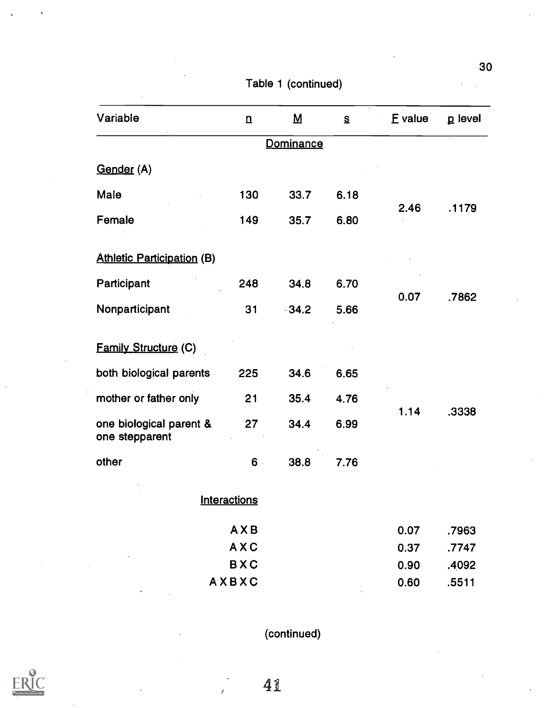| Variable                                  | $\overline{\mathbf{n}}$ | $\underline{\mathbf{M}}$ | $\mathbf{s}$ | E value | p level |
|-------------------------------------------|-------------------------|--------------------------|--------------|---------|---------|
|                                           |                         | Dominance                |              |         |         |
| Gender (A)                                |                         |                          |              |         |         |
| Male                                      | 130                     | 33.7                     | 6.18         |         |         |
| Female                                    | 149                     | 35.7                     | 6.80         | 2.46    | .1179   |
| <b>Athletic Participation (B)</b>         |                         |                          |              |         |         |
| Participant                               | 248                     | 34.8                     | 6.70         |         |         |
| Nonparticipant                            | 31                      | $-34.2$                  | 5.66         | 0.07    | .7862   |
| <b>Family Structure (C)</b>               |                         |                          |              |         |         |
| both biological parents                   | 225                     | 34.6                     | 6.65         |         |         |
| mother or father only                     | 21                      | 35.4                     | 4.76         |         |         |
| one biological parent &<br>one stepparent | 27                      | 34.4                     | 6.99         | 1.14    | .3338   |
| other                                     | $6 -$                   | 38.8                     | 7.76         |         |         |
|                                           | <b>Interactions</b>     |                          |              |         |         |
|                                           | AXB                     |                          |              | 0.07    | .7963   |
|                                           | AXC                     |                          |              | 0.37    | .7747   |
|                                           | <b>BXC</b>              |                          |              | 0.90    | .4092   |
|                                           | AXBXC                   |                          |              | 0.60    | .5511   |

Table 1 (continued)

(continued)

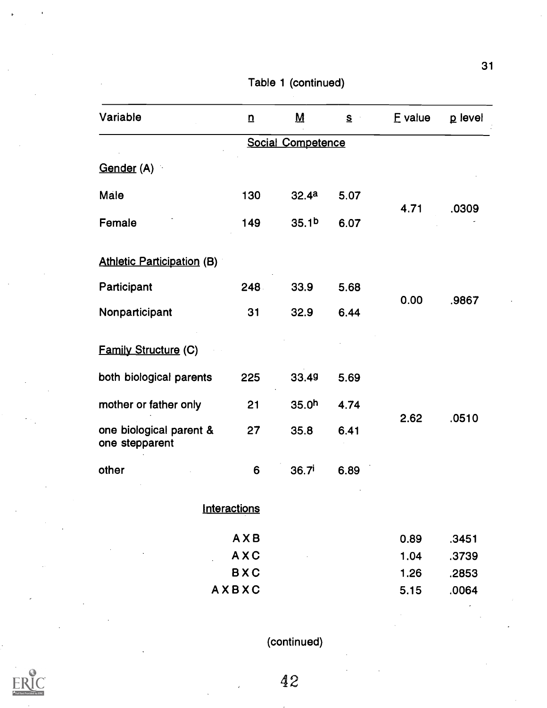| Variable                                  | $\mathbf n$  | $\underline{\mathsf{M}}$ | S    | E value | p level |
|-------------------------------------------|--------------|--------------------------|------|---------|---------|
|                                           |              | Social Competence        |      |         |         |
| Gender (A)                                |              |                          |      |         |         |
| Male                                      | 130          | 32.4a                    | 5.07 |         |         |
| Female                                    | 149          | 35.1 <sup>b</sup>        | 6.07 | 4.71    | .0309   |
| <b>Athletic Participation (B)</b>         |              |                          |      |         |         |
| Participant                               | 248          | 33.9                     | 5.68 |         |         |
| Nonparticipant                            | 31           | 32.9                     | 6.44 | 0.00    | .9867   |
| <b>Family Structure (C)</b>               |              |                          |      |         |         |
| both biological parents                   | 225          | 33.49                    | 5.69 |         |         |
| mother or father only                     | 21           | 35.0 <sup>h</sup>        | 4.74 |         |         |
| one biological parent &<br>one stepparent | 27           | 35.8                     | 6.41 | 2.62    | .0510   |
| other                                     | 6            | 36.7 <sup>i</sup>        | 6.89 |         |         |
|                                           | Interactions |                          |      |         |         |
|                                           | AXB          |                          |      | 0.89    | .3451   |
|                                           | <b>AXC</b>   |                          |      | 1.04    | .3739   |
|                                           | <b>BXC</b>   |                          |      | 1.26    | .2853   |
|                                           | AXBXC        |                          |      | 5.15    | .0064   |

Table 1 (continued)

(continued)

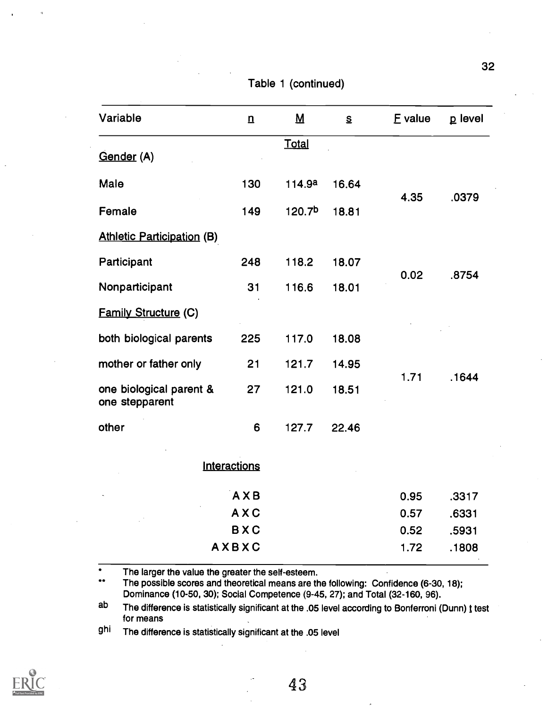| Variable                                  | $\underline{n}$ | $\underline{\mathsf{M}}$ | S     | E value | p level |
|-------------------------------------------|-----------------|--------------------------|-------|---------|---------|
|                                           |                 | <b>Total</b>             |       |         |         |
| Gender (A)                                |                 |                          |       |         |         |
| Male                                      | 130             | 114.9a                   | 16.64 | 4.35    | .0379   |
| Female                                    | 149             | 120.7 <sup>b</sup>       | 18.81 |         |         |
| <b>Athletic Participation (B)</b>         |                 |                          |       |         |         |
| Participant                               | 248             | 118.2                    | 18.07 | 0.02    | .8754   |
| Nonparticipant                            | 31              | 116.6                    | 18.01 |         |         |
| <b>Family Structure (C)</b>               |                 |                          |       |         |         |
| both biological parents                   | 225             | 117.0                    | 18.08 |         |         |
| mother or father only                     | 21              | 121.7                    | 14.95 |         |         |
| one biological parent &<br>one stepparent | 27              | 121.0                    | 18.51 | 1.71    | .1644   |
| other                                     | 6               | 127.7                    | 22.46 |         |         |

Table 1 (continued)

**Interactions** 

| AXB                                           | 0.95 | .3317  |  |
|-----------------------------------------------|------|--------|--|
| $\cdot$<br>AXC<br><b>Contractor</b><br>$\sim$ | 0.57 | .6331  |  |
| <b>BXC</b>                                    | 0.52 | .5931  |  |
| <b>AXBXC</b>                                  | 1.72 | .1808  |  |
|                                               |      | $\sim$ |  |

 $\bullet$ The larger the value the greater the self-esteem.

\*\*The possible scores and theoretical means are the following: Confidence (6-30, 18); Dominance (10-50, 30); Social Competence (9-45, 27); and Total (32-160, 96).

ab The difference is statistically significant at the .05 level according to Bonferroni (Dunn) t test for means

ghi The difference is statistically significant at the .05 level

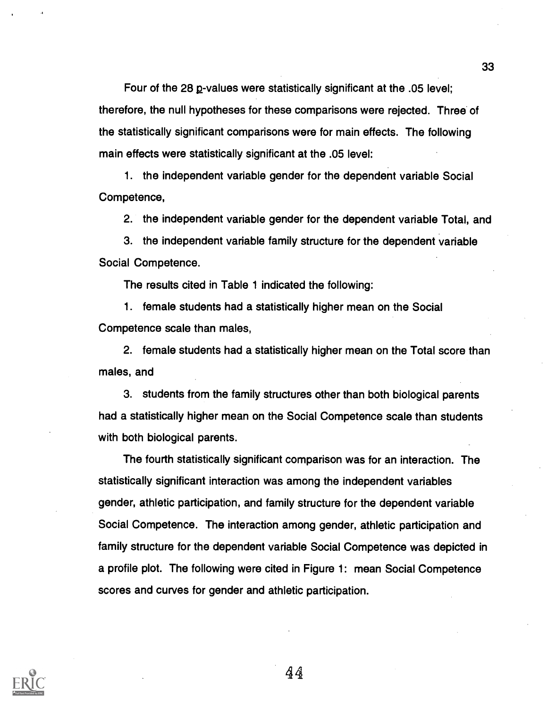Four of the 28 g-values were statistically significant at the .05 level; therefore, the null hypotheses for these comparisons were rejected. Three of the statistically significant comparisons were for main effects. The following main effects were statistically significant at the .05 level:

1. the independent variable gender for the dependent variable Social Competence,

2. the independent variable gender for the dependent variable Total, and

3. the independent variable family structure for the dependent variable Social Competence.

The results cited in Table 1 indicated the following:

1. female students had a statistically higher mean on the Social Competence scale than males,

2. female students had a statistically higher mean on the Total score than males, and

3. students from the family structures other than both biological parents had a statistically higher mean on the Social Competence scale than students with both biological parents.

The fourth statistically significant comparison was for an interaction. The statistically significant interaction was among the independent variables gender, athletic participation, and family structure for the dependent variable Social Competence. The interaction among gender, athletic participation and family structure for the dependent variable Social Competence was depicted in a profile plot. The following were cited in Figure 1: mean Social Competence scores and curves for gender and athletic participation.

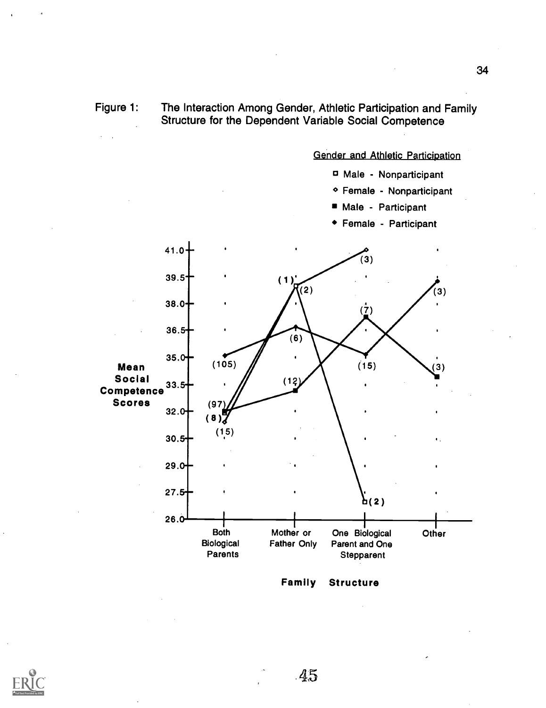Figure 1: The Interaction Among Gender, Athletic Participation and Family Structure for the Dependent Variable Social Competence

### Gender and Athletic Participation

- Male Nonparticipant
- Female Nonparticipant
- Male Participant  $\blacksquare$
- Female Participant



Family Structure

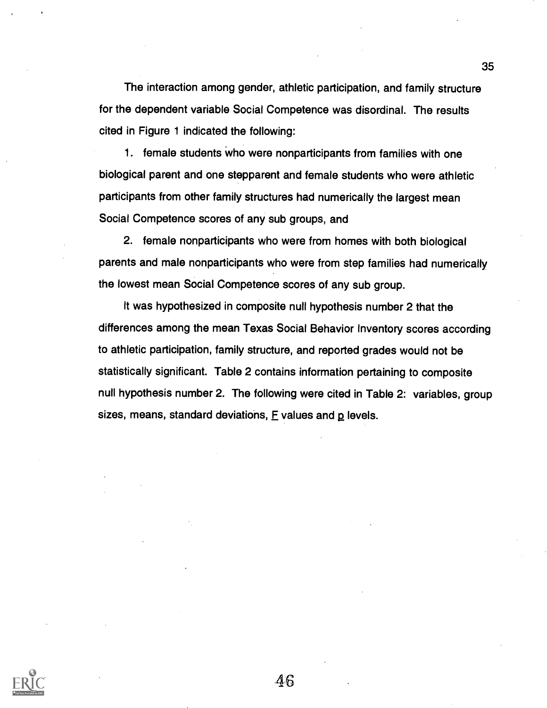The interaction among gender, athletic participation, and family structure for the dependent variable Social Competence was disordinal. The results cited in Figure 1 indicated the following:

1. female students who were nonparticipants from families with one biological parent and one stepparent and female students who were athletic participants from other family structures had numerically the largest mean Social Competence scores of any sub groups, and

2. female nonparticipants who were from homes with both biological parents and male nonparticipants who were from step families had numerically the lowest mean Social Competence scores of any sub group.

It was hypothesized in composite null hypothesis number 2 that the differences among the mean Texas Social Behavior Inventory scores according to athletic participation, family structure, and reported grades would not be statistically significant. Table 2 contains information pertaining to composite null hypothesis number 2. The following were cited in Table 2: variables, group sizes, means, standard deviations,  $E$  values and  $p$  levels.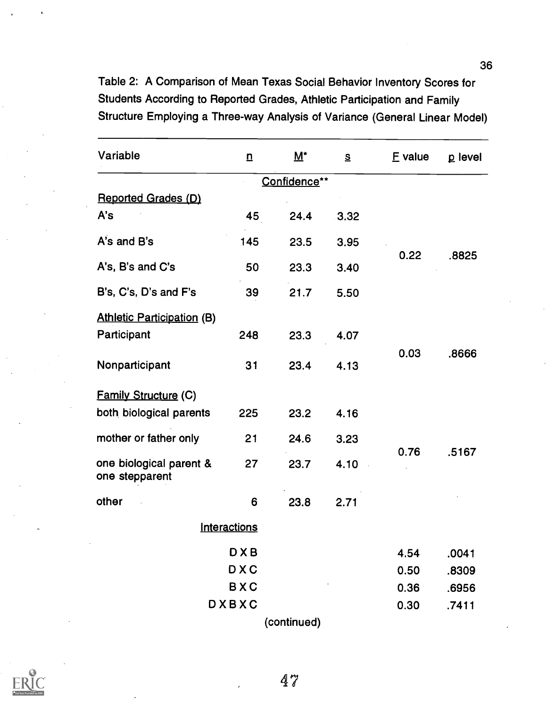Table 2: A Comparison of Mean Texas Social Behavior Inventory Scores for Students According to Reported Grades, Athletic Participation and Family Structure Employing a Three-way Analysis of Variance (General Linear Model)

| Variable                                  | $\underline{n}$ | $\overline{\mathsf{M}}^{\star}$ | $S_{\cdot}$ | <b>E</b> value | p level |
|-------------------------------------------|-----------------|---------------------------------|-------------|----------------|---------|
|                                           |                 | Confidence**                    |             |                |         |
| Reported Grades (D)                       |                 |                                 |             |                |         |
| A's                                       | 45              | 24.4                            | 3.32        |                |         |
| A's and B's                               | 145             | 23.5                            | 3.95        |                |         |
| A's, B's and C's                          | 50              | 23.3                            | 3.40        | 0.22           | .8825   |
| B's, C's, D's and F's                     | 39              | 21.7                            | 5.50        |                |         |
| <b>Athletic Participation (B)</b>         |                 |                                 |             |                |         |
| Participant                               | 248             | 23.3                            | 4.07        |                |         |
| Nonparticipant                            | 31              | 23.4                            | 4.13        | 0.03           | .8666   |
| <b>Family Structure (C)</b>               |                 |                                 |             |                |         |
| both biological parents                   | 225             | 23.2                            | 4.16        |                |         |
| mother or father only                     | 21              | 24.6                            | 3.23        |                |         |
| one biological parent &<br>one stepparent | 27              | 23.7                            | 4.10        | 0.76           | .5167   |
| other                                     | 6               | 23.8                            | 2.71        |                |         |
|                                           | Interactions    |                                 |             |                |         |
|                                           | <b>DXB</b>      |                                 |             | 4.54           | .0041   |
|                                           | <b>DXC</b>      |                                 |             | 0.50           | .8309   |
|                                           | <b>BXC</b>      |                                 |             | 0.36           | .6956   |
|                                           | DXBXC           |                                 |             | 0.30           | .7411   |
|                                           |                 | (continued)                     |             |                |         |



47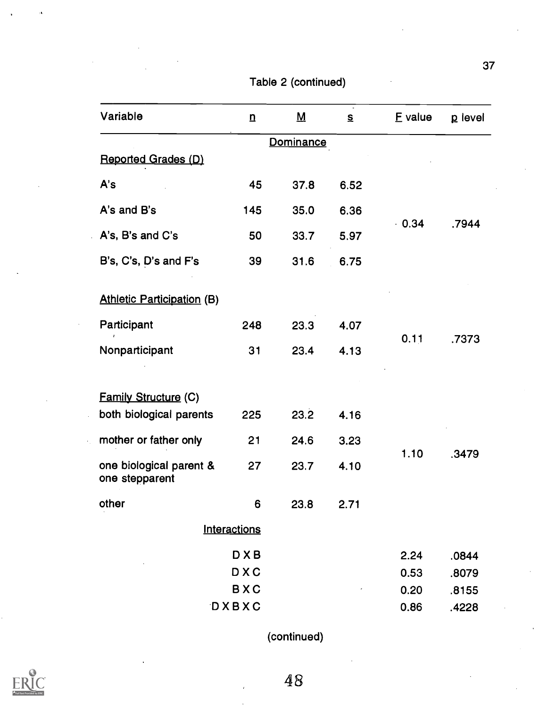| Variable                                  | $\overline{u}$      | <u>М</u>  | $\mathbf{S}$ | E value | p level |
|-------------------------------------------|---------------------|-----------|--------------|---------|---------|
|                                           |                     | Dominance |              |         |         |
| Reported Grades (D)                       |                     |           |              |         |         |
| A's                                       | 45                  | 37.8      | 6.52         |         |         |
| A's and B's                               | 145                 | 35.0      | 6.36         |         |         |
| A's, B's and C's                          | 50                  | 33.7      | 5.97         | $-0.34$ | .7944   |
| B's, C's, D's and F's                     | 39                  | 31.6      | 6.75         |         |         |
| <b>Athletic Participation (B)</b>         |                     |           |              |         |         |
| Participant                               | 248                 | 23.3      | 4.07         |         |         |
| Nonparticipant                            | 31                  | 23.4      | 4.13         | 0.11    | .7373   |
|                                           |                     |           |              |         |         |
| <b>Family Structure (C)</b>               |                     |           |              |         |         |
| both biological parents                   | 225                 | 23.2      | 4.16         |         |         |
| mother or father only                     | 21                  | 24.6      | 3.23         |         |         |
| one biological parent &<br>one stepparent | 27                  | 23.7      | 4.10         | 1.10    | .3479   |
| other                                     | 6                   | 23.8      | 2.71         |         |         |
|                                           | <b>Interactions</b> |           |              |         |         |
|                                           | <b>DXB</b>          |           |              | 2.24    | .0844   |
|                                           | <b>DXC</b>          |           |              | 0.53    | .8079   |
|                                           | <b>BXC</b>          |           |              | 0.20    | .8155   |

Table 2 (continued)

(continued)

DXBXC 0.86 .4228

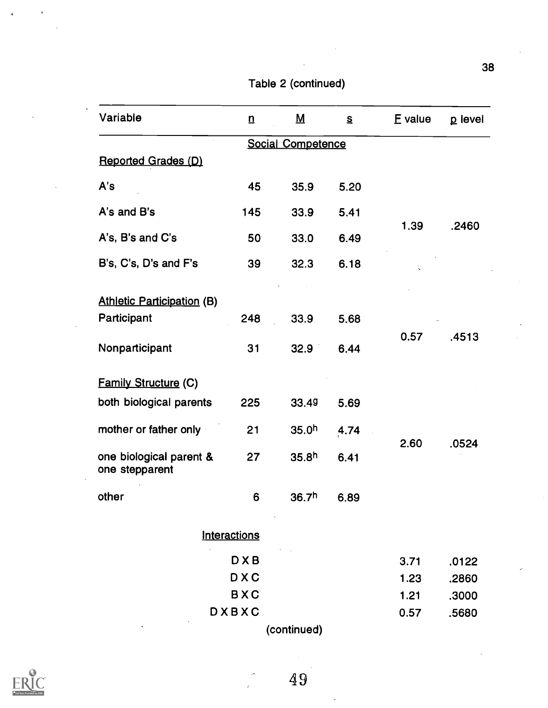| Variable                                  | $\mathbf{n}$ | $\underline{\mathsf{M}}$ | $\mathbf{s}$ | E value | p level |
|-------------------------------------------|--------------|--------------------------|--------------|---------|---------|
|                                           |              | <b>Social Competence</b> |              |         |         |
| <b>Reported Grades (D)</b>                |              |                          |              |         |         |
| A's                                       | 45           | 35.9                     | 5.20         |         |         |
| A's and B's                               | 145          | 33.9                     | 5.41         |         |         |
| A's, B's and C's                          | 50           | 33.0                     | 6.49         | 1.39    | .2460   |
| B's, C's, D's and F's                     | 39           | 32.3                     | 6.18         |         |         |
| <b>Athletic Participation (B)</b>         |              |                          |              |         |         |
| Participant                               | 248          | 33.9                     | 5.68         |         |         |
| Nonparticipant                            | 31           | 32.9                     | 6.44         | 0.57    | .4513   |
| <b>Family Structure (C)</b>               |              |                          |              |         |         |
| both biological parents                   | 225          | 33.49                    | 5.69         |         |         |
| mother or father only                     | 21           | 35.0 <sup>h</sup>        | 4.74         |         |         |
| one biological parent &<br>one stepparent | 27           | 35.8 <sup>h</sup>        | 6.41         | 2.60    | .0524   |
| other                                     | 6            | 36.7 <sup>h</sup>        | 6.89         |         |         |
|                                           | Interactions |                          |              |         |         |
|                                           | <b>DXB</b>   |                          |              | 3.71    | .0122   |
|                                           | <b>DXC</b>   |                          |              | 1.23    | .2860   |
|                                           | <b>BXC</b>   |                          |              | 1.21    | .3000   |
|                                           | DXBXC        |                          |              | 0.57    | .5680   |

Table 2 (continued)

(continued)



 $\ddot{\phantom{0}}$ 

49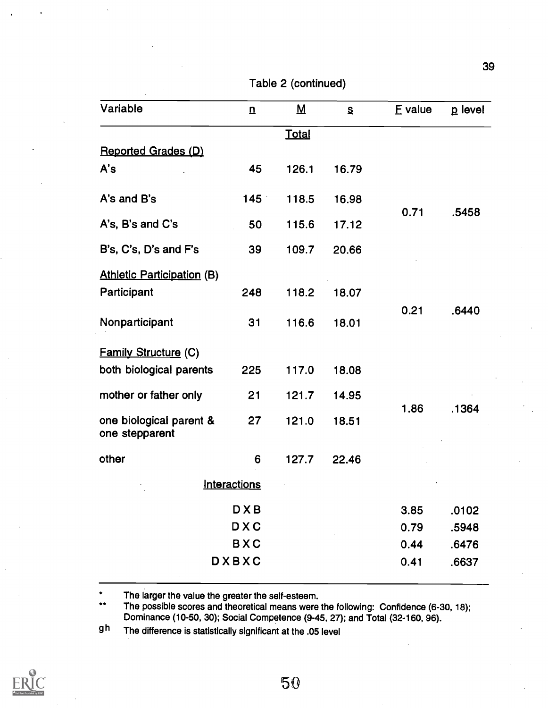| Variable                                  | $\overline{u}$   | $\underline{\mathsf{M}}$ | $\mathbf{s}$ | E value | p level |
|-------------------------------------------|------------------|--------------------------|--------------|---------|---------|
|                                           |                  | Total                    |              |         |         |
| <b>Reported Grades (D)</b>                |                  |                          |              |         |         |
| A's                                       | 45               | 126.1                    | 16.79        |         |         |
| A's and B's                               | 145 <sup>°</sup> | 118.5                    | 16.98        |         |         |
| A's, B's and C's                          | 50               | 115.6                    | 17.12        | 0.71    | .5458   |
| B's, C's, D's and F's                     | 39               | 109.7                    | 20.66        |         |         |
| <b>Athletic Participation (B)</b>         |                  |                          |              |         |         |
| Participant                               | 248              | 118.2                    | 18.07        |         |         |
| Nonparticipant                            | 31               | 116.6                    | 18.01        | 0.21    | .6440   |
| Family Structure (C)                      |                  |                          |              |         |         |
| both biological parents                   | 225              | 117.0                    | 18.08        |         |         |
| mother or father only                     | 21               | 121.7                    | 14.95        |         |         |
| one biological parent &<br>one stepparent | 27               | 121.0                    | 18.51        | 1.86    | .1364   |
| other                                     | 6                | 127.7                    | 22.46        |         |         |
|                                           | Interactions     |                          |              |         |         |
|                                           | <b>DXB</b>       |                          |              | 3.85    | .0102   |
|                                           | <b>DXC</b>       |                          |              | 0.79    | .5948   |
|                                           | <b>BXC</b>       |                          |              | 0.44    | .6476   |
|                                           | DXBXC            |                          |              | 0.41    | .6637   |
|                                           |                  |                          |              |         |         |

Table 2 (continued)

 $\bullet$ The larger the value the greater the self-esteem.

The possible scores and theoretical means were the following: Confidence (6-30, 18);  $\star\star$ Dominance (10-50, 30); Social Competence (9-45, 27); and Total (32-160, 96).

gh The difference is statistically significant at the .05 level

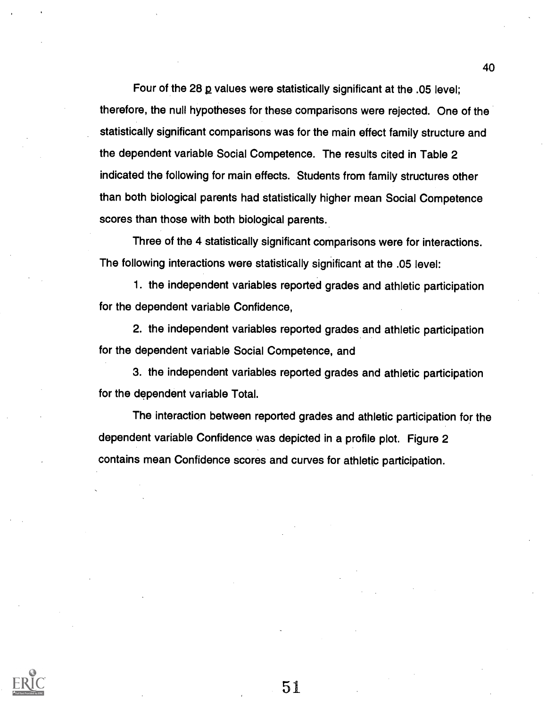Four of the 28  $\mu$  values were statistically significant at the .05 level: therefore, the null hypotheses for these comparisons were rejected. One of the statistically significant comparisons was for the main effect family structure and the dependent variable Social Competence. The results cited in Table 2 indicated the following for main effects. Students from family structures other than both biological parents had statistically higher mean Social Competence scores than those with both biological parents.

Three of the 4 statistically significant comparisons were for interactions. The following interactions were statistically significant at the .05 level:

1. the independent variables reported grades and athletic participation for the dependent variable Confidence,

2. the independent variables reported grades and athletic participation for the dependent variable Social Competence, and

3. the independent variables reported grades and athletic participation for the dependent variable Total.

The interaction between reported grades and athletic participation for the dependent variable Confidence was depicted in a profile plot. Figure 2 contains mean Confidence scores and curves for athletic participation.



51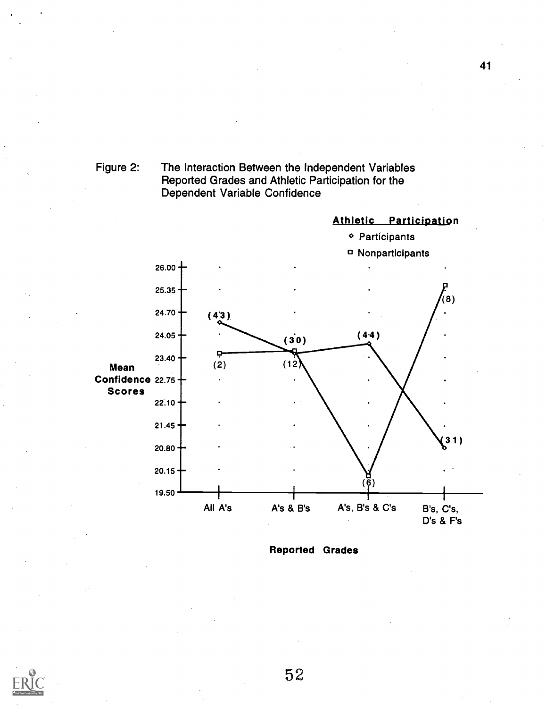



Reported Grades

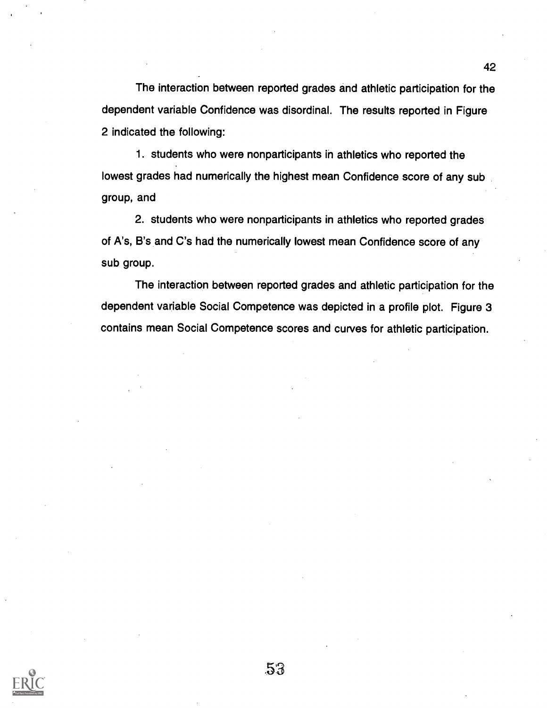The interaction between reported grades and athletic participation for the dependent variable Confidence was disordinal. The results reported in Figure 2 indicated the following:

1. students who were nonparticipants in athletics who reported the lowest grades had numerically the highest mean Confidence score of any sub group, and

2. students who were nonparticipants in athletics who reported grades of A's, B's and C's had the numerically lowest mean Confidence score of any sub group.

The interaction between reported grades and athletic participation for the dependent variable Social Competence was depicted in a profile plot. Figure 3 contains mean Social Competence scores and curves for athletic participation.

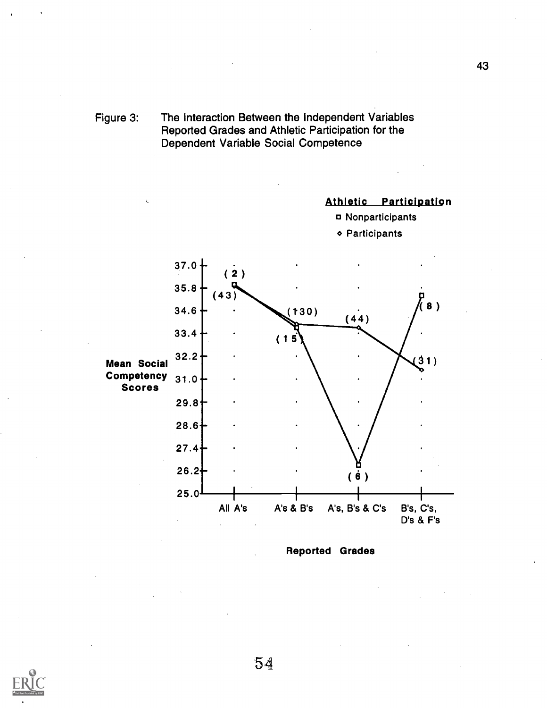

Athletic Participation



o Participants



Reported Grades

![](_page_53_Picture_6.jpeg)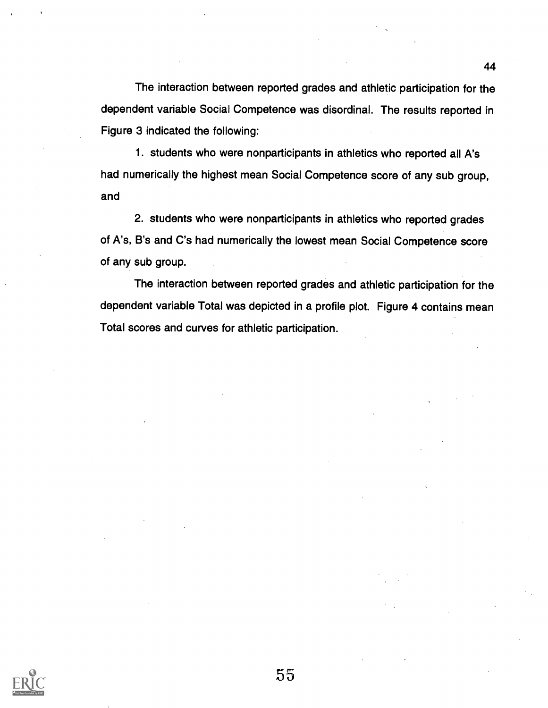The interaction between reported grades and athletic participation for the dependent variable Social Competence was disordinal. The results reported in Figure 3 indicated the following:

1. students who were nonparticipants in athletics who reported all A's had numerically the highest mean Social Competence score of any sub group, and

2. students who were nonparticipants in athletics who reported grades of A's, B's and C's had numerically the lowest mean Social Competence score of any sub group.

The interaction between reported grades and athletic participation for the dependent variable Total was depicted in a profile plot. Figure 4 contains mean Total scores and curves for athletic participation.

![](_page_54_Picture_5.jpeg)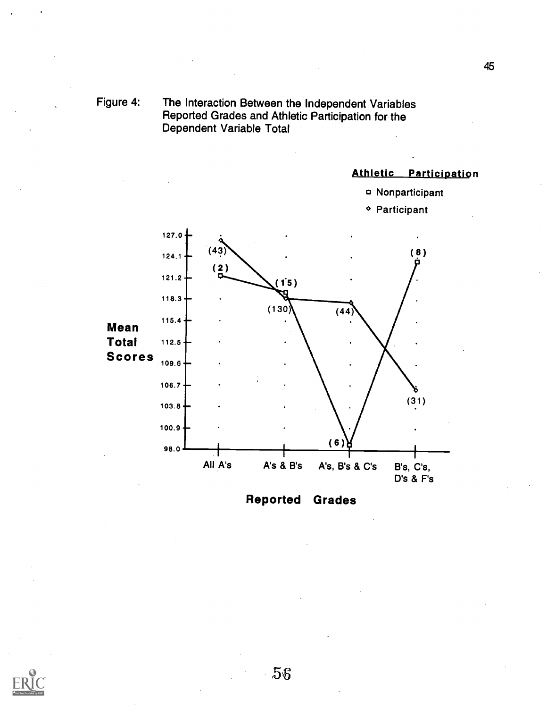![](_page_55_Figure_0.jpeg)

### Athletic Participation

a Nonparticipant

![](_page_55_Figure_2.jpeg)

Reported Grades

![](_page_55_Picture_4.jpeg)

![](_page_55_Picture_5.jpeg)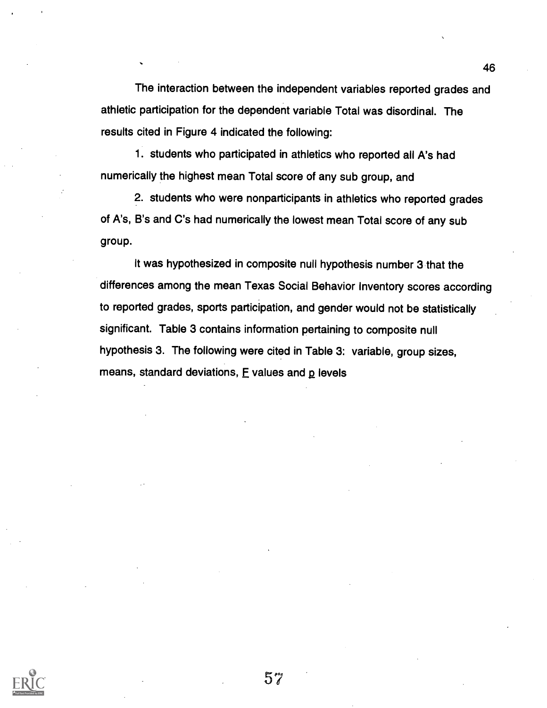The interaction between the independent variables reported grades and athletic participation for the dependent variable Total was disordinal. The results cited in Figure 4 indicated the following:

1. students who participated in athletics who reported all A's had numerically the highest mean Total score of any sub group, and

2. students who were nonparticipants in athletics who reported grades of A's, B's and C's had numerically the lowest mean Total score of any sub group.

It was hypothesized in composite null hypothesis number 3 that the differences among the mean Texas Social Behavior Inventory scores according to reported grades, sports participation, and gender would not be statistically significant. Table 3 contains information pertaining to composite null hypothesis 3. The following were cited in Table 3: variable, group sizes, means, standard deviations,  $E$  values and  $E$  levels

![](_page_56_Picture_4.jpeg)

![](_page_56_Picture_5.jpeg)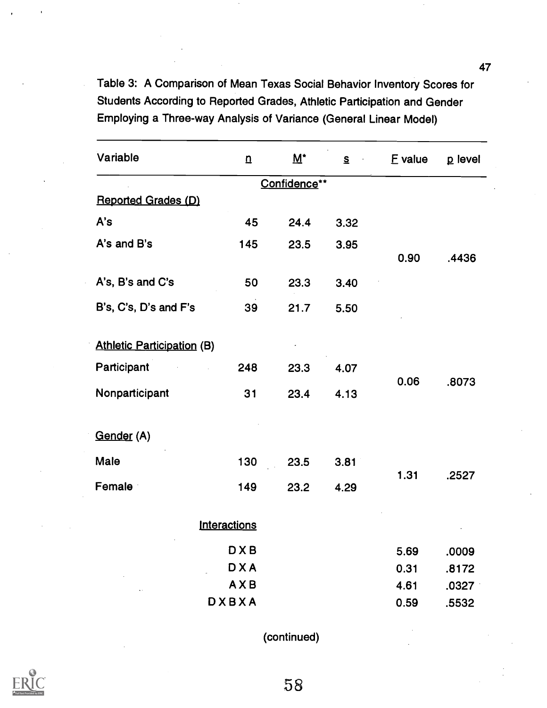Table 3: A Comparison of Mean Texas Social Behavior Inventory Scores for Students According to Reported Grades, Athletic Participation and Gender Employing a Three-way Analysis of Variance (General Linear Model)

| Variable                          | $\underline{\mathbf{n}}$ | $M^*$        | $S$ . | E value | p level |
|-----------------------------------|--------------------------|--------------|-------|---------|---------|
|                                   |                          | Confidence** |       |         |         |
| <b>Reported Grades (D)</b>        |                          |              |       |         |         |
| A's                               | 45                       | 24.4         | 3.32  |         |         |
| A's and B's                       | 145                      | 23.5         | 3.95  | 0.90    | .4436   |
| A's, B's and C's                  | 50                       | 23.3         | 3.40  |         |         |
| B's, C's, D's and F's             | 39                       | 21.7         | 5.50  |         |         |
| <b>Athletic Participation (B)</b> |                          |              |       |         |         |
| Participant                       | 248                      | 23.3         | 4.07  | 0.06    |         |
| Nonparticipant                    | 31                       | 23.4         | 4.13  |         | .8073   |
| Gender (A)                        |                          |              |       |         |         |
| Male                              | 130                      | 23.5         | 3.81  |         | .2527   |
| Female                            | 149                      | 23.2         | 4.29  | 1.31    |         |
|                                   | Interactions             |              |       |         |         |
|                                   | <b>DXB</b>               |              |       | 5.69    | .0009   |
|                                   | <b>DXA</b>               |              |       | 0.31    | .8172   |
|                                   | AXB                      |              |       | 4.61    | .0327   |
|                                   | <b>DXBXA</b>             |              |       | 0.59    | .5532   |

(continued)

![](_page_57_Picture_3.jpeg)

47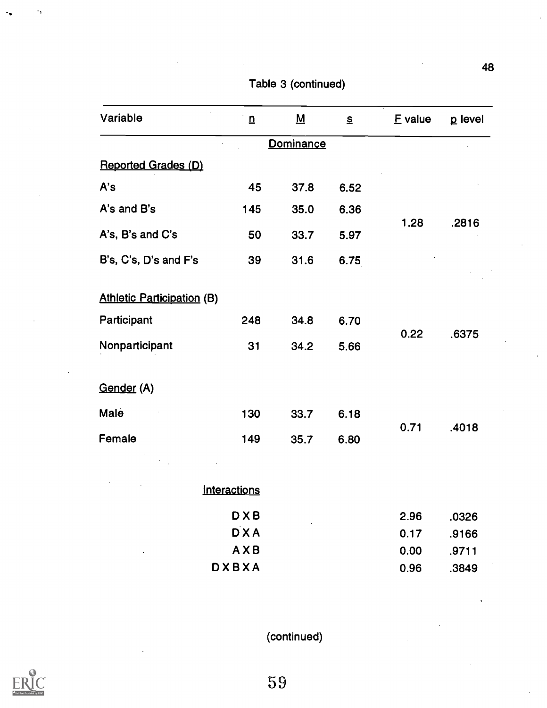| Variable                          | $\underline{n}$     | $\underline{\mathsf{M}}$ | $\mathbf{s}$ | E value | p level |
|-----------------------------------|---------------------|--------------------------|--------------|---------|---------|
|                                   |                     | Dominance                |              |         |         |
| <b>Reported Grades (D)</b>        |                     |                          |              |         |         |
| A's                               | 45                  | 37.8                     | 6.52         |         |         |
| A's and B's                       | 145                 | 35.0                     | 6.36         |         |         |
| A's, B's and C's                  | 50                  | 33.7                     | 5.97         | 1.28    | .2816   |
| B's, C's, D's and F's             | 39                  | 31.6                     | 6.75         |         |         |
| <b>Athletic Participation (B)</b> |                     |                          |              |         |         |
| Participant                       | 248                 | 34.8                     | 6.70         |         |         |
| Nonparticipant                    | 31                  | 34.2                     | 5.66         | 0.22    | .6375   |
| Gender (A)                        |                     |                          |              |         |         |
| Male                              | 130                 | 33.7                     | 6.18         |         |         |
| Female                            | 149                 | 35.7                     | 6.80         | 0.71    | .4018   |
|                                   |                     |                          |              |         |         |
|                                   | <b>Interactions</b> |                          |              |         |         |
|                                   | <b>DXB</b>          |                          |              | 2.96    | .0326   |
|                                   | <b>DXA</b>          |                          |              | 0.17    | .9166   |
|                                   | AXB                 |                          |              | 0.00    | .9711   |
|                                   | <b>DXBXA</b>        |                          |              | 0.96    | .3849   |

Table 3 (continued)

(continued)

![](_page_58_Picture_3.jpeg)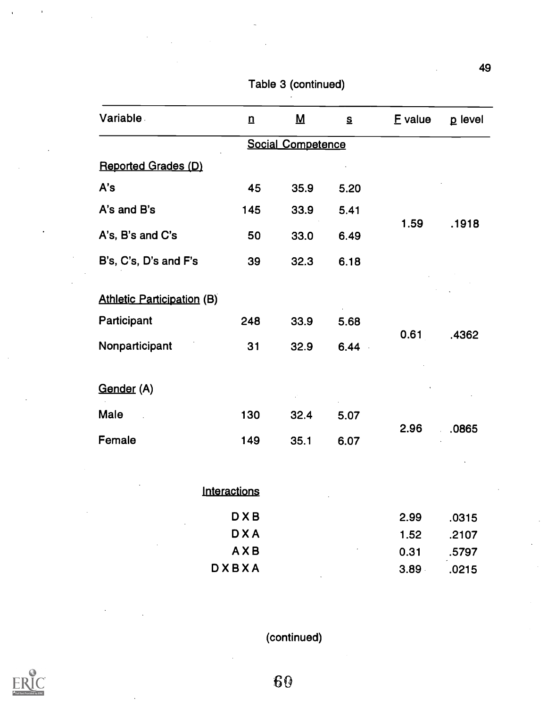| <b>Variable</b>                   | $\underline{n}$ | $\underline{\mathsf{M}}$ | $\underline{\underline{\mathsf{S}}}$ | E value | p level |
|-----------------------------------|-----------------|--------------------------|--------------------------------------|---------|---------|
|                                   |                 | <b>Social Competence</b> |                                      |         |         |
| Reported Grades (D)               |                 |                          |                                      |         |         |
| A's                               | 45              | 35.9                     | 5.20                                 |         |         |
| A's and B's                       | 145             | 33.9                     | 5.41                                 |         |         |
| A's, B's and C's                  | 50              | 33.0                     | 6.49                                 | 1.59    | .1918   |
| B's, C's, D's and F's             | 39              | 32.3                     | 6.18                                 |         |         |
| <b>Athletic Participation (B)</b> |                 |                          |                                      |         |         |
| Participant                       | 248             | 33.9                     | 5.68                                 | 0.61    |         |
| Nonparticipant                    | 31              | 32.9                     | 6.44                                 |         | .4362   |
| Gender (A)                        |                 |                          |                                      |         |         |
| Male                              | 130             | 32.4                     | 5.07                                 |         |         |
| Female                            | 149             | 35.1                     | 6.07                                 | 2.96    | .0865   |
|                                   |                 |                          |                                      |         |         |

Table 3 (continued)

| Interactions | $\cdot$            | $\bullet$ |
|--------------|--------------------|-----------|
| <b>DXB</b>   | 2.99               | .0315     |
| <b>DXA</b>   | 1.52               | .2107     |
| AXB          | $\epsilon$<br>0.31 | .5797     |
| <b>DXBXA</b> | 3.89               | .0215     |

(continued)

![](_page_59_Picture_4.jpeg)

GO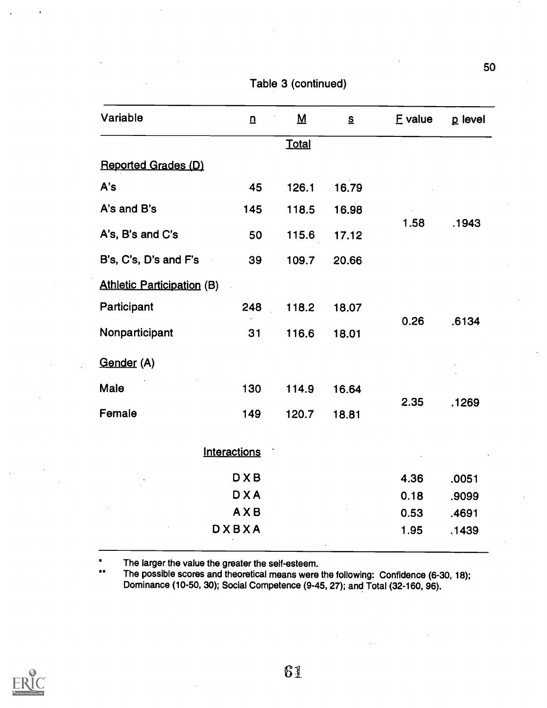Table 3 (continued)

| Variable                                   | $\overline{\mathbf{n}}$ | $\underline{\mathsf{M}}$ | $\mathbf{s}$ | E value | p level |
|--------------------------------------------|-------------------------|--------------------------|--------------|---------|---------|
|                                            |                         | <b>Total</b>             |              |         |         |
| Reported Grades (D)                        |                         |                          |              |         |         |
| A's                                        | 45                      | 126.1                    | 16.79        | 1.58    | .1943   |
| A's and B's                                | 145                     | 118.5                    | 16.98        |         |         |
| A's, B's and C's                           | 50                      | 115.6                    | 17.12        |         |         |
| B's, C's, D's and F's<br>$\sim$ $^{\circ}$ | 39                      | 109.7                    | 20.66        |         |         |
| <b>Athletic Participation (B)</b>          |                         |                          |              |         |         |
| Participant                                | 248                     | 118.2                    | 18.07        |         | .6134   |
| Nonparticipant                             | 31                      | 116.6                    | 18.01        | 0.26    |         |
| Gender (A)                                 |                         |                          |              |         |         |
| Male                                       | 130                     | 114.9                    | 16.64        |         |         |
| Female                                     | 149                     | 120.7                    | 18.81        | 2.35    | .1269   |
|                                            | Interactions            |                          |              |         |         |
|                                            | <b>DXB</b>              |                          |              | 4.36    | .0051   |
|                                            | <b>DXA</b>              |                          |              | 0.18    | .9099   |
|                                            | AXB                     |                          |              | 0.53    | .4691   |
|                                            | <b>DXBXA</b>            |                          |              | 1.95    | .1439   |

\*\* The larger the value the greater the self-esteem. The possible scores and theoretical means were the following: Confidence (6-30, 18); Dominance (10-50, 30); Social Competence (9-45, 27); and Total (32-160, 96).

![](_page_60_Picture_4.jpeg)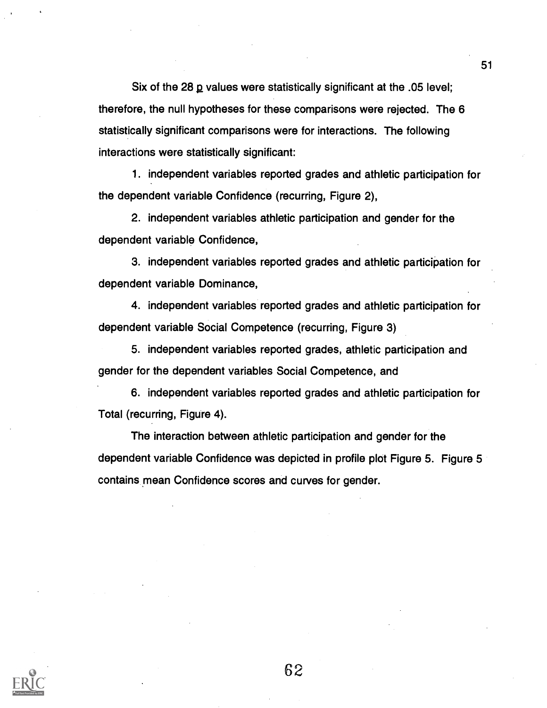Six of the 28 2 values were statistically significant at the .05 level; therefore, the null hypotheses for these comparisons were rejected. The 6 statistically significant comparisons were for interactions. The following interactions were statistically significant:

1. independent variables reported grades and athletic participation for the dependent variable Confidence (recurring, Figure 2),

2. independent variables athletic participation and gender for the dependent variable Confidence,

3. independent variables reported grades and athletic participation for dependent variable Dominance,

4. independent variables reported grades and athletic participation for dependent variable Social Competence (recurring, Figure 3)

5. independent variables reported grades, athletic participation and gender for the dependent variables Social Competence, and

6. independent variables reported grades and athletic participation for Total (recurring, Figure 4).

The interaction between athletic participation and gender for the dependent variable Confidence was depicted in profile plot Figure 5. Figure 5 contains mean Confidence scores and curves for gender.

![](_page_61_Picture_8.jpeg)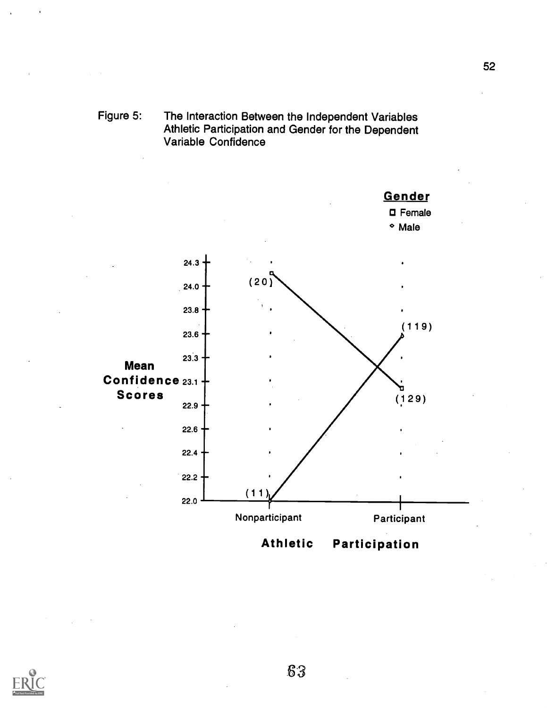![](_page_62_Figure_0.jpeg)

![](_page_62_Figure_1.jpeg)

![](_page_62_Picture_2.jpeg)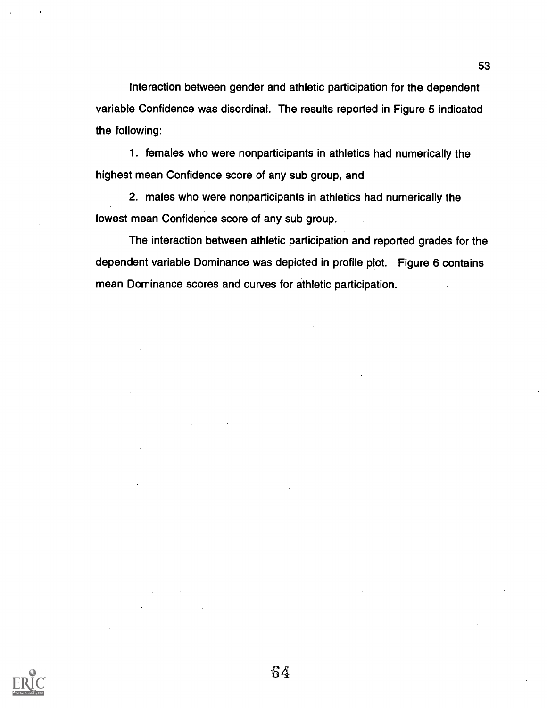Interaction between gender and athletic participation for the dependent variable Confidence was disordinal. The results reported in Figure 5 indicated the following:

1. females who were nonparticipants in athletics had numerically the highest mean Confidence score of any sub group, and

2. males who were nonparticipants in athletics had numerically the lowest mean Confidence score of any sub group.

The interaction between athletic participation and reported grades for the dependent variable Dominance was depicted in profile plot. Figure 6 contains mean Dominance scores and curves for athletic participation.

![](_page_63_Picture_4.jpeg)

![](_page_63_Picture_5.jpeg)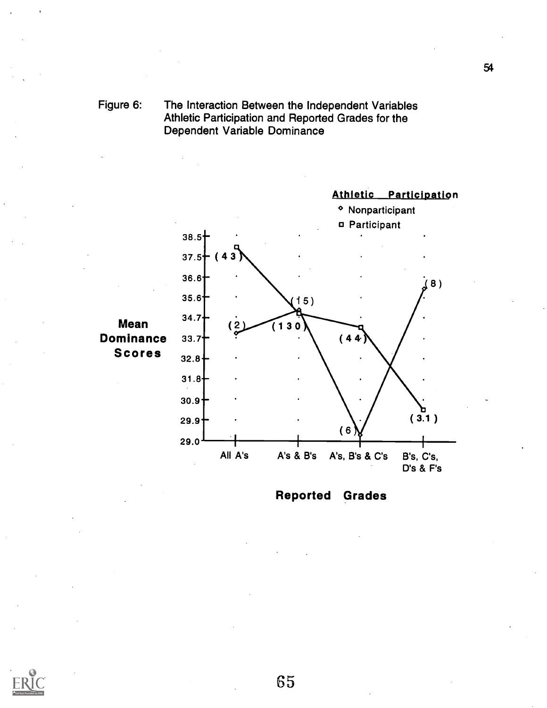# Figure 6: The Interaction Between the Independent Variables Athletic Participation and Reported Grades for the Dependent Variable Dominance

![](_page_64_Figure_1.jpeg)

![](_page_64_Figure_2.jpeg)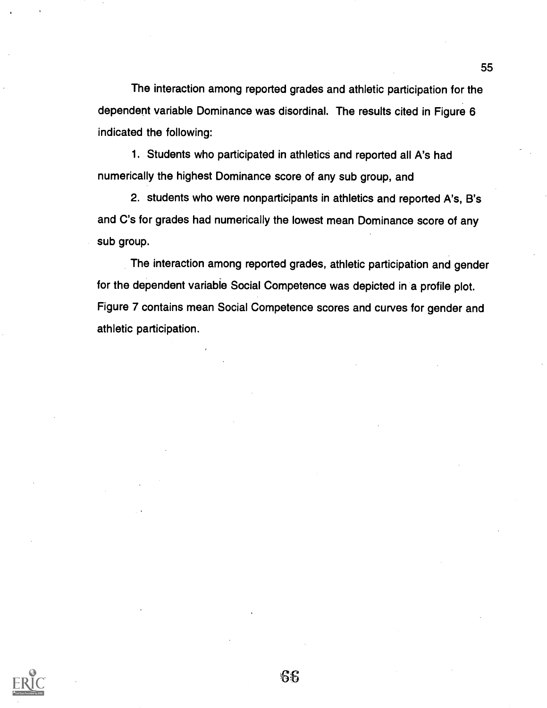The interaction among reported grades and athletic participation for the dependent variable Dominance was disordinal. The results cited in Figure 6 indicated the following:

1. Students who participated in athletics and reported all A's had numerically the highest Dominance score of any sub group, and

2. students who were nonparticipants in athletics and reported A's, B's and C's for grades had numerically the lowest mean Dominance score of any sub group.

The interaction among reported grades, athletic participation and gender for the dependent variable Social Competence was depicted in a profile plot. Figure 7 contains mean Social Competence scores and curves for gender and athletic participation.

![](_page_65_Picture_4.jpeg)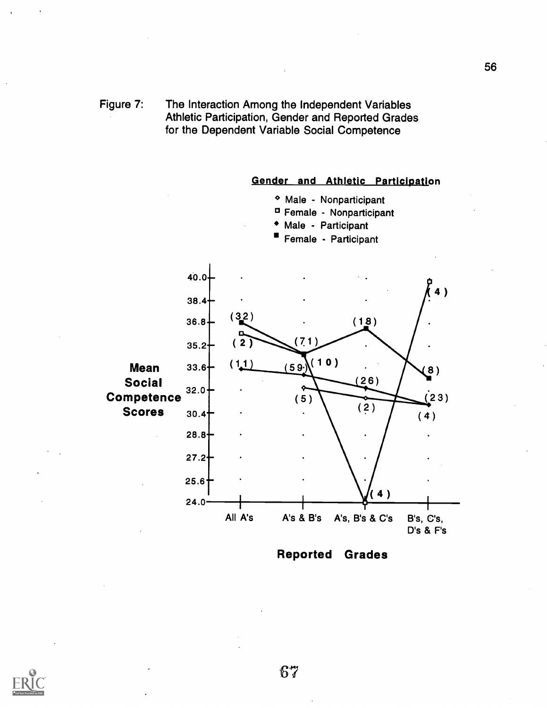Figure 7: The Interaction Among the Independent Variables Athletic Participation, Gender and Reported Grades for the Dependent Variable Social Competence

![](_page_66_Figure_1.jpeg)

Reported Grades

![](_page_66_Picture_3.jpeg)

67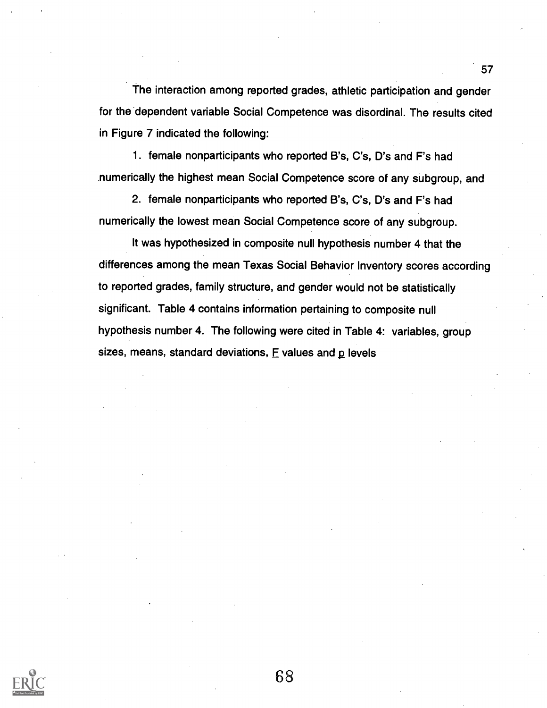The interaction among reported grades, athletic participation and gender for the dependent variable Social Competence was disordinal. The results cited in Figure 7 indicated the following:

1. female nonparticipants who reported B's, C's, D's and F's had numerically the highest mean Social Competence score of any subgroup, and

2. female nonparticipants who reported B's, C's, D's and F's had numerically the lowest mean Social Competence score of any subgroup.

It was hypothesized in composite null hypothesis number 4 that the differences among the mean Texas Social Behavior Inventory scores according to reported grades, family structure, and gender would not be statistically significant. Table 4 contains information pertaining to composite null hypothesis number 4. The following were cited in Table 4: variables, group sizes, means, standard deviations,  $E$  values and  $p$  levels

![](_page_67_Picture_4.jpeg)

![](_page_67_Picture_5.jpeg)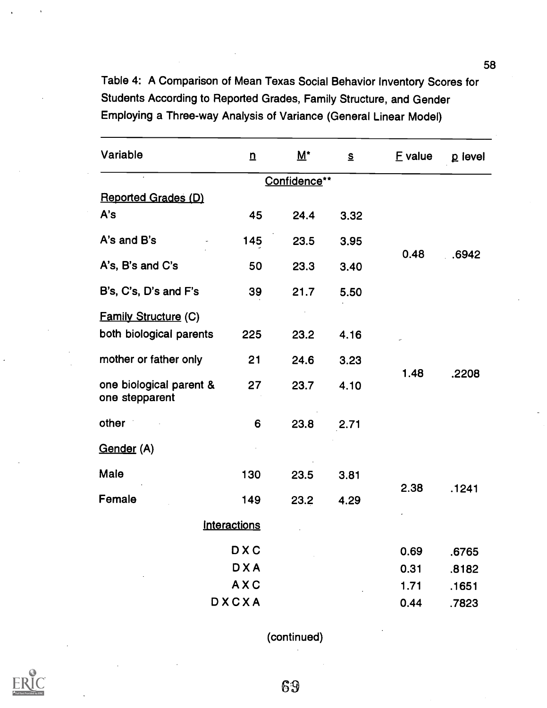Table 4: A Comparison of Mean Texas Social Behavior Inventory Scores for Students According to Reported Grades, Family Structure, and Gender Employing a Three-way Analysis of Variance (General Linear Model)

| Variable                                  | $\overline{u}$      | $\underline{\mathsf{M}}^{\star}$ | $\mathbf{s}$ | E value | p level |
|-------------------------------------------|---------------------|----------------------------------|--------------|---------|---------|
|                                           |                     | Confidence**                     |              |         |         |
| <b>Reported Grades (D)</b>                |                     |                                  |              |         |         |
| A's                                       | 45                  | 24.4                             | 3.32         |         |         |
| A's and B's                               | 145                 | 23.5                             | 3.95         | 0.48    | .6942   |
| A's, B's and C's                          | 50                  | 23.3                             | 3.40         |         |         |
| B's, C's, D's and F's                     | 39                  | 21.7                             | 5.50         |         |         |
| <b>Family Structure (C)</b>               |                     |                                  |              |         |         |
| both biological parents                   | 225                 | 23.2                             | 4.16         |         |         |
| mother or father only                     | 21                  | 24.6                             | 3.23         | 1.48    | .2208   |
| one biological parent &<br>one stepparent | 27                  | 23.7                             | 4.10         |         |         |
| other                                     | 6                   | 23.8                             | 2.71         |         |         |
| Gender (A)                                |                     |                                  |              |         |         |
| Male                                      | 130                 | 23.5                             | 3.81         |         |         |
| Female                                    | 149                 | 23.2                             | 4.29         | 2.38    | .1241   |
|                                           | <b>Interactions</b> |                                  |              |         |         |
|                                           | <b>DXC</b>          |                                  |              | 0.69    | .6765   |
|                                           | <b>DXA</b>          |                                  |              | 0.31    | .8182   |
|                                           | <b>AXC</b>          |                                  |              | 1.71    | .1651   |
|                                           | DXCXA               |                                  |              | 0.44    | .7823   |

(continued)

![](_page_68_Picture_3.jpeg)

58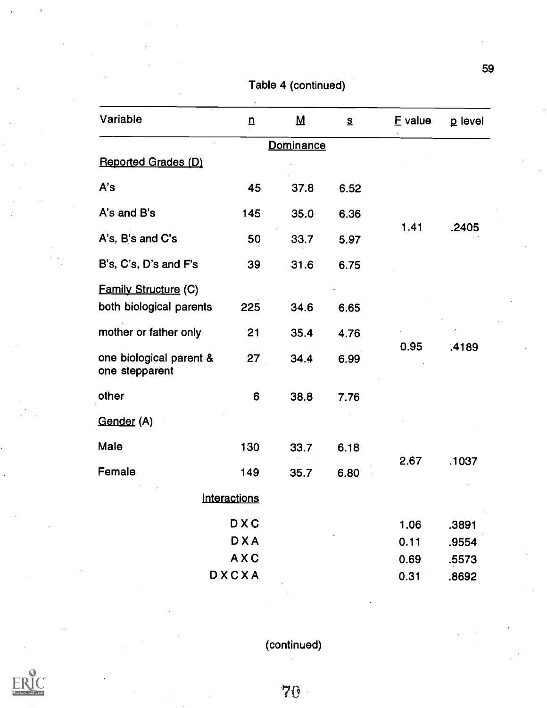| Variable                                               | $\mathbf n$  | $\overline{M}$ | $\mathbf{s}$ | E value | p level |
|--------------------------------------------------------|--------------|----------------|--------------|---------|---------|
|                                                        |              | Dominance      |              |         |         |
| <b>Reported Grades (D)</b>                             |              |                |              |         |         |
| A's                                                    | 45           | 37.8           | 6.52         |         |         |
| A's and B's                                            | 145          | 35.0           | 6.36         | 1.41    |         |
| A's, B's and C's                                       | 50           | 33.7           | 5.97         |         | .2405   |
| B's, C's, D's and F's                                  | 39           | 31.6           | 6.75         |         |         |
| <b>Family Structure (C)</b><br>both biological parents | 225          | 34.6           | 6.65         |         |         |
| mother or father only                                  | 21           | 35.4           | 4.76         |         | .4189   |
| one biological parent &<br>one stepparent              | 27           | 34.4           | 6.99         | 0.95    |         |
| other                                                  | 6            | 38.8           | 7.76         |         |         |
| Gender (A)                                             |              |                |              |         |         |
| Male                                                   | 130          | 33.7           | 6.18         |         |         |
| <b>Female</b>                                          | 149          | 35.7           | 6.80         | 2.67    | .1037   |
|                                                        | Interactions |                |              |         |         |
|                                                        | <b>DXC</b>   |                |              | 1.06    | .3891   |
|                                                        | <b>DXA</b>   |                |              | 0.11    | .9554   |
|                                                        | AXC          |                |              | 0.69    | .5573   |
|                                                        | DXCXA        |                |              | 0.31    | .8692   |

Table 4 (continued)

(continued)

59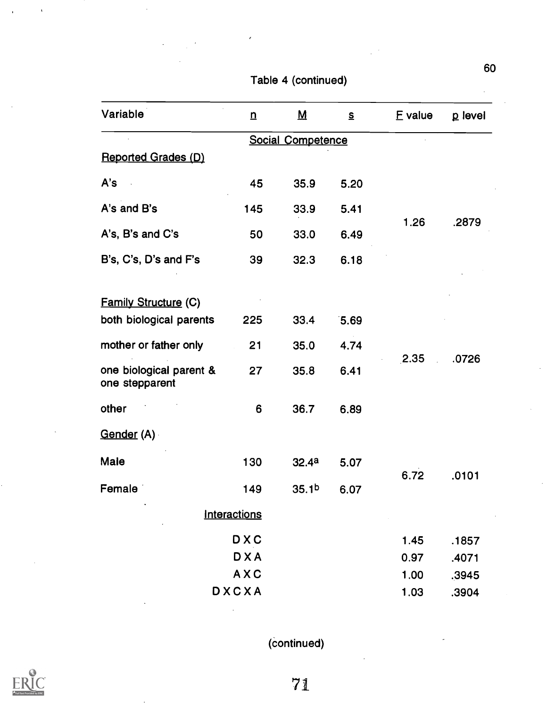| Variable                                               | $\mathbf n$         | $\overline{\mathsf{M}}$ | S    | E value | p level |
|--------------------------------------------------------|---------------------|-------------------------|------|---------|---------|
|                                                        |                     | Social Competence       |      |         |         |
| <b>Reported Grades (D)</b>                             |                     |                         |      |         |         |
| A's                                                    | 45                  | 35.9                    | 5.20 |         |         |
| A's and B's                                            | 145                 | 33.9                    | 5.41 | 1.26    | .2879   |
| A's, B's and C's                                       | 50                  | 33.0                    | 6.49 |         |         |
| B's, C's, D's and F's                                  | 39                  | 32.3                    | 6.18 |         |         |
|                                                        |                     |                         |      |         |         |
| <b>Family Structure (C)</b><br>both biological parents | 225                 | 33.4                    | 5.69 |         |         |
| mother or father only                                  | 21                  | 35.0                    | 4.74 |         | .0726   |
| one biological parent &<br>one stepparent              | 27                  | 35.8                    | 6.41 | 2.35    |         |
| other                                                  | 6                   | 36.7                    | 6.89 |         |         |
| <u>Gender</u> (A)                                      |                     |                         |      |         |         |
| Male                                                   | 130                 | 32.4a                   | 5.07 |         |         |
| Female                                                 | 149                 | 35.1 <sup>b</sup>       | 6.07 | 6.72    | .0101   |
|                                                        | <b>Interactions</b> |                         |      |         |         |
|                                                        | <b>DXC</b>          |                         |      | 1.45    | .1857   |
|                                                        | <b>DXA</b>          |                         |      | 0.97    | .4071   |
|                                                        | AXC                 |                         |      | 1.00    | .3945   |
|                                                        | DXCXA               |                         |      | 1.03    | .3904   |

Table 4 (continued)

(Continued)

![](_page_70_Picture_3.jpeg)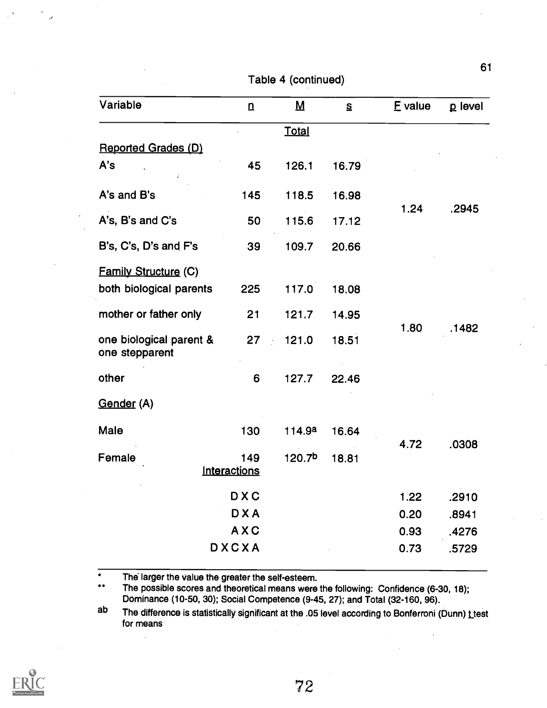| Variable                                  | $\overline{u}$ | $\underline{\mathbf{M}}$ | S     | E value | p level |
|-------------------------------------------|----------------|--------------------------|-------|---------|---------|
|                                           |                | <b>Total</b>             |       |         |         |
| Reported Grades (D)                       |                |                          |       |         |         |
| A's                                       | 45             | 126.1                    | 16.79 |         |         |
| A's and B's                               | 145            | 118.5                    | 16.98 | 1.24    |         |
| A's, B's and C's                          | 50             | 115.6                    | 17.12 |         | .2945   |
| B's, C's, D's and F's                     | 39             | 109.7                    | 20.66 |         |         |
| <b>Family Structure (C)</b>               |                |                          |       |         |         |
| both biological parents                   | 225            | 117.0                    | 18.08 |         |         |
| mother or father only                     | 21             | 121.7                    | 14.95 |         | .1482   |
| one biological parent &<br>one stepparent | 27             | 121.0                    | 18.51 | 1.80    |         |
| other                                     | 6              | 127.7                    | 22.46 |         |         |
| Gender (A)                                |                |                          |       |         |         |
| Male                                      | 130            | 114.9a                   | 16.64 |         |         |
| Female                                    | 149            | 120.7 <sup>b</sup>       | 18.81 | 4.72    | .0308   |
|                                           | Interactions   |                          |       |         |         |
|                                           | <b>DXC</b>     |                          |       | 1.22    | .2910   |
|                                           | <b>DXA</b>     |                          |       | 0.20    | .8941   |
|                                           | AXC            |                          |       | 0.93    | .4276   |
|                                           | <b>DXCXA</b>   |                          |       | 0.73    | .5729   |

Table 4 (continued)

 $\overline{\bullet}$ The larger the value the greater the self-esteem.

J

 $\star \star$ The possible scores and theoretical means were the following: Confidence (6-30, 18); Dominance (10-50, 30); Social Competence (9-45, 27); and Total (32-160, 96).

ab The difference is statistically significant at the .05 level according to Bonferroni (Dunn) <u>t t</u>est for means

![](_page_71_Picture_5.jpeg)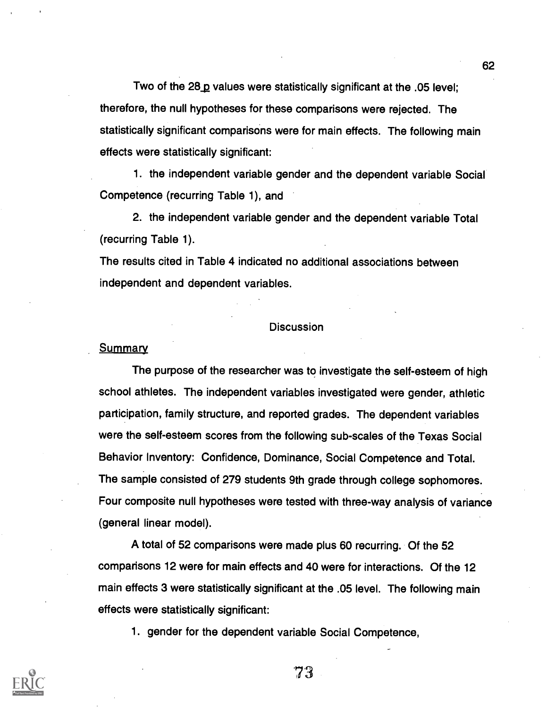Two of the  $28_p$  values were statistically significant at the .05 level; therefore, the null hypotheses for these comparisons were rejected. The statistically significant comparisons were for main effects. The following main effects were statistically significant:

1. the independent variable gender and the dependent variable Social Competence (recurring Table 1), and

2. the independent variable gender and the dependent variable Total (recurring Table 1).

The results cited in Table 4 indicated no additional associations between independent and dependent variables.

#### **Discussion**

#### **Summary**

The purpose of the researcher was to investigate the self-esteem of high school athletes. The independent variables investigated were gender, athletic participation, family structure, and reported grades. The dependent variables were the self-esteem scores from the following sub-scales of the Texas Social Behavior Inventory: Confidence, Dominance, Social Competence and Total. The sample consisted of 279 students 9th grade through college sophomores. Four composite null hypotheses were tested with three-way analysis of variance (general linear model).

A total of 52 comparisons were made plus 60 recurring. Of the 52 comparisons 12 were for main effects and 40 were for interactions. Of the 12 main effects 3 were statistically significant at the .05 level. The following main effects were statistically significant:

1. gender for the dependent variable Social Competence,



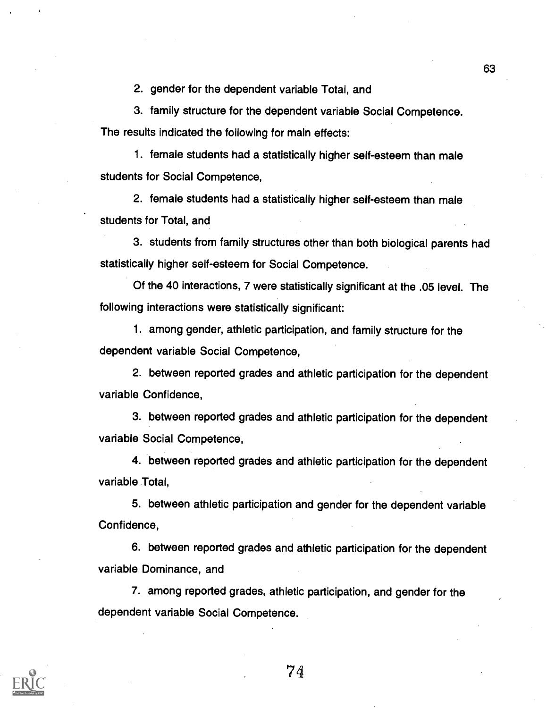2. gender for the dependent variable Total, and

3. family structure for the dependent variable Social Competence.

The results indicated the following for main effects:

1. female students had a statistically higher self-esteem than male students for Social Competence,

2. female students had a statistically higher self-esteem than male students for Total, and

3. students from family structures other than both biological parents had statistically higher self-esteem for Social Competence.

Of the 40 interactions, 7 were statistically significant at the .05 level. The following interactions were statistically significant:

1. among gender, athletic participation, and family structure for the dependent variable Social Competence,

2. between reported grades and athletic participation for the dependent variable Confidence,

3. between reported grades and athletic participation for the dependent variable Social Competence,

4. between reported grades and athletic participation for the dependent variable Total,

5. between athletic participation and gender for the dependent variable Confidence,

6. between reported grades and athletic participation for the dependent variable Dominance, and

7. among reported grades, athletic participation, and gender for the dependent variable Social Competence.



74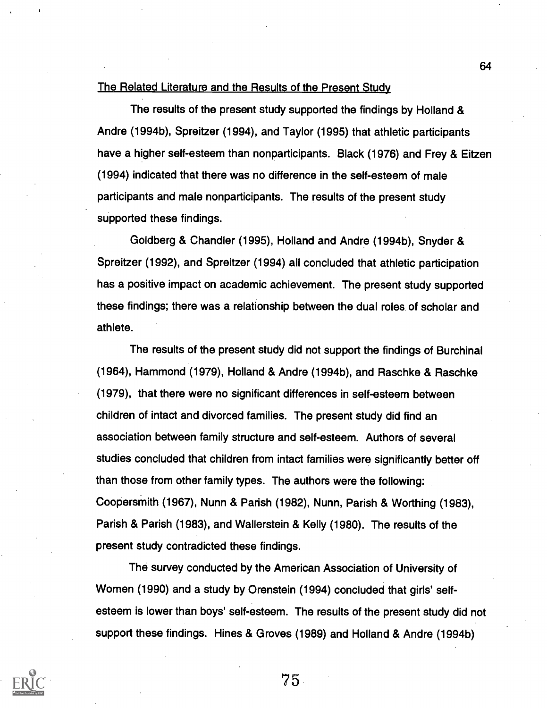#### The Related Literature and the Results of the Present Study

The results of the present study supported the findings by Holland & Andre (1994b), Spreitzer (1994), and Taylor (1995) that athletic participants have a higher self-esteem than nonparticipants. Black (1976) and Frey & Eitzen (1994) indicated that there was no difference in the self-esteem of male participants and male nonparticipants. The results of the present study supported these findings.

Goldberg & Chandler (1995), Holland and Andre (1994b), Snyder & Spreitzer (1992), and Spreitzer (1994) all concluded that athletic participation has a positive impact on academic achievement. The present study supported these findings; there was a relationship between the dual roles of scholar and athlete.

The results of the present study did not support the findings of Burchinal (1964), Hammond (1979), Holland & Andre (1994b), and Raschke & Raschke (1979), that there were no significant differences in self-esteem between children of intact and divorced families. The present study did find an association between family structure and self-esteem. Authors of several studies concluded that children from intact families were significantly better off than those from other family types. The authors were the following: Coopersmith (1967), Nunn & Parish (1982), Nunn, Parish & Worthing (1983), Parish & Parish (1983), and Wallerstein & Kelly (1980). The results of the present study contradicted these findings.

The survey conducted by the American Association of University of Women (1990) and a study by Orenstein (1994) concluded that girls' selfesteem is lower than boys' self-esteem. The results of the present study did not support these findings. Hines & Groves (1989) and Holland & Andre (1994b)



75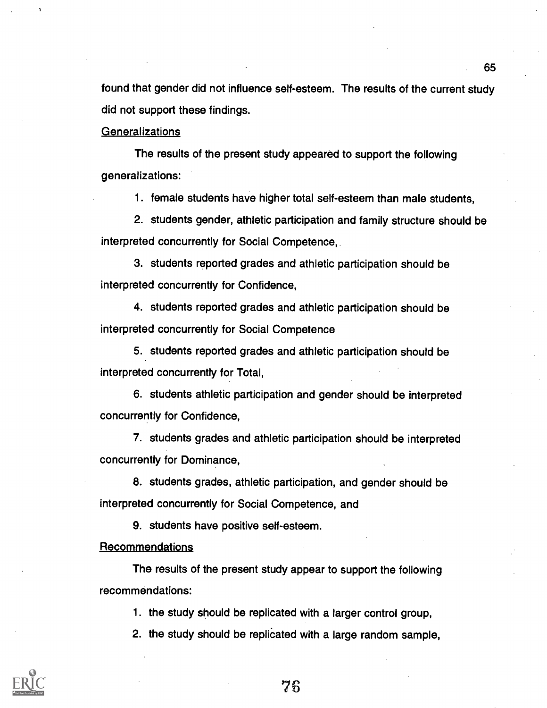found that gender did not influence self-esteem. The results of the current study did not support these findings.

Generalizations

The results of the present study appeared to support the following generalizations:

1. female students have higher total self-esteem than male students,

2. students gender, athletic participation and family structure should be interpreted concurrently for Social Competence,

3. students reported grades and athletic participation should be interpreted concurrently for Confidence,

4. students reported grades and athletic participation should be interpreted concurrently for Social Competence

5. students reported grades and athletic participation should be interpreted concurrently for Total,

6. students athletic participation and gender should be interpreted concurrently for Confidence,

7. students grades and athletic participation should be interpreted concurrently for Dominance,

8. students grades, athletic participation, and gender should be interpreted concurrently for Social Competence, and

9. students have positive self-esteem.

**Recommendations** 

The results of the present study appear to support the following recommendations:

1. the study should be replicated with a larger control group,

2. the study should be replicated with a large random sample,

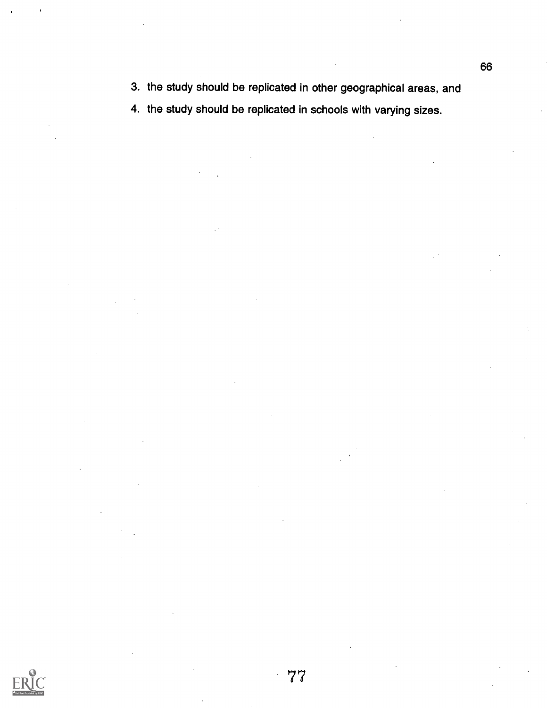3. the study should be replicated in other geographical areas, and

4. the study should be replicated in schools with varying sizes.

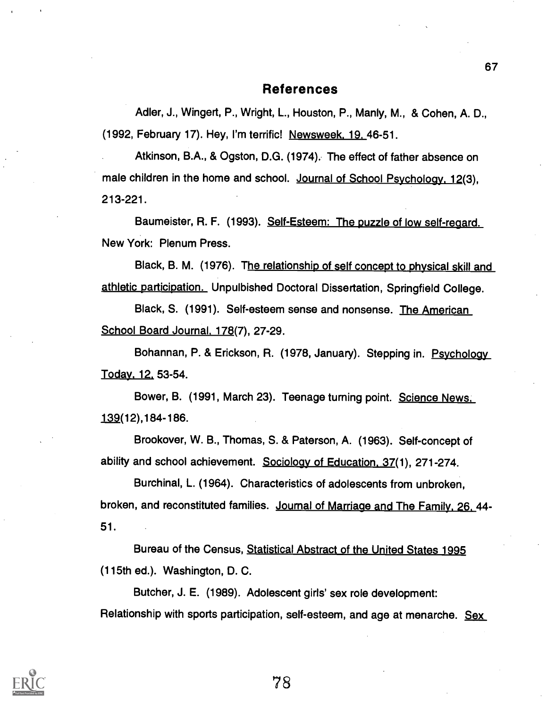#### References

Adler, J., Wingert, P., Wright, L., Houston, P., Manly, M., & Cohen, A. D., (1992, February 17). Hey, I'm terrific! Newsweek. 19. 46-51.

Atkinson, B.A., & Ogston, D.G. (1974). The effect of father absence on male children in the home and school. Journal of School Psychology, 12(3), 213-221.

Baumeister, R. F. (1993). Self-Esteem: The puzzle of low self-regard. New York: Plenum Press.

Black, B. M. (1976). The relationship of self concept to physical skill and athletic participation. Unpulbished Doctoral Dissertation, Springfield College.

Black, S. (1991). Self-esteem sense and nonsense. The American School Board Journal. 178(7), 27-29.

Bohannan, P. & Erickson, R. (1978, January). Stepping in. Psychology Today. 12. 53-54.

Bower, B. (1991, March 23). Teenage turning point. Science News. 12(12),184-186.

Brookover, W. B., Thomas, S. & Paterson, A. (1963). Self-concept of ability and school achievement. Sociology of Education. 37(1), 271-274.

Burchinal, L. (1964). Characteristics of adolescents from unbroken, broken, and reconstituted families. Journal of Marriage and The Family. 26. 44- 51.

Bureau of the Census, Statistical Abstract of the United States 1995 (115th ed.). Washington, D. C.

Butcher, J. E. (1989). Adolescent girls' sex role development: Relationship with sports participation, self-esteem, and age at menarche. Sex

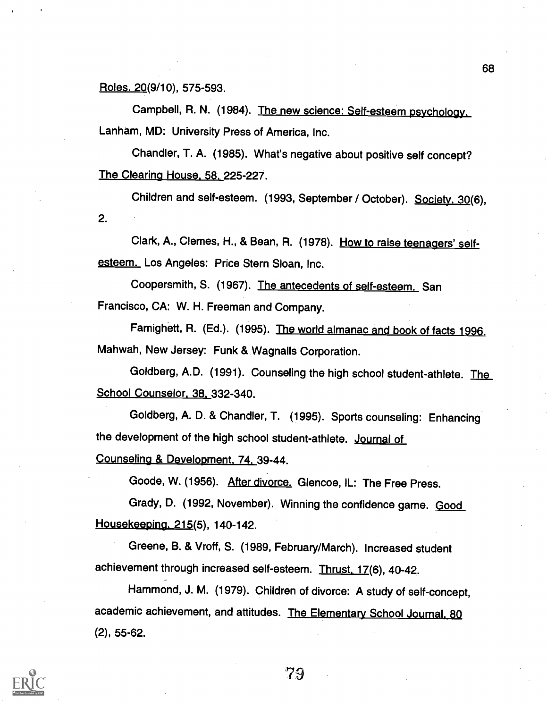Roles. 20(9/10), 575-593.

Campbell, R. N. (1984). The new science: Self-esteem psychology. Lanham, MD: University Press of America, Inc.

Chandler, T. A. (1985). What's negative about positive self concept? The Clearing House. 58. 225-227.

Children and self-esteem. (1993, September / October). Society. 30(6), 2.

Clark, A., Clemes, H., & Bean, R. (1978). How to raise teenagers' selfesteem. Los Angeles: Price Stern Sloan, Inc.

Coopersmith, S. (1967). The antecedents of self-esteem. San Francisco, CA: W. H. Freeman and Company.

Famighett, R. (Ed.). (1995). The world almanac and book of facts 1996. Mahwah, New Jersey: Funk & Wagnalls Corporation.

Goldberg, A.D. (1991). Counseling the high school student-athlete. The School Counselor. 38. 332-340.

Goldberg, A. D. & Chandler, T. (1995). Sports counseling: Enhancing the development of the high school student-athlete. Journal of

Counseling & Development. 74. 39-44.

Goode, W. (1956). After divorce. Glencoe, IL: The Free Press.

Grady, D. (1992, November). Winning the confidence game. Good Housekeeping. 215(5), 140-142.

Greene, B. & Vroff, S. (1989, February/March). Increased student achievement through increased self-esteem. Thrust. 17(6), 40-42.

Hammond, J. M. (1979). Children of divorce: A study of self-concept, academic achievement, and attitudes. The Elementary School Journal, 80 (2), 55-62.

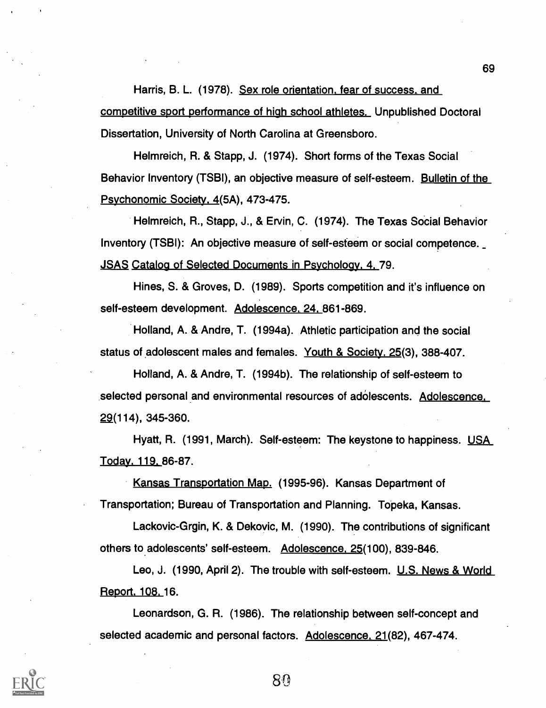Harris, B. L. (1978). Sex role orientation. fear of success. and competitive sport performance of high school athletes. Unpublished Doctoral Dissertation, University of North Carolina at Greensboro.

Helmreich, R. & Stapp, J. (1974). Short forms of the Texas Social Behavior Inventory (TSBI), an objective measure of self-esteem. Bulletin of the Psychonomic Society. 4(5A), 473-475.

Helmreich, R., Stapp, J., & Ervin, C. (1974). The Texas Social Behavior Inventory (TSBI): An objective measure of self-esteem or social competence. JSAS Catalog of Selected Documents in Psychology. 4. 79.

Hines, S. & Groves, D. (1989). Sports competition and it's influence on self-esteem development. Adolescence. 24. 861-869.

Holland, A. & Andre, T. (1994a). Athletic participation and the social status of adolescent males and females. Youth & Society. 25(3), 388-407.

Holland, A. & Andre, T. (1994b). The relationship of self-esteem to selected personal and environmental resources of adolescents. Adolescence. 29(114), 345-360.

Hyatt, R. (1991, March). Self-esteem: The keystone to happiness. USA Today. 119. 86-87.

Kansas Transportation Map. (1995-96). Kansas Department of Transportation; Bureau of Transportation and Planning. Topeka, Kansas.

Lackovic-Grgin, K. & Dekovic, M. (1990). The contributions of significant others to adolescents' self-esteem. Adolescence. 25(100), 839-846.

Leo, J. (1990, April 2). The trouble with self-esteem. U.S. News & World Report. 108. 16.

Leonardson, G. R. (1986). The relationship between self-concept and selected academic and personal factors. Adolescence. 21(82), 467-474.

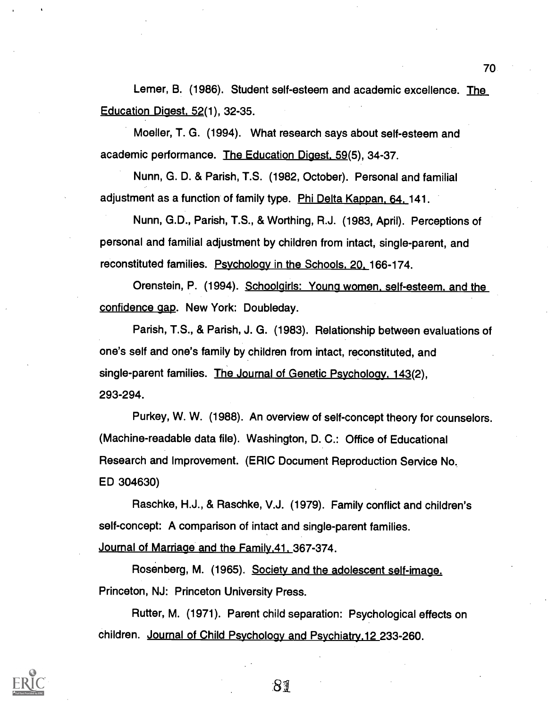Lerner, B. (1986). Student self-esteem and academic excellence. The Education Digest. 52(1), 32-35.

Moeller, T. G. (1994). What research says about self-esteem and academic performance. The Education Digest. 59(5), 34-37.

Nunn, G. D. & Parish, T.S. (1982, October). Personal and familial adjustment as a function of family type. Phi Delta Kappan, 64, 141.

Nunn, G.D., Parish, T.S., & Worthing, R.J. (1983, April). Perceptions of personal and familial adjustment by children from intact, single-parent, and reconstituted families. Psycholoay in the Schools. 20. 166-174.

Orenstein, P. (1994). Schoolgirls: Young women. self-esteem. and the confidence gap. New York: Doubleday.

Parish, T.S., & Parish, J. G. (1983). Relationship between evaluations of one's self and one's family by children from intact, reconstituted, and single-parent families. The Journal of Genetic Psychology. 143(2), 293-294.

Purkey, W. W. (1988). An overview of self-concept theory for counselors. (Machine-readable data file). Washington, D. C.: Office of Educational Research and Improvement. (ERIC Document Reproduction Service No. ED 304630)

Raschke, H.J., & Raschke, V.J. (1979). Family conflict and children's self-concept: A comparison of intact and single-parent families. Journal of Marriage and the Family.41. 367-374.

Rosenberg, M. (1965). Society and the adolescent self-image. Princeton, NJ: Princeton University Press.

Rutter, M. (1971). Parent child separation: Psychological effects on children. Journal of Child Psychology and Psychiatry.12 233-260.

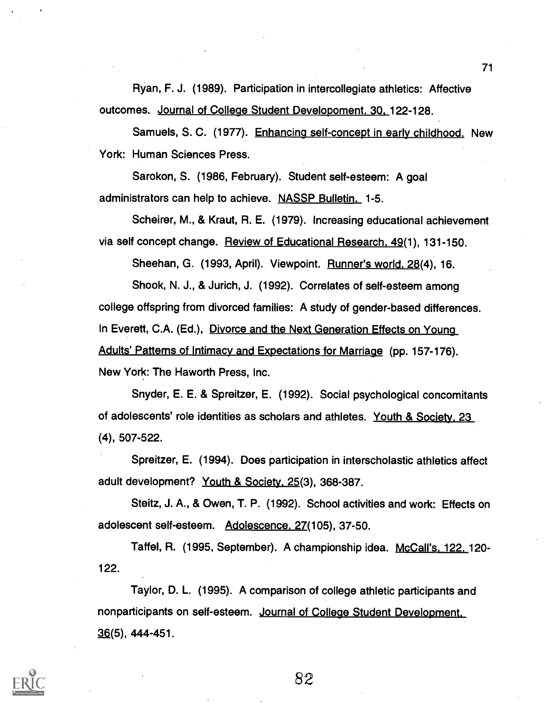Ryan, F. J. (1989). Participation in intercollegiate athletics: Affective outcomes. Journal of College Student Developoment. 30. 122-128.

Samuels, S. C. (1977). Enhancing self-concept in early childhood. New York: Human Sciences Press.

Sarokon, S. (1986, February). Student self-esteem: A goal administrators can help to achieve. NASSP Bulletin. 1-5.

Scheirer, M., & Kraut, R. E. (1979). Increasing educational achievement via self concept change. Review of Educational Research. 49(1), 131-150.

Sheehan, G. (1993, April). Viewpoint. Runner's world. 28(4), 16.

Shook, N. J., & Jurich, J. (1992). Correlates of self-esteem among college offspring from divorced families: A study of gender-based differences. In Everett, C.A. (Ed.), Divorce and the Next Generation Effects on Young Adults' Patterns of Intimacy and Expectations for Marriage (pp. 157-176). New York: The Haworth Press, Inc.

Snyder, E. E. & Spreitzer, E. (1992). Social psychological concomitants of adolescents' role identities as scholars and athletes. Youth & Society. 23 (4), 507-522.

Spreitzer, E. (1994). Does participation in interscholastic athletics affect adult development? Youth & Society. 25(3), 368-387.

Steitz, J. A., & Owen, T. P. (1992). School activities and work: Effects on adolescent self-esteem. Adolescence. 27(105), 37-50.

Taffel, R. (1995, September). A championship idea. McCall's. 122. 120- 122.

Taylor, D. L. (1995). A comparison of college athletic participants and nonparticipants on self-esteem. Journal of College Student Development.  $36(5)$ , 444-451.

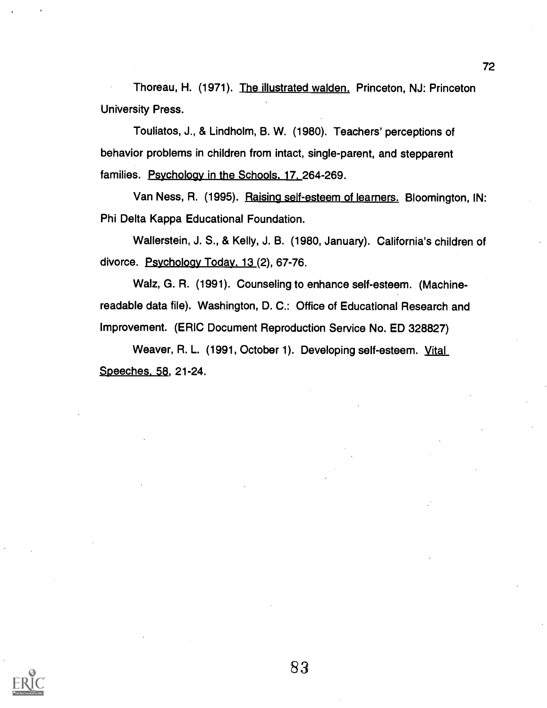Thoreau, H. (1971). The illustrated walden. Princeton, NJ: Princeton University Press.

Touliatos, J., & Lindholm, B. W. (1980). Teachers' perceptions of behavior problems in children from intact, single-parent, and stepparent families. Psychology in the Schools. 17. 264-269.

Van Ness, R. (1995). Raising self-esteem of learners. Bloomington, IN: Phi Delta Kappa Educational Foundation.

Wallerstein, J. S., & Kelly, J. B. (1980, January). California's children of divorce. Psychology Today. 13 (2), 67-76.

Walz, G. R. (1991). Counseling to enhance self-esteem. (Machinereadable data file). Washington, D. C.: Office of Educational Research and Improvement. (ERIC Document Reproduction Service No. ED 328827)

Weaver, R. L. (1991, October 1). Developing self-esteem. Vital Speeches. 58, 21-24.

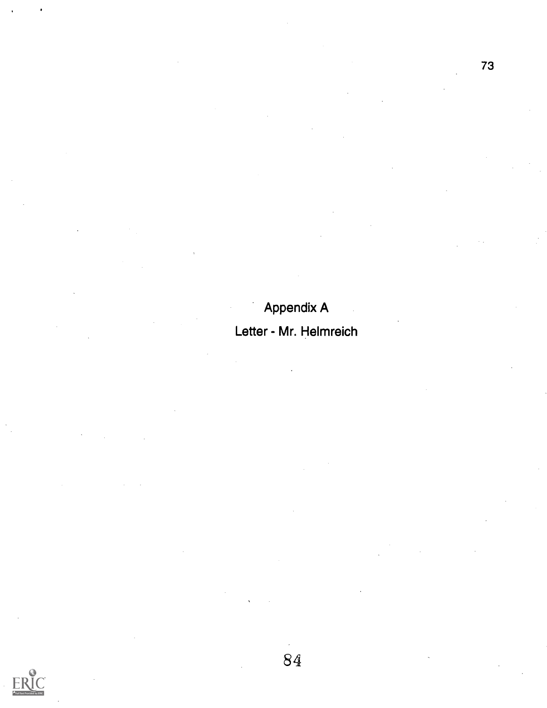### Appendix A

### Letter - Mr. Helmreich

E.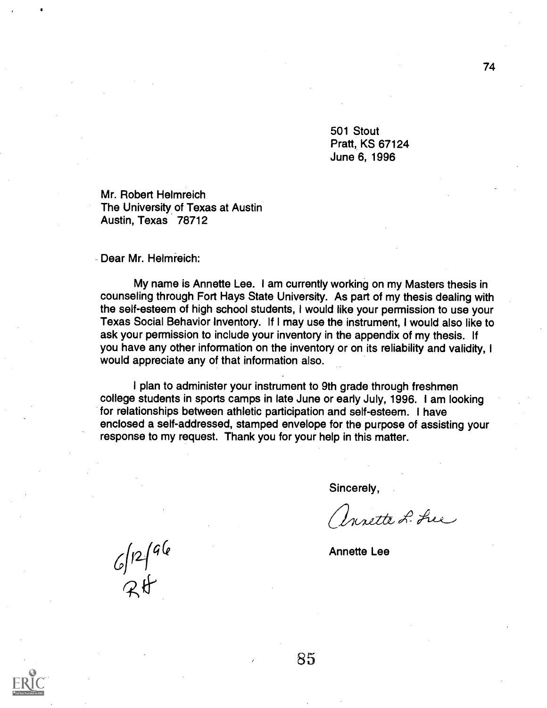501 Stout Pratt, KS 67124 June 6, 1996

Mr. Robert Helmreich The University of Texas at Austin Austin, Texas 78712

Dear Mr. Helmreich:

My name is Annette Lee. I am currently working on my Masters thesis in counseling through Fort Hays State University. As part of my thesis dealing with the self-esteem of high school students, I would like your permission to use your Texas Social Behavior Inventory. If I may use the instrument, I would also like to ask your permission to include your inventory in the appendix of my thesis. If you have any other information on the inventory or on its reliability and validity, I would appreciate any of that information also.

I plan to administer your instrument to 9th grade through freshmen college students in sports camps in late June or early July, 1996. I am looking for relationships between athletic participation and self-esteem. I have enclosed a self-addressed, stamped envelope for the purpose of assisting your response to my request. Thank you for your help in this matter.

Sincerely,

Unette L. Luc

Annette Lee

 $6/12/96$ <br>RH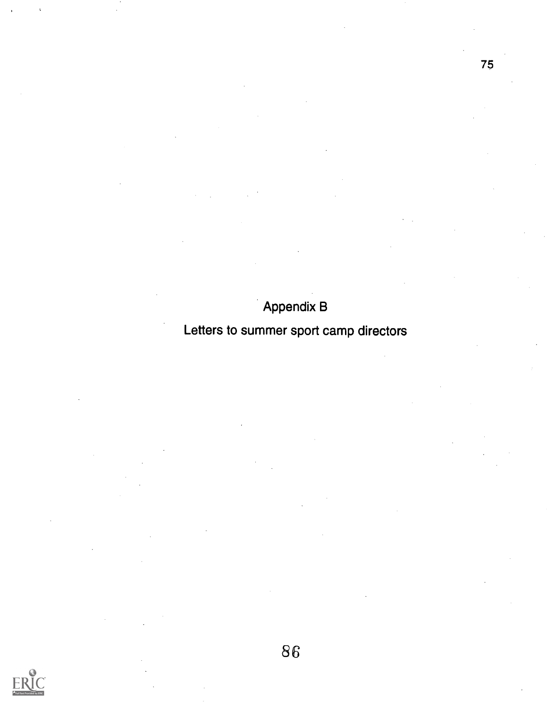### Appendix B

### Letters to summer sport camp directors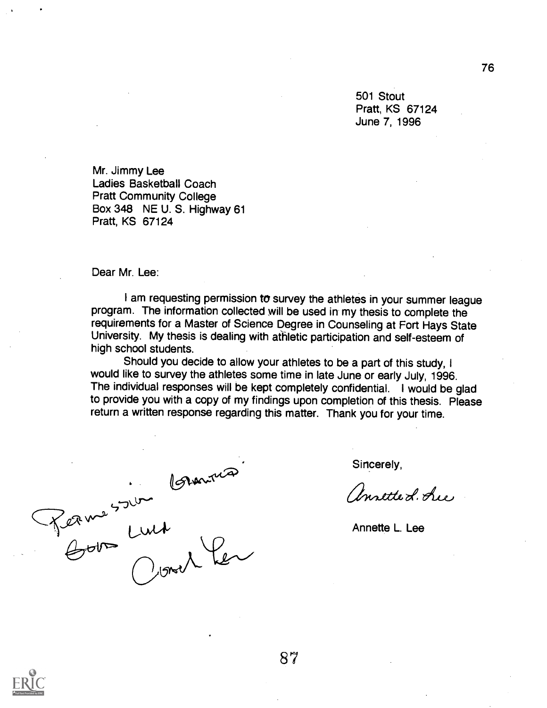501 Stout Pratt, KS 67124 June 7, 1996

Mr. Jimmy Lee Ladies Basketball Coach Pratt Community College Box 348 NE U. S. Highway 61 Pratt, KS 67124

Dear Mr. Lee:

I am requesting permission to survey the athletes in your summer league program. The information collected will be used in my thesis to complete the requirements for a Master of Science Degree in Counseling at Fort Hays State University. My thesis is dealing with athletic participation and self-esteem of high school students.

Should you decide to allow your athletes to be a part of this study, I would like to survey the athletes some time in late June or early July, 1996. The individual responses will be kept completely confidential. I would be glad to provide you with a copy of my findings upon completion of this thesis. Please return a written response regarding this matter. Thank you for your time.

Perme 500 Luis<br>Boom Luis<br>Overler

Sincerely,

antte L. Lue

Annette L. Lee

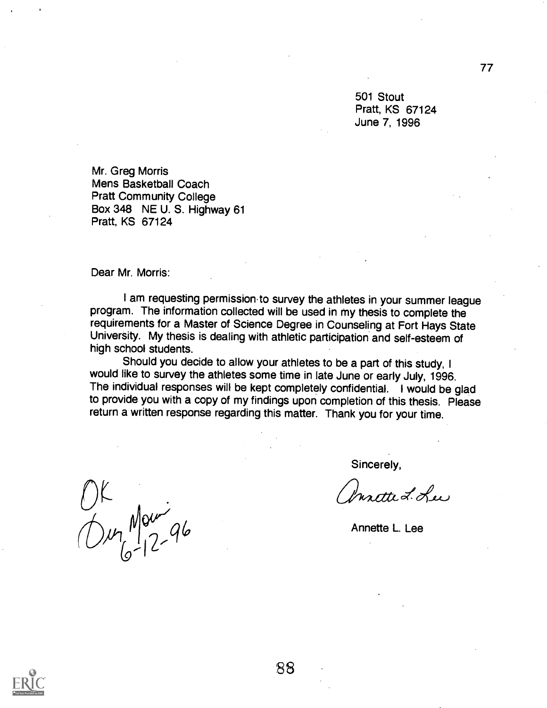501 Stout Pratt, KS 67124 June 7, 1996

Mr. Greg Morris Mens Basketball Coach Pratt Community College Box 348 NE U. S. Highway 61 Pratt, KS 67124

Dear Mr. Morris:

I am requesting permission.to survey the athletes in your summer league program. The information collected will be used in my thesis to complete the requirements for a Master of Science Degree in Counseling at Fort Hays State University. My thesis is dealing with athletic participation and self-esteem of high school students.

Should you decide to allow your athletes to be a part of this study, I would like to survey the athletes some time in late June or early July, 1996. The individual responses will be kept completely confidential. I would be glad to provide you with a copy of my findings upon completion of this thesis. Please return a written response regarding this matter. Thank you for your time.

 $01$ <br>Our Mourige

Sincerely,<br>*Insette L. Lee* 

Annette L. Lee

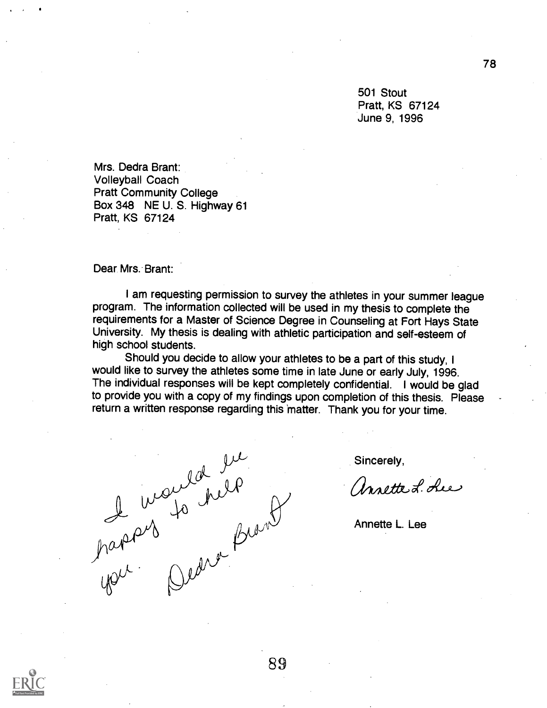501 Stout Pratt, KS 67124 June 9, 1996

Mrs. Dedra Brant: Volleyball Coach Pratt Community College Box 348 NE U. S. Highway 61 Pratt, KS 67124

Dear. Mrs. Brant:

I am requesting permission to survey the athletes in your summer league program. The information collected will be used in my thesis to complete the requirements for a Master of Science Degree in Counseling at Fort Hays State University. My thesis is dealing with athletic participation and self-esteem of high school students.

Should you decide to allow your athletes to be a part of this study, I would like to survey the athletes some time in late June or early July, 1996. The individual responses will be kept completely confidential. I would be glad to provide you with a copy of my findings upon completion of this thesis. Please return a written response regarding this matter. Thank you for your time.

de inoudant<br>papas<br>you Dedro Brond

Sincerely,

Unrette L. Lue

Annette L. Lee

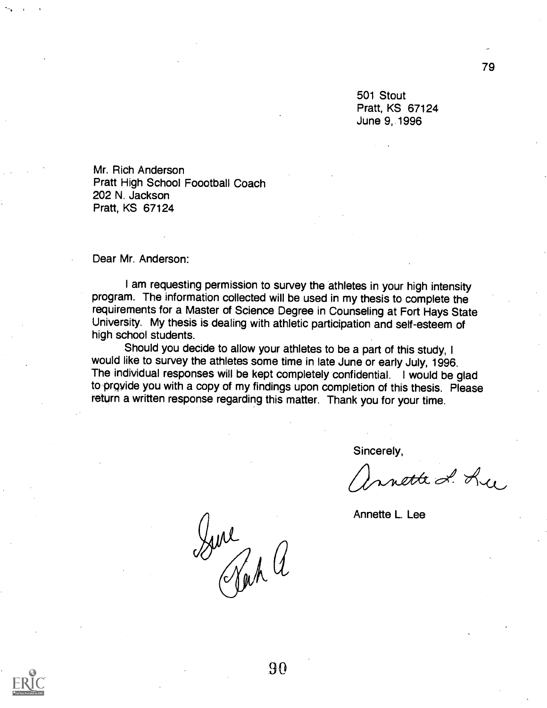501 Stout Pratt, KS 67124 June 9, 1996

Mr. Rich Anderson Pratt High School F000tball Coach 202 N. Jackson Pratt, KS 67124

Dear Mr. Anderson:

I am requesting permission to survey the athletes in your high intensity program. The information collected will be used in my thesis to complete the requirements for a Master of Science Degree in Counseling at Fort Hays State University. My thesis is dealing with athletic participation and self-esteem of high school students.

Should you decide to allow your athletes to be a part of this study, I would like to survey the athletes some time in late June or early July, 1996. The individual responses will be kept completely confidential. I would be glad to provide you with a copy of my findings upon completion of this thesis. Please return a written response regarding this matter. Thank you for your time.

Sincerely,

mette L. Ly,

Annette L. Lee

Sure<br>Jack a



90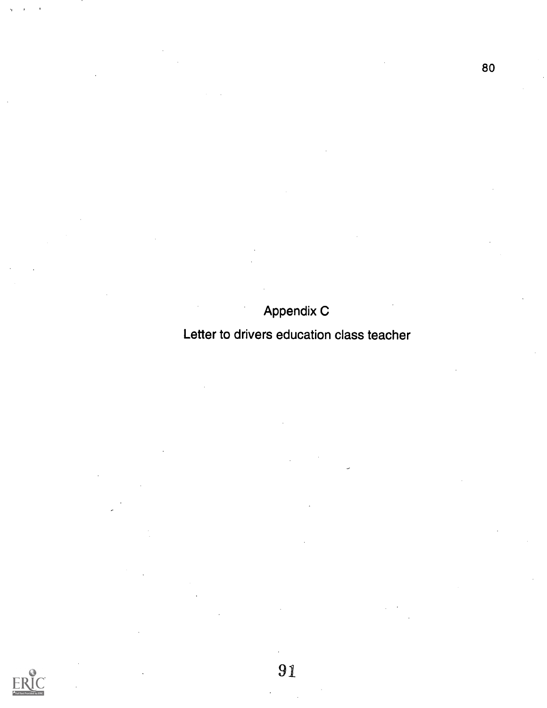### Appendix C

### Letter to drivers education class teacher

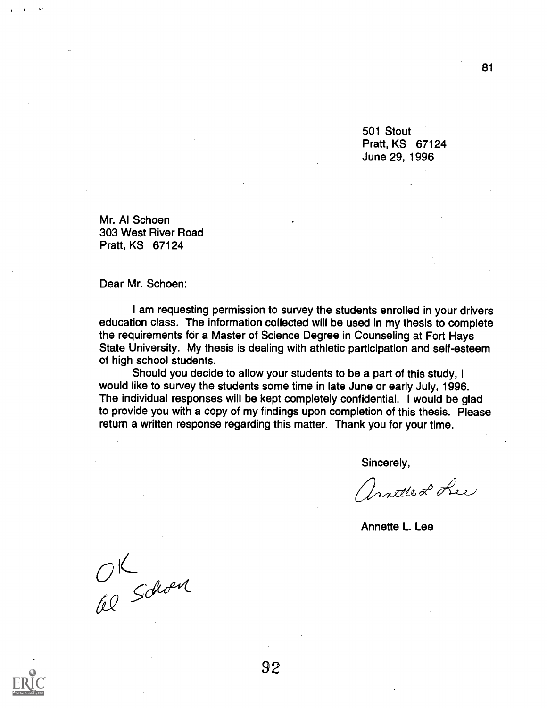501 Stout Pratt, KS 67124 June 29, 1996

Mr. Al Schoen 303 West River Road Pratt, KS 67124

Dear Mr. Schoen:

I am requesting permission to survey the students enrolled in your drivers education class. The information collected will be used in my thesis to complete the requirements for a Master of Science Degree in Counseling at Fort Hays State University. My thesis is dealing with athletic participation and self-esteem of high school students.

Should you decide to allow your students to be a part of this study, I would like to survey the students some time in late June or early July, 1996. The individual responses will be kept completely confidential. I would be glad to provide you with a copy of my findings upon completion of this thesis. Please return a written response regarding this matter. Thank you for your time.

Sincerely,

Unitled Lee

Annette L. Lee

OK<br>El Schoen

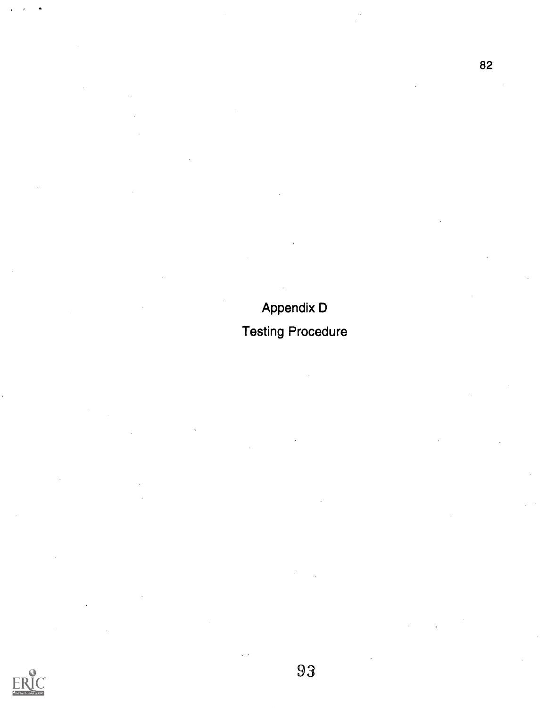# Appendix D Testing Procedure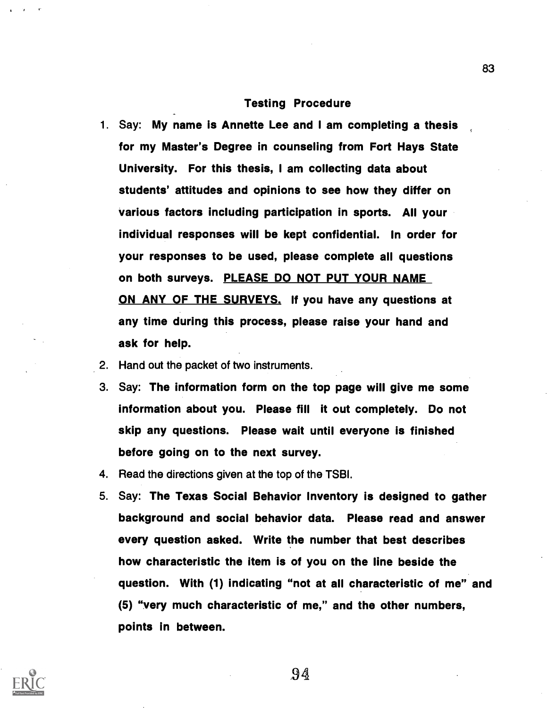#### Testing Procedure

- 1. Say: My name is Annette Lee and I am completing a thesis for my Master's Degree in counseling from Fort Hays State University. For this thesis, I am collecting data about students' attitudes and opinions to see how they differ on various factors including participation in sports. All your individual responses will be kept confidential. In order for your responses to be used, please complete all questions on both surveys. PLEASE DO NOT PUT YOUR NAME ON ANY OF THE SURVEYS. If you have any questions at any time during this process, please raise your hand and ask for help.
- 2. Hand out the packet of two instruments.
- 3. Say: The information form on the top page will give me some information about you. Please fill it out completely. Do not skip any questions. Please wait until everyone is finished before going on to the next survey.
- 4. Read the directions given at the top of the TSBI.
- 5. Say: The Texas Social Behavior Inventory is designed to gather background and social behavior data. Please read and answer every question asked. Write the number that best describes how characteristic the item is of you on the line beside the question. With (1) indicating "not at all characteristic of me" and (5) "very much characteristic of me," and the other numbers, points in between.

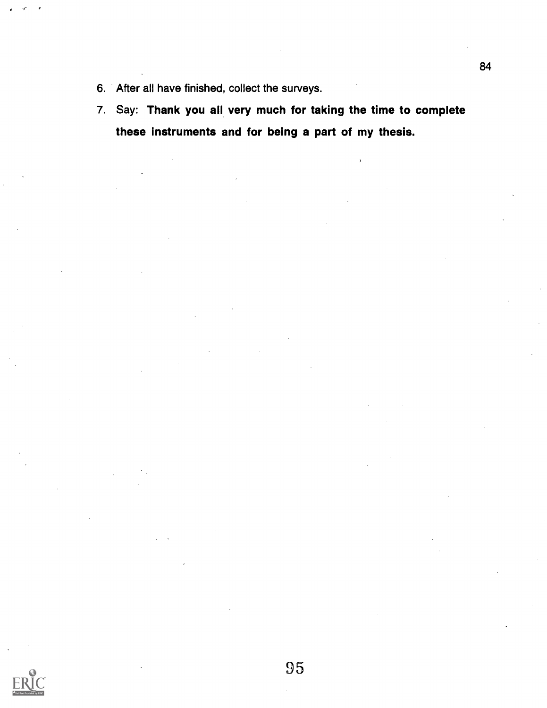- 6. After all have finished, collect the surveys.
- 7. Say: Thank you all very much for taking the time to complete these instruments and for being a part of my thesis.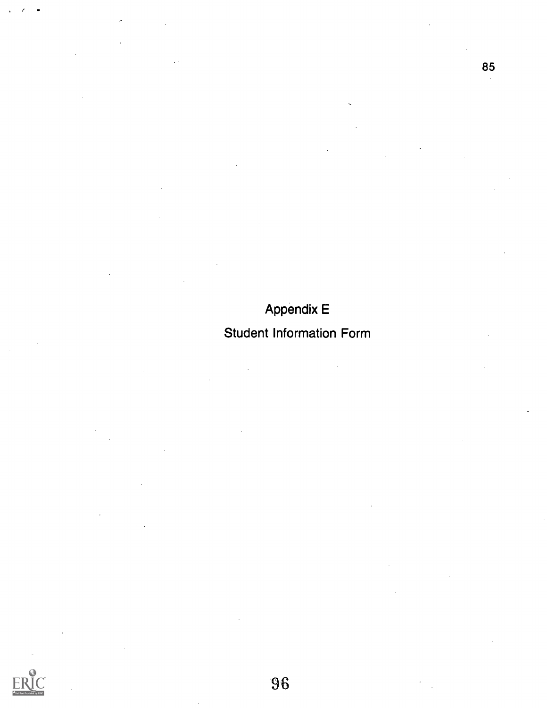## Appendix E

### Student Information Form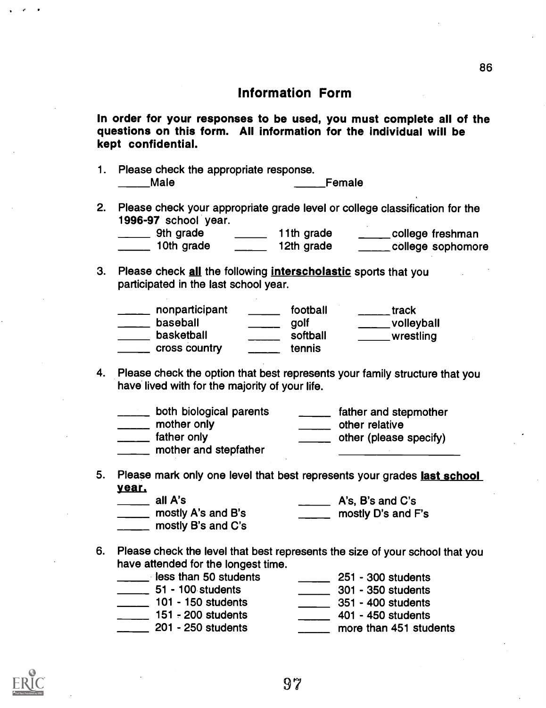In order for your responses to be used, you must complete all of the questions on this form. All information for the individual will be kept confidential.

- 1. Please check the appropriate response. Male **Male Female**
- 2. Please check your appropriate grade level or college classification for the 1996-97 school year.

| 9th grade  | 11th grade | college freshman   |
|------------|------------|--------------------|
| 10th grade | 12th grade | _college sophomore |

3. Please check all the following interscholastic sports that you participated in the last school year.

| nonparticipant | football | track      |
|----------------|----------|------------|
| baseball       | golf     | volleyball |
| basketball     | softball | wrestling  |
| cross country  | tennis   |            |

4. Please check the option that best represents your family structure that you have lived with for the majority of your life.

| both biological parents              | father and stepmother  |
|--------------------------------------|------------------------|
| mother only                          | other relative         |
| father only<br>mother and stepfather | other (please specify) |

5. Please mark only one level that best represents your grades last school year.

| all A's            | A's, B's and C's   |
|--------------------|--------------------|
| mostly A's and B's | mostly D's and F's |
| mostly B's and C's |                    |

6. Please check the level that best represents the size of your school that you have attended for the longest time.

| less than 50 students | 251 - 300 students     |
|-----------------------|------------------------|
| 51 - 100 students     | 301 - 350 students     |
| 101 - 150 students    | 351 - 400 students     |
| 151 - 200 students    | 401 - 450 students     |
| 201 - 250 students    | more than 451 students |

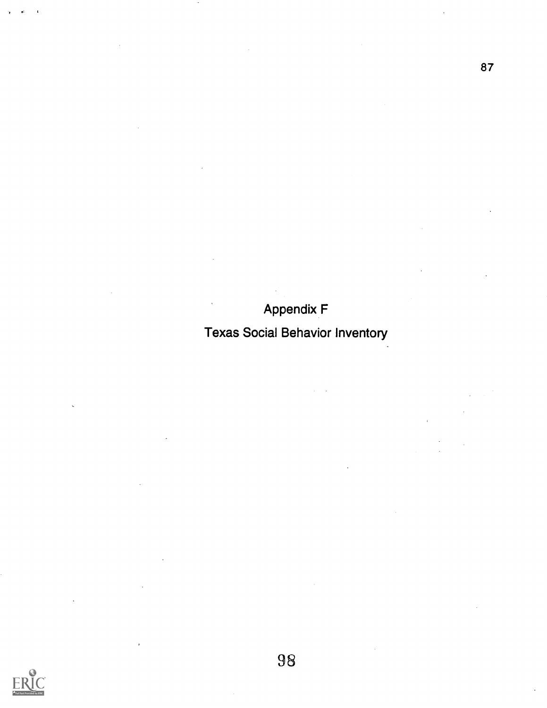## Appendix F

## Texas Social Behavior Inventory

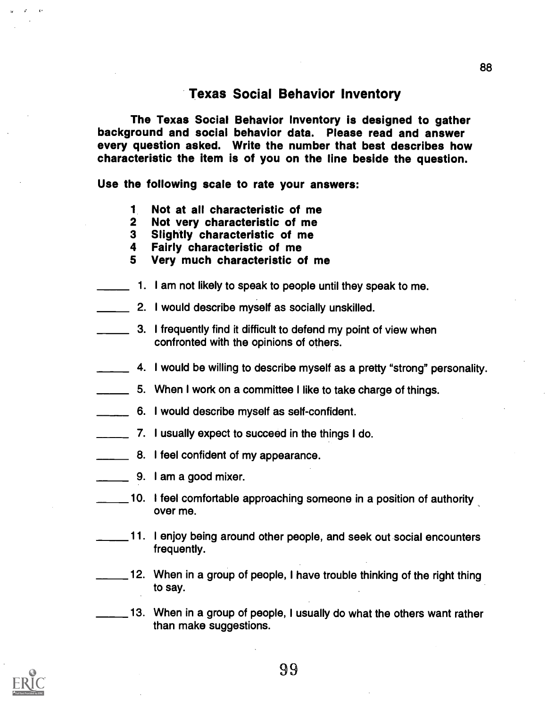#### Texas Social Behavior Inventory

The Texas Social Behavior Inventory is designed to gather background and social behavior data. Please read and answer every question asked. Write the number that best describes how characteristic the item is of you on the line beside the question.

Use the following scale to rate your answers:

- <sup>1</sup> Not at all characteristic of me
- 2 Not very characteristic of me
- 3 Slightly characteristic of me
- 4 Fairly characteristic of me
- 5 Very much characteristic of me
- 1. I am not likely to speak to people until they speak to me.
- **2.** I would describe myself as socially unskilled.
- 3. I frequently find it difficult to defend my point of view when confronted with the opinions of others.
- **4. I would be willing to describe myself as a pretty "strong" personality.**
- 5. When I work on a committee I like to take charge of things.
- 6. I would describe myself as self-confident.
- **\_\_\_\_** 7. I usually expect to succeed in the things I do.
- **EXECUTE:** 8. I feel confident of my appearance.
- $\frac{1}{\sqrt{1-\frac{1}{2}}}\$  9. I am a good mixer.
- 10. I feel comfortable approaching someone in a position of authority over me.
- 11. I enjoy being around other people, and seek out social encounters frequently.
- 12. When in a group of people, I have trouble thinking of the right thing to say.

13. When in a group of people, I usually do what the others want rather than make suggestions.

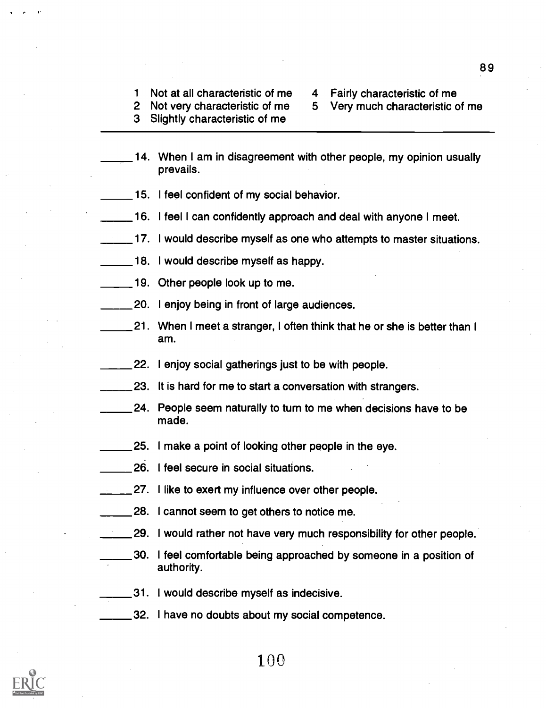- <sup>1</sup> Not at all characteristic of me 2 Not very characteristic of me
- 4 Fairly characteristic of me
	- 5 Very much characteristic of me
- 3 Slightly characteristic of me
- 14. When I am in disagreement with other people, my opinion usually prevails.
- 15. I feel confident of my social behavior.
- 16. I feel I can confidently approach and deal with anyone I meet.
- 17. I would describe myself as one who attempts to master situations.
- 18. I would describe myself as happy.
- 19. Other people look up to me.
- 20. I enjoy being in front of large audiences.
- 21. When I meet a stranger, I often think that he or she is better than I am.
- 22. I enjoy social gatherings just to be with people.
- 123. It is hard for me to start a conversation with strangers.
- 24. People seem naturally to turn to me when decisions have to be made.
- 25. I make a point of looking other people in the eye.
- 26. I feel secure in social situations.
- 27. I like to exert my influence over other people.
- 28. I cannot seem to get others to notice me.
- 29. I would rather not have very much responsibility for other people.
- 30. I feel comfortable being approached by someone in a position of authority.
- 31. I would describe myself as indecisive.
- 32. I have no doubts about my social competence.



100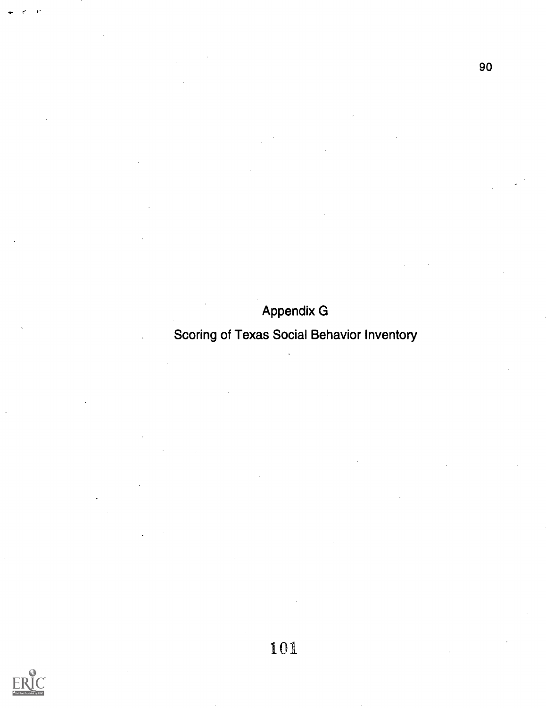# Appendix G

### Scoring of Texas Social Behavior Inventory

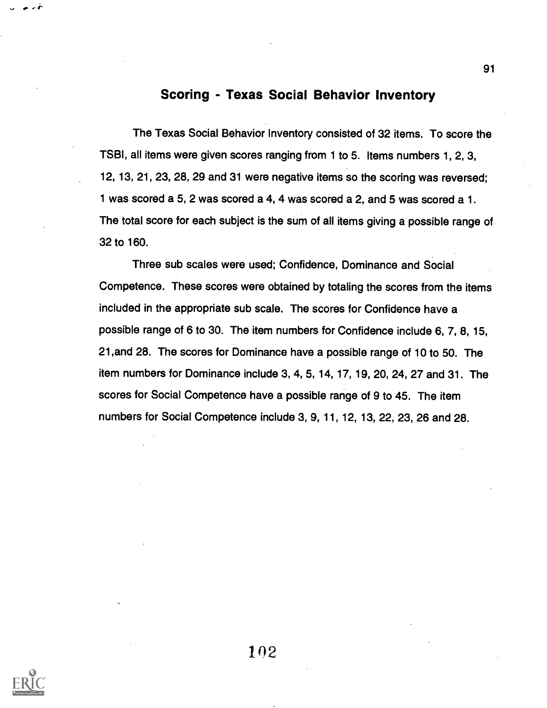#### Scoring - Texas Social Behavior Inventory

The Texas Social Behavior Inventory consisted of 32 items. To score the TSBI, all items were given scores ranging from 1 to 5. Items numbers 1, 2, 3, 12, 13, 21, 23, 28, 29 and 31 were negative items so the scoring was reversed; 1 was scored a 5, 2 was scored a 4, 4 was scored a 2, and 5 was scored a 1. The total score for each subject is the sum of all items giving a possible range of 32 to 160.

Three sub scales were used; Confidence, Dominance and Social Competence. These scores were obtained by totaling the scores from the items included in the appropriate sub scale. The scores for Confidence have a possible range of 6 to 30. The item numbers for Confidence include 6, 7, 8, 15, 21,and 28. The scores for Dominance have a possible range of 10 to 50. The item numbers for Dominance include 3, 4, 5, 14, 17, 19, 20, 24, 27 and 31. The scores for Social Competence have a possible range of 9 to 45. The item numbers for Social Competence include 3, 9, 11, 12, 13, 22, 23, 26 and 28.



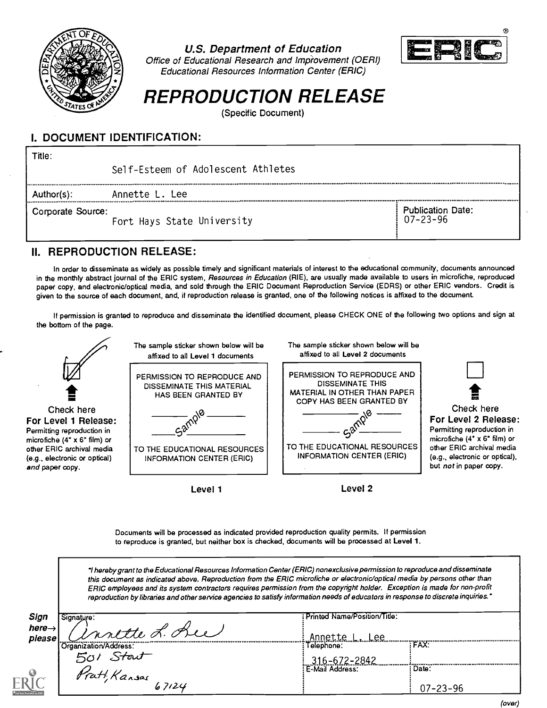

U.S. Department of Education



Office of Educational Research and Improvement (OERI) Educational Resources Information Center (ERIC)

# REPRODUCTION RELEASE

(Specific Document)

#### I. DOCUMENT IDENTIFICATION:

| Title:            | Self-Esteem of Adolescent Athletes |                                            |
|-------------------|------------------------------------|--------------------------------------------|
| Author(s):        | Annette L. Lee                     |                                            |
| Corporate Source: | Fort Hays State University         | <b>Publication Date:</b><br>$07 - 23 - 96$ |

#### II. REPRODUCTION RELEASE:

In order to disseminate as widely as possible timely and significant materials of interest to the educational community, documents announced in the monthly abstract journal of the ERIC system, Resources in Education (RIE), are usually made available to users in microfiche, reproduced paper copy, and electronic/optical media, and sold through the ERIC Document Reproduction Service (EDRS) or other ERIC vendors. Credit is given to the source of each document, and, if reproduction release is granted, one of the following notices is affixed to the document.

If permission is granted to reproduce and disseminate the identified document, please CHECK ONE of the following two options and sign at the bottom of the page.



Documents will be processed as indicated provided reproduction quality permits. If permission to reproduce is granted, but neither box is checked, documents will be processed at Level 1.

hereby grant to the Educational Resources Information Center (ERIC) nonexclusive permission to reproduce and disseminate this document as indicated above. Reproduction from the ERIC microfiche or electronic/optical media by persons other than ERIC employees and its system contractors requires permission from the copyright holder. Exception is made for non-profit reproduction by libraries and other service agencies to satisfy information needs of educators in response to discrete inquiries."

| Sign               | Signature:             | Printed Name/Position/Title: |                |
|--------------------|------------------------|------------------------------|----------------|
| here $\rightarrow$ | motte L. Que           |                              |                |
| please             |                        | <u>.ee </u><br>Annette       |                |
|                    | Organization/Address:  | Telephone:                   | <b>FAX:</b>    |
|                    | Stout                  | 316-672-2842                 |                |
|                    |                        | E-Mail Address:              | Date:          |
| R                  | Pratt, Kansas<br>67124 |                              | $07 - 23 - 96$ |